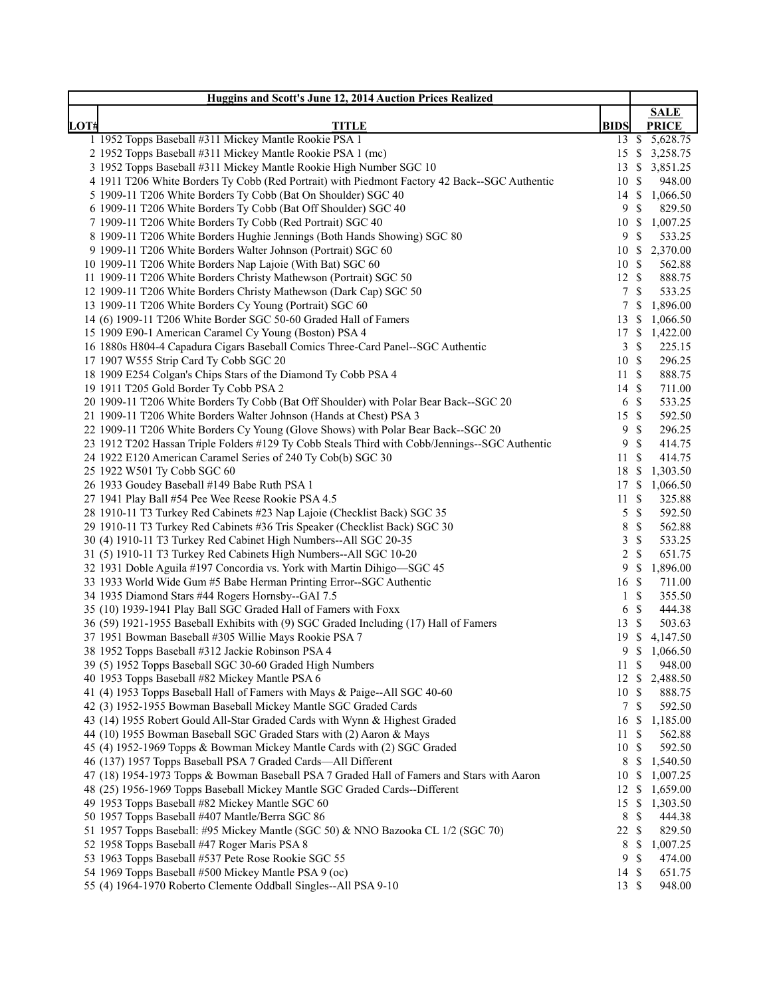|      | Huggins and Scott's June 12, 2014 Auction Prices Realized                                                                             |                         |                              |                             |
|------|---------------------------------------------------------------------------------------------------------------------------------------|-------------------------|------------------------------|-----------------------------|
|      |                                                                                                                                       |                         |                              | <b>SALE</b>                 |
| LOT# | <b>TITLE</b>                                                                                                                          | <b>BIDS</b>             |                              | <b>PRICE</b>                |
|      | 1 1952 Topps Baseball #311 Mickey Mantle Rookie PSA 1                                                                                 |                         |                              | $\overline{13}$ \$ 5,628.75 |
|      | 2 1952 Topps Baseball #311 Mickey Mantle Rookie PSA 1 (mc)                                                                            |                         |                              | 15 \$ 3,258.75              |
|      | 3 1952 Topps Baseball #311 Mickey Mantle Rookie High Number SGC 10                                                                    | $13 \text{ }$ \$        |                              | 3,851.25                    |
|      | 4 1911 T206 White Borders Ty Cobb (Red Portrait) with Piedmont Factory 42 Back--SGC Authentic                                         | 10S<br>14S              |                              | 948.00                      |
|      | 5 1909-11 T206 White Borders Ty Cobb (Bat On Shoulder) SGC 40<br>6 1909-11 T206 White Borders Ty Cobb (Bat Off Shoulder) SGC 40       |                         | 9S                           | 1,066.50<br>829.50          |
|      | 7 1909-11 T206 White Borders Ty Cobb (Red Portrait) SGC 40                                                                            | 10S                     |                              | 1,007.25                    |
|      | 8 1909-11 T206 White Borders Hughie Jennings (Both Hands Showing) SGC 80                                                              |                         | 9S                           | 533.25                      |
|      | 9 1909-11 T206 White Borders Walter Johnson (Portrait) SGC 60                                                                         | 10S                     |                              | 2,370.00                    |
|      | 10 1909-11 T206 White Borders Nap Lajoie (With Bat) SGC 60                                                                            | 10S                     |                              | 562.88                      |
|      | 11 1909-11 T206 White Borders Christy Mathewson (Portrait) SGC 50                                                                     | $12 \text{ }$ \$        |                              | 888.75                      |
|      | 12 1909-11 T206 White Borders Christy Mathewson (Dark Cap) SGC 50                                                                     |                         | 7S                           | 533.25                      |
|      | 13 1909-11 T206 White Borders Cy Young (Portrait) SGC 60                                                                              |                         | 7S                           | 1,896.00                    |
|      | 14 (6) 1909-11 T206 White Border SGC 50-60 Graded Hall of Famers                                                                      | $13 \text{ }$ \$        |                              | 1,066.50                    |
|      | 15 1909 E90-1 American Caramel Cy Young (Boston) PSA 4                                                                                | 17S                     |                              | 1,422.00                    |
|      | 16 1880s H804-4 Capadura Cigars Baseball Comics Three-Card Panel--SGC Authentic                                                       | 3                       | $\mathbb{S}$                 | 225.15                      |
|      | 17 1907 W555 Strip Card Ty Cobb SGC 20                                                                                                | 10S                     |                              | 296.25                      |
|      | 18 1909 E254 Colgan's Chips Stars of the Diamond Ty Cobb PSA 4                                                                        | 11S                     |                              | 888.75                      |
|      | 19 1911 T205 Gold Border Ty Cobb PSA 2                                                                                                | 14 \$                   |                              | 711.00                      |
|      | 20 1909-11 T206 White Borders Ty Cobb (Bat Off Shoulder) with Polar Bear Back--SGC 20                                                 |                         | 6 <sup>°</sup>               | 533.25                      |
|      | 21 1909-11 T206 White Borders Walter Johnson (Hands at Chest) PSA 3                                                                   | 15S                     |                              | 592.50                      |
|      | 22 1909-11 T206 White Borders Cy Young (Glove Shows) with Polar Bear Back--SGC 20                                                     | 9                       | $\mathbb{S}$                 | 296.25                      |
|      | 23 1912 T202 Hassan Triple Folders #129 Ty Cobb Steals Third with Cobb/Jennings--SGC Authentic                                        | 9                       | $\mathcal{S}$                | 414.75                      |
|      | 24 1922 E120 American Caramel Series of 240 Ty Cob(b) SGC 30                                                                          | $11 \text{ }$ \$        |                              | 414.75                      |
|      | 25 1922 W501 Ty Cobb SGC 60                                                                                                           | 18 \$                   |                              | 1,303.50                    |
|      | 26 1933 Goudey Baseball #149 Babe Ruth PSA 1                                                                                          | 17S                     |                              | 1,066.50                    |
|      | 27 1941 Play Ball #54 Pee Wee Reese Rookie PSA 4.5                                                                                    | $11 \text{ }$ \$        |                              | 325.88                      |
|      | 28 1910-11 T3 Turkey Red Cabinets #23 Nap Lajoie (Checklist Back) SGC 35                                                              | 5                       | $\mathbb{S}$                 | 592.50                      |
|      | 29 1910-11 T3 Turkey Red Cabinets #36 Tris Speaker (Checklist Back) SGC 30                                                            | $8\,$<br>$\mathfrak{Z}$ | $\mathbb{S}$<br>$\mathbb{S}$ | 562.88<br>533.25            |
|      | 30 (4) 1910-11 T3 Turkey Red Cabinet High Numbers--All SGC 20-35<br>31 (5) 1910-11 T3 Turkey Red Cabinets High Numbers--All SGC 10-20 |                         | $2 \sqrt{s}$                 | 651.75                      |
|      | 32 1931 Doble Aguila #197 Concordia vs. York with Martin Dihigo-SGC 45                                                                |                         | 9S                           | 1,896.00                    |
|      | 33 1933 World Wide Gum #5 Babe Herman Printing Error--SGC Authentic                                                                   | 16 \$                   |                              | 711.00                      |
|      | 34 1935 Diamond Stars #44 Rogers Hornsby--GAI 7.5                                                                                     |                         | $1 \text{ }$ \$              | 355.50                      |
|      | 35 (10) 1939-1941 Play Ball SGC Graded Hall of Famers with Foxx                                                                       |                         | 6 <sup>°</sup>               | 444.38                      |
|      | 36 (59) 1921-1955 Baseball Exhibits with (9) SGC Graded Including (17) Hall of Famers                                                 | 13 \$                   |                              | 503.63                      |
|      | 37 1951 Bowman Baseball #305 Willie Mays Rookie PSA 7                                                                                 |                         |                              | 19 \$ 4,147.50              |
|      | 38 1952 Topps Baseball #312 Jackie Robinson PSA 4                                                                                     |                         | 9S                           | 1,066.50                    |
|      | 39 (5) 1952 Topps Baseball SGC 30-60 Graded High Numbers                                                                              | 11S                     |                              | 948.00                      |
|      | 40 1953 Topps Baseball #82 Mickey Mantle PSA 6                                                                                        |                         |                              | 12 \$ 2,488.50              |
|      | 41 (4) 1953 Topps Baseball Hall of Famers with Mays & Paige--All SGC 40-60                                                            | 10S                     |                              | 888.75                      |
|      | 42 (3) 1952-1955 Bowman Baseball Mickey Mantle SGC Graded Cards                                                                       |                         | 7S                           | 592.50                      |
|      | 43 (14) 1955 Robert Gould All-Star Graded Cards with Wynn & Highest Graded                                                            | 16 \$                   |                              | 1,185.00                    |
|      | 44 (10) 1955 Bowman Baseball SGC Graded Stars with (2) Aaron & Mays                                                                   | 11 \$                   |                              | 562.88                      |
|      | 45 (4) 1952-1969 Topps & Bowman Mickey Mantle Cards with (2) SGC Graded                                                               | 10S                     |                              | 592.50                      |
|      | 46 (137) 1957 Topps Baseball PSA 7 Graded Cards-All Different                                                                         |                         | 8 \$                         | 1,540.50                    |
|      | 47 (18) 1954-1973 Topps & Bowman Baseball PSA 7 Graded Hall of Famers and Stars with Aaron                                            | 10S                     |                              | 1,007.25                    |
|      | 48 (25) 1956-1969 Topps Baseball Mickey Mantle SGC Graded Cards--Different                                                            | $12 \text{ }$           |                              | 1,659.00                    |
|      | 49 1953 Topps Baseball #82 Mickey Mantle SGC 60                                                                                       | 15S                     |                              | 1,303.50                    |
|      | 50 1957 Topps Baseball #407 Mantle/Berra SGC 86                                                                                       |                         | 8 \$                         | 444.38                      |
|      | 51 1957 Topps Baseball: #95 Mickey Mantle (SGC 50) & NNO Bazooka CL 1/2 (SGC 70)                                                      | 22 \$                   |                              | 829.50                      |
|      | 52 1958 Topps Baseball #47 Roger Maris PSA 8                                                                                          |                         | 8 \$                         | 1,007.25                    |
|      | 53 1963 Topps Baseball #537 Pete Rose Rookie SGC 55                                                                                   |                         | 9S                           | 474.00                      |
|      | 54 1969 Topps Baseball #500 Mickey Mantle PSA 9 (oc)<br>55 (4) 1964-1970 Roberto Clemente Oddball Singles--All PSA 9-10               | 14S<br>13S              |                              | 651.75<br>948.00            |
|      |                                                                                                                                       |                         |                              |                             |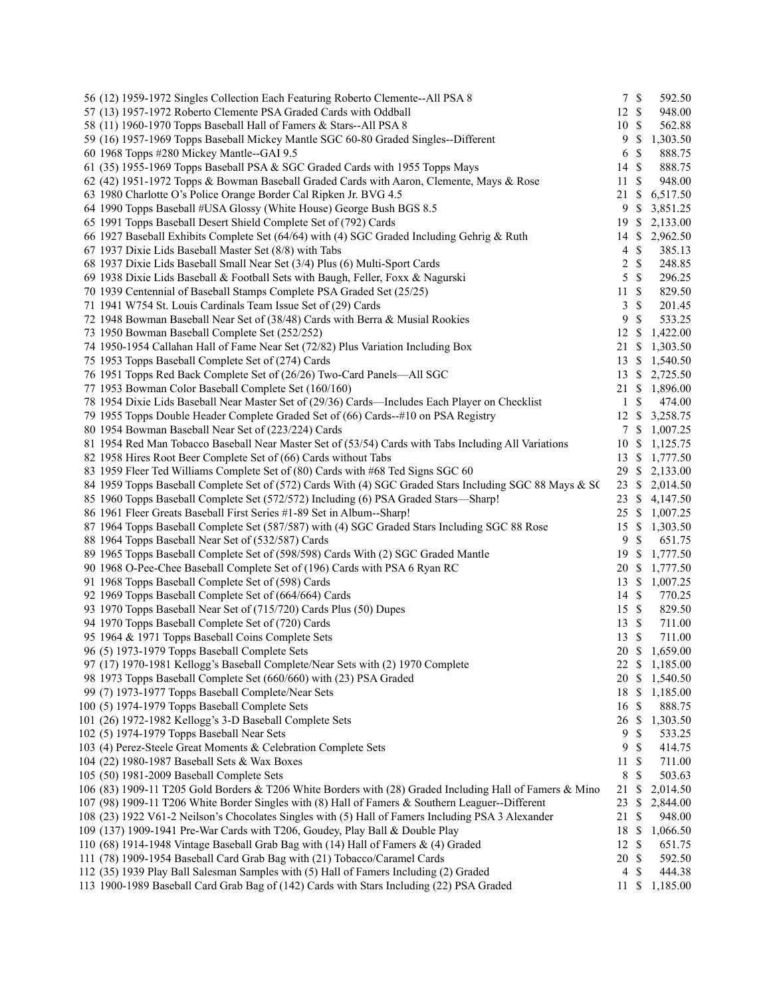| 56 (12) 1959-1972 Singles Collection Each Featuring Roberto Clemente--All PSA 8                          | 7S               |                           | 592.50   |
|----------------------------------------------------------------------------------------------------------|------------------|---------------------------|----------|
| 57 (13) 1957-1972 Roberto Clemente PSA Graded Cards with Oddball                                         | 12 \$            |                           | 948.00   |
| 58 (11) 1960-1970 Topps Baseball Hall of Famers & Stars--All PSA 8                                       | 10 \$            |                           | 562.88   |
| 59 (16) 1957-1969 Topps Baseball Mickey Mantle SGC 60-80 Graded Singles--Different                       | 9                | $\mathbf{\$}$             | 1,303.50 |
| 60 1968 Topps #280 Mickey Mantle--GAI 9.5                                                                | 6                | $\mathbb{S}$              | 888.75   |
| 61 (35) 1955-1969 Topps Baseball PSA & SGC Graded Cards with 1955 Topps Mays                             | 14               | $\mathcal{S}$             | 888.75   |
| 62 (42) 1951-1972 Topps & Bowman Baseball Graded Cards with Aaron, Clemente, Mays & Rose                 | 11               | $\mathbb{S}$              | 948.00   |
| 63 1980 Charlotte O's Police Orange Border Cal Ripken Jr. BVG 4.5                                        | 21               | $\mathbb{S}$              | 6,517.50 |
| 64 1990 Topps Baseball #USA Glossy (White House) George Bush BGS 8.5                                     | 9                | $\mathbb{S}$              | 3,851.25 |
| 65 1991 Topps Baseball Desert Shield Complete Set of (792) Cards                                         | 19               | <sup>\$</sup>             | 2,133.00 |
| 66 1927 Baseball Exhibits Complete Set (64/64) with (4) SGC Graded Including Gehrig & Ruth               | 14               | <sup>\$</sup>             | 2,962.50 |
| 67 1937 Dixie Lids Baseball Master Set (8/8) with Tabs                                                   | $\overline{4}$   | $\mathbb{S}$              | 385.13   |
| 68 1937 Dixie Lids Baseball Small Near Set (3/4) Plus (6) Multi-Sport Cards                              | 2                | $\mathcal{S}$             | 248.85   |
| 69 1938 Dixie Lids Baseball & Football Sets with Baugh, Feller, Foxx & Nagurski                          | 5                | $\boldsymbol{\mathsf{S}}$ | 296.25   |
| 70 1939 Centennial of Baseball Stamps Complete PSA Graded Set (25/25)                                    | 11               | $\mathbb{S}$              | 829.50   |
| 71 1941 W754 St. Louis Cardinals Team Issue Set of (29) Cards                                            | 3                | $\mathbb{S}$              | 201.45   |
| 72 1948 Bowman Baseball Near Set of (38/48) Cards with Berra & Musial Rookies                            | 9                | $\mathcal{S}$             | 533.25   |
| 73 1950 Bowman Baseball Complete Set (252/252)                                                           | 12S              |                           | 1,422.00 |
| 74 1950-1954 Callahan Hall of Fame Near Set (72/82) Plus Variation Including Box                         | 21 \$            |                           | 1,303.50 |
| 75 1953 Topps Baseball Complete Set of (274) Cards                                                       | 13 \$            |                           | 1,540.50 |
| 76 1951 Topps Red Back Complete Set of (26/26) Two-Card Panels-All SGC                                   | 13S              |                           | 2,725.50 |
| 77 1953 Bowman Color Baseball Complete Set (160/160)                                                     | 21               | -S                        | 1,896.00 |
| 78 1954 Dixie Lids Baseball Near Master Set of (29/36) Cards—Includes Each Player on Checklist           | $\mathbf{1}$     | $\mathbb{S}$              | 474.00   |
| 79 1955 Topps Double Header Complete Graded Set of (66) Cards--#10 on PSA Registry                       | 12S              |                           | 3,258.75 |
| 80 1954 Bowman Baseball Near Set of (223/224) Cards                                                      | 7S               |                           | 1,007.25 |
| 81 1954 Red Man Tobacco Baseball Near Master Set of (53/54) Cards with Tabs Including All Variations     | 10S              |                           | 1,125.75 |
| 82 1958 Hires Root Beer Complete Set of (66) Cards without Tabs                                          | 13               | -S                        | 1,777.50 |
| 83 1959 Fleer Ted Williams Complete Set of (80) Cards with #68 Ted Signs SGC 60                          | 29               | \$                        | 2,133.00 |
| 84 1959 Topps Baseball Complete Set of (572) Cards With (4) SGC Graded Stars Including SGC 88 Mays & SC  | $23 \text{ }$ \$ |                           | 2,014.50 |
| 85 1960 Topps Baseball Complete Set (572/572) Including (6) PSA Graded Stars—Sharp!                      | $23 \text{ }$ \$ |                           | 4,147.50 |
| 86 1961 Fleer Greats Baseball First Series #1-89 Set in Album--Sharp!                                    | $25 \text{ }$ \$ |                           | 1,007.25 |
| 87 1964 Topps Baseball Complete Set (587/587) with (4) SGC Graded Stars Including SGC 88 Rose            | 15               | -S                        | 1,303.50 |
| 88 1964 Topps Baseball Near Set of (532/587) Cards                                                       | 9                | $\mathbb{S}$              | 651.75   |
| 89 1965 Topps Baseball Complete Set of (598/598) Cards With (2) SGC Graded Mantle                        | 19               | -\$                       | 1,777.50 |
| 90 1968 O-Pee-Chee Baseball Complete Set of (196) Cards with PSA 6 Ryan RC                               | 20 \$            |                           | 1,777.50 |
| 91 1968 Topps Baseball Complete Set of (598) Cards                                                       | 13 \$            |                           | 1,007.25 |
| 92 1969 Topps Baseball Complete Set of (664/664) Cards                                                   | 14 \$            |                           | 770.25   |
| 93 1970 Topps Baseball Near Set of (715/720) Cards Plus (50) Dupes                                       | 15S              |                           | 829.50   |
| 94 1970 Topps Baseball Complete Set of (720) Cards                                                       | 13 \$            |                           | 711.00   |
| 95 1964 & 1971 Topps Baseball Coins Complete Sets                                                        | 13               | -S                        | 711.00   |
| 96 (5) 1973-1979 Topps Baseball Complete Sets                                                            | 20 \$            |                           | 1,659.00 |
| 97 (17) 1970-1981 Kellogg's Baseball Complete/Near Sets with (2) 1970 Complete                           |                  |                           | 1,185.00 |
|                                                                                                          | 22 \$<br>20 \$   |                           |          |
| 98 1973 Topps Baseball Complete Set (660/660) with (23) PSA Graded                                       |                  |                           | 1,540.50 |
| 99 (7) 1973-1977 Topps Baseball Complete/Near Sets                                                       | 18 \$            |                           | 1,185.00 |
| 100 (5) 1974-1979 Topps Baseball Complete Sets                                                           | 16               | -\$                       | 888.75   |
| 101 (26) 1972-1982 Kellogg's 3-D Baseball Complete Sets                                                  | 26               | \$                        | 1,303.50 |
| 102 (5) 1974-1979 Topps Baseball Near Sets                                                               | 9                | S                         | 533.25   |
| 103 (4) Perez-Steele Great Moments & Celebration Complete Sets                                           | 9                | $\mathbf{\$}$             | 414.75   |
| 104 (22) 1980-1987 Baseball Sets & Wax Boxes                                                             | 11               | $\boldsymbol{\mathsf{S}}$ | 711.00   |
| 105 (50) 1981-2009 Baseball Complete Sets                                                                | 8                | \$                        | 503.63   |
| 106 (83) 1909-11 T205 Gold Borders & T206 White Borders with (28) Graded Including Hall of Famers & Mino | 21               | \$                        | 2,014.50 |
| 107 (98) 1909-11 T206 White Border Singles with (8) Hall of Famers & Southern Leaguer--Different         | 23               | \$                        | 2,844.00 |
| 108 (23) 1922 V61-2 Neilson's Chocolates Singles with (5) Hall of Famers Including PSA 3 Alexander       | 21               | -\$                       | 948.00   |
| 109 (137) 1909-1941 Pre-War Cards with T206, Goudey, Play Ball & Double Play                             | 18               | $\mathbb{S}$              | 1,066.50 |
| 110 (68) 1914-1948 Vintage Baseball Grab Bag with (14) Hall of Famers & (4) Graded                       | 12               | -S                        | 651.75   |
| 111 (78) 1909-1954 Baseball Card Grab Bag with (21) Tobacco/Caramel Cards                                | 20 \$            |                           | 592.50   |
| 112 (35) 1939 Play Ball Salesman Samples with (5) Hall of Famers Including (2) Graded                    | 4                | \$                        | 444.38   |
| 113 1900-1989 Baseball Card Grab Bag of (142) Cards with Stars Including (22) PSA Graded                 | 11               | \$                        | 1,185.00 |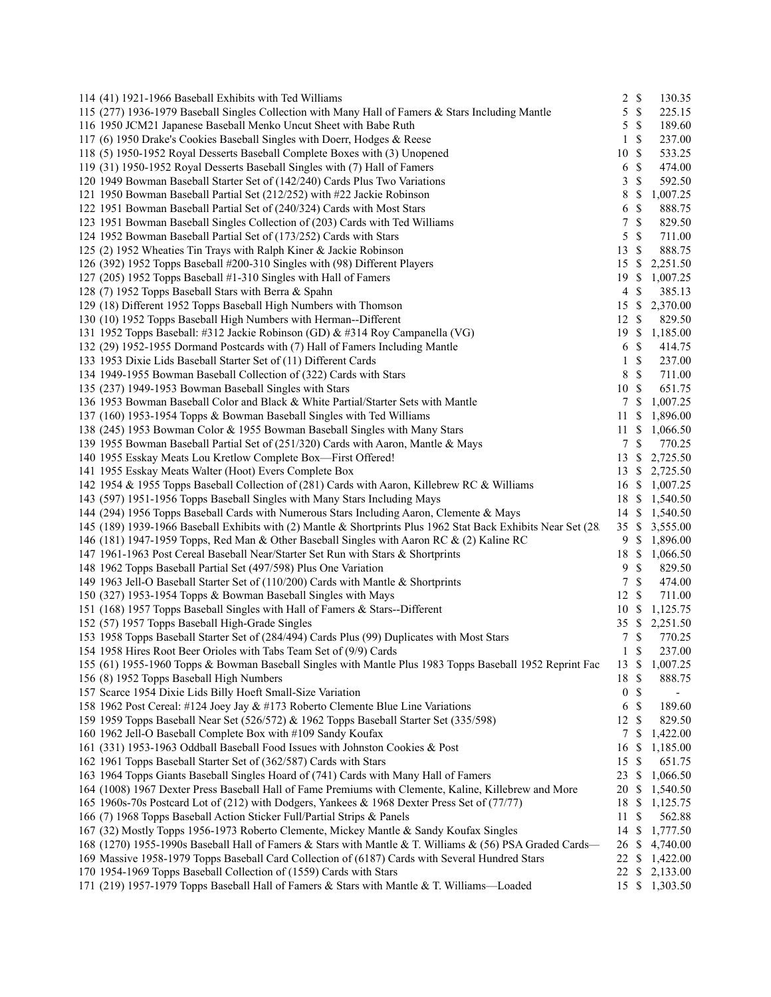| 114 (41) 1921-1966 Baseball Exhibits with Ted Williams                                                                                                           | $\overline{c}$   | $\mathbb{S}$  | 130.35                   |
|------------------------------------------------------------------------------------------------------------------------------------------------------------------|------------------|---------------|--------------------------|
| 115 (277) 1936-1979 Baseball Singles Collection with Many Hall of Famers & Stars Including Mantle                                                                | 5                | $\mathbb{S}$  | 225.15                   |
| 116 1950 JCM21 Japanese Baseball Menko Uncut Sheet with Babe Ruth                                                                                                | 5                | $\mathcal{S}$ | 189.60                   |
| 117 (6) 1950 Drake's Cookies Baseball Singles with Doerr, Hodges & Reese                                                                                         | 1                | $\mathbb{S}$  | 237.00                   |
| 118 (5) 1950-1952 Royal Desserts Baseball Complete Boxes with (3) Unopened                                                                                       | 10               | $\mathbb{S}$  | 533.25                   |
| 119 (31) 1950-1952 Royal Desserts Baseball Singles with (7) Hall of Famers                                                                                       | 6                | $\mathcal{S}$ | 474.00                   |
| 120 1949 Bowman Baseball Starter Set of (142/240) Cards Plus Two Variations                                                                                      | 3                | $\mathcal{S}$ | 592.50                   |
| 121 1950 Bowman Baseball Partial Set (212/252) with #22 Jackie Robinson                                                                                          | 8                | $\mathbb{S}$  | 1,007.25                 |
| 122 1951 Bowman Baseball Partial Set of (240/324) Cards with Most Stars                                                                                          | 6                | $\mathbb{S}$  | 888.75                   |
| 123 1951 Bowman Baseball Singles Collection of (203) Cards with Ted Williams                                                                                     | 7                | $\mathcal{S}$ | 829.50                   |
| 124 1952 Bowman Baseball Partial Set of (173/252) Cards with Stars                                                                                               | 5                | $\mathcal{S}$ | 711.00                   |
| 125 (2) 1952 Wheaties Tin Trays with Ralph Kiner & Jackie Robinson                                                                                               | 13               | $\mathbb{S}$  | 888.75                   |
| 126 (392) 1952 Topps Baseball #200-310 Singles with (98) Different Players                                                                                       | 15S              |               | 2,251.50                 |
| 127 (205) 1952 Topps Baseball #1-310 Singles with Hall of Famers                                                                                                 | 19 \$            |               | 1,007.25                 |
| 128 (7) 1952 Topps Baseball Stars with Berra & Spahn                                                                                                             | $\overline{4}$   | $\mathbb{S}$  | 385.13                   |
| 129 (18) Different 1952 Topps Baseball High Numbers with Thomson                                                                                                 | 15               | $\mathbb{S}$  | 2,370.00                 |
| 130 (10) 1952 Topps Baseball High Numbers with Herman--Different                                                                                                 | 12               | $\mathbb{S}$  | 829.50                   |
| 131 1952 Topps Baseball: #312 Jackie Robinson (GD) & #314 Roy Campanella (VG)                                                                                    |                  |               | 19 \$ 1,185.00           |
| 132 (29) 1952-1955 Dormand Postcards with (7) Hall of Famers Including Mantle                                                                                    | 6                | $\mathbb{S}$  | 414.75                   |
| 133 1953 Dixie Lids Baseball Starter Set of (11) Different Cards                                                                                                 | 1                | $\mathbb{S}$  | 237.00                   |
| 134 1949-1955 Bowman Baseball Collection of (322) Cards with Stars                                                                                               | 8                | $\mathbb{S}$  | 711.00                   |
| 135 (237) 1949-1953 Bowman Baseball Singles with Stars                                                                                                           | 10               | -S            | 651.75                   |
| 136 1953 Bowman Baseball Color and Black & White Partial/Starter Sets with Mantle                                                                                |                  | 7 S           | 1,007.25                 |
| 137 (160) 1953-1954 Topps & Bowman Baseball Singles with Ted Williams                                                                                            | 11S              |               | 1,896.00                 |
| 138 (245) 1953 Bowman Color & 1955 Bowman Baseball Singles with Many Stars                                                                                       | 11               | \$            | 1,066.50                 |
| 139 1955 Bowman Baseball Partial Set of (251/320) Cards with Aaron, Mantle & Mays                                                                                |                  | 7S            | 770.25                   |
| 140 1955 Esskay Meats Lou Kretlow Complete Box-First Offered!                                                                                                    | 13               | \$            | 2,725.50                 |
| 141 1955 Esskay Meats Walter (Hoot) Evers Complete Box                                                                                                           | 13               | <sup>\$</sup> | 2,725.50                 |
| 142 1954 & 1955 Topps Baseball Collection of (281) Cards with Aaron, Killebrew RC & Williams                                                                     | 16               | <sup>\$</sup> | 1,007.25                 |
| 143 (597) 1951-1956 Topps Baseball Singles with Many Stars Including Mays                                                                                        |                  |               | 18 \$ 1,540.50           |
| 144 (294) 1956 Topps Baseball Cards with Numerous Stars Including Aaron, Clemente & Mays                                                                         |                  |               | 14 \$ 1,540.50           |
| 145 (189) 1939-1966 Baseball Exhibits with (2) Mantle & Shortprints Plus 1962 Stat Back Exhibits Near Set (28.                                                   | 35S              |               | 3,555.00                 |
| 146 (181) 1947-1959 Topps, Red Man & Other Baseball Singles with Aaron RC & (2) Kaline RC                                                                        | 9                | - \$          | 1,896.00                 |
| 147 1961-1963 Post Cereal Baseball Near/Starter Set Run with Stars & Shortprints                                                                                 | 18               | <sup>\$</sup> | 1,066.50                 |
| 148 1962 Topps Baseball Partial Set (497/598) Plus One Variation                                                                                                 | 9                | $\mathbb{S}$  | 829.50                   |
| 149 1963 Jell-O Baseball Starter Set of (110/200) Cards with Mantle & Shortprints                                                                                |                  | 7S            | 474.00                   |
| 150 (327) 1953-1954 Topps & Bowman Baseball Singles with Mays                                                                                                    | 12               | $\mathbb{S}$  | 711.00                   |
| 151 (168) 1957 Topps Baseball Singles with Hall of Famers & Stars--Different                                                                                     | 10S              |               | 1,125.75                 |
| 152 (57) 1957 Topps Baseball High-Grade Singles                                                                                                                  |                  |               | 35 \$ 2,251.50           |
| 153 1958 Topps Baseball Starter Set of (284/494) Cards Plus (99) Duplicates with Most Stars                                                                      | 7                | $\mathbb{S}$  | 770.25                   |
| 154 1958 Hires Root Beer Orioles with Tabs Team Set of (9/9) Cards                                                                                               | $\mathbf{1}$     | $\mathcal{S}$ | 237.00                   |
| 155 (61) 1955-1960 Topps & Bowman Baseball Singles with Mantle Plus 1983 Topps Baseball 1952 Reprint Fac                                                         | 13 S             |               | 1,007.25                 |
| 156 (8) 1952 Topps Baseball High Numbers                                                                                                                         | 18               | $\mathbb{S}$  | 888.75                   |
| 157 Scarce 1954 Dixie Lids Billy Hoeft Small-Size Variation                                                                                                      | $\boldsymbol{0}$ | $\mathbb{S}$  | $\overline{\phantom{a}}$ |
| 158 1962 Post Cereal: #124 Joey Jay & #173 Roberto Clemente Blue Line Variations                                                                                 | 6                | $\mathbb{S}$  | 189.60                   |
| 159 1959 Topps Baseball Near Set (526/572) & 1962 Topps Baseball Starter Set (335/598)                                                                           | 12               | \$            | 829.50                   |
| 160 1962 Jell-O Baseball Complete Box with #109 Sandy Koufax                                                                                                     | 7                | $\mathbb{S}$  | 1,422.00                 |
| 161 (331) 1953-1963 Oddball Baseball Food Issues with Johnston Cookies & Post                                                                                    | 16               | <sup>\$</sup> | 1,185.00                 |
|                                                                                                                                                                  | 15               | $\mathbb{S}$  | 651.75                   |
| 162 1961 Topps Baseball Starter Set of (362/587) Cards with Stars<br>163 1964 Topps Giants Baseball Singles Hoard of (741) Cards with Many Hall of Famers        |                  |               |                          |
| 164 (1008) 1967 Dexter Press Baseball Hall of Fame Premiums with Clemente, Kaline, Killebrew and More                                                            | 23               | \$            | 1,066.50                 |
| 165 1960s-70s Postcard Lot of (212) with Dodgers, Yankees & 1968 Dexter Press Set of (77/77)                                                                     | 20               | \$            | 1,540.50                 |
|                                                                                                                                                                  | 18               | \$            | 1,125.75                 |
| 166 (7) 1968 Topps Baseball Action Sticker Full/Partial Strips & Panels                                                                                          | 11               | \$            | 562.88                   |
| 167 (32) Mostly Topps 1956-1973 Roberto Clemente, Mickey Mantle & Sandy Koufax Singles                                                                           | 14               | <sup>\$</sup> | 1,777.50                 |
| 168 (1270) 1955-1990s Baseball Hall of Famers & Stars with Mantle & T. Williams & (56) PSA Graded Cards-                                                         | 26               | <sup>\$</sup> | 4,740.00                 |
| 169 Massive 1958-1979 Topps Baseball Card Collection of (6187) Cards with Several Hundred Stars                                                                  | 22 \$            |               | 1,422.00                 |
| 170 1954-1969 Topps Baseball Collection of (1559) Cards with Stars<br>171 (219) 1957-1979 Topps Baseball Hall of Famers & Stars with Mantle & T. Williams—Loaded |                  |               | 22 \$ 2,133.00           |
|                                                                                                                                                                  |                  |               | 15 \$ 1,303.50           |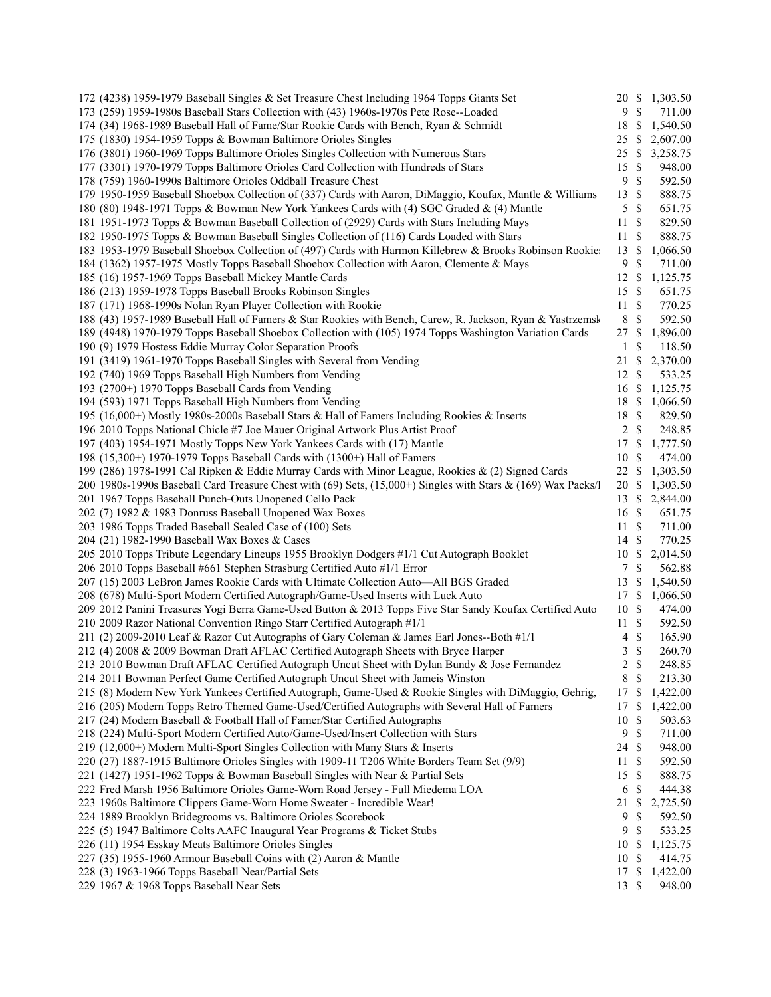| 172 (4238) 1959-1979 Baseball Singles & Set Treasure Chest Including 1964 Topps Giants Set                             | 20 \$            |                              | 1,303.50           |
|------------------------------------------------------------------------------------------------------------------------|------------------|------------------------------|--------------------|
| 173 (259) 1959-1980s Baseball Stars Collection with (43) 1960s-1970s Pete Rose--Loaded                                 | 9                | $\mathbb{S}$                 | 711.00             |
| 174 (34) 1968-1989 Baseball Hall of Fame/Star Rookie Cards with Bench, Ryan & Schmidt                                  | 18               | -S                           | 1,540.50           |
| 175 (1830) 1954-1959 Topps & Bowman Baltimore Orioles Singles                                                          | 25 \$            |                              | 2,607.00           |
| 176 (3801) 1960-1969 Topps Baltimore Orioles Singles Collection with Numerous Stars                                    | 25 \$            |                              | 3,258.75           |
| 177 (3301) 1970-1979 Topps Baltimore Orioles Card Collection with Hundreds of Stars                                    | 15               | $\mathbb{S}$                 | 948.00             |
| 178 (759) 1960-1990s Baltimore Orioles Oddball Treasure Chest                                                          | 9                | $\mathcal{S}$                | 592.50             |
| 179 1950-1959 Baseball Shoebox Collection of (337) Cards with Aaron, DiMaggio, Koufax, Mantle & Williams               | 13 \$            |                              | 888.75             |
| 180 (80) 1948-1971 Topps & Bowman New York Yankees Cards with (4) SGC Graded & (4) Mantle                              | 5                | $\mathbb{S}$                 | 651.75             |
| 181 1951-1973 Topps & Bowman Baseball Collection of (2929) Cards with Stars Including Mays                             | 11               | -S                           | 829.50             |
| 182 1950-1975 Topps & Bowman Baseball Singles Collection of (116) Cards Loaded with Stars                              | 11               | -S                           | 888.75             |
| 183 1953-1979 Baseball Shoebox Collection of (497) Cards with Harmon Killebrew & Brooks Robinson Rookie                | 13               | $\mathcal{S}$                | 1,066.50           |
| 184 (1362) 1957-1975 Mostly Topps Baseball Shoebox Collection with Aaron, Clemente & Mays                              | 9                | $\mathcal{S}$                | 711.00             |
| 185 (16) 1957-1969 Topps Baseball Mickey Mantle Cards                                                                  | $12 \text{ }$ \$ |                              | 1,125.75           |
| 186 (213) 1959-1978 Topps Baseball Brooks Robinson Singles                                                             | 15 \$            |                              | 651.75             |
| 187 (171) 1968-1990s Nolan Ryan Player Collection with Rookie                                                          | 11S              |                              | 770.25             |
| 188 (43) 1957-1989 Baseball Hall of Famers & Star Rookies with Bench, Carew, R. Jackson, Ryan & Yastrzemsk             | 8                | $\mathbb{S}$                 | 592.50             |
| 189 (4948) 1970-1979 Topps Baseball Shoebox Collection with (105) 1974 Topps Washington Variation Cards                | 27               | -S                           | 1,896.00           |
| 190 (9) 1979 Hostess Eddie Murray Color Separation Proofs                                                              | 1                | $\mathcal{S}$                | 118.50             |
| 191 (3419) 1961-1970 Topps Baseball Singles with Several from Vending                                                  | 21               | \$                           | 2,370.00           |
| 192 (740) 1969 Topps Baseball High Numbers from Vending                                                                | 12S              |                              | 533.25             |
| 193 (2700+) 1970 Topps Baseball Cards from Vending                                                                     | 16 \$            |                              | 1,125.75           |
| 194 (593) 1971 Topps Baseball High Numbers from Vending                                                                | 18 \$            |                              | 1,066.50           |
| 195 (16,000+) Mostly 1980s-2000s Baseball Stars & Hall of Famers Including Rookies & Inserts                           | 18 \$            |                              | 829.50             |
| 196 2010 Topps National Chicle #7 Joe Mauer Original Artwork Plus Artist Proof                                         | $\overline{2}$   | $\mathbb{S}$                 | 248.85             |
| 197 (403) 1954-1971 Mostly Topps New York Yankees Cards with (17) Mantle                                               | 17               | -S                           | 1,777.50           |
| 198 (15,300+) 1970-1979 Topps Baseball Cards with (1300+) Hall of Famers                                               | 10               | -S                           | 474.00             |
| 199 (286) 1978-1991 Cal Ripken & Eddie Murray Cards with Minor League, Rookies & (2) Signed Cards                      | 22               | -\$                          | 1,303.50           |
| 200 1980s-1990s Baseball Card Treasure Chest with (69) Sets, (15,000+) Singles with Stars & (169) Wax Packs/l          | 20 \$            |                              | 1,303.50           |
| 201 1967 Topps Baseball Punch-Outs Unopened Cello Pack                                                                 | 13S              |                              | 2,844.00           |
| 202 (7) 1982 & 1983 Donruss Baseball Unopened Wax Boxes                                                                | $16 \text{ }$ \$ |                              | 651.75             |
| 203 1986 Topps Traded Baseball Sealed Case of (100) Sets                                                               | 11S              |                              | 711.00             |
| 204 (21) 1982-1990 Baseball Wax Boxes & Cases                                                                          | 14S              |                              | 770.25             |
| 205 2010 Topps Tribute Legendary Lineups 1955 Brooklyn Dodgers #1/1 Cut Autograph Booklet                              | 10               | -\$                          | 2,014.50           |
| 206 2010 Topps Baseball #661 Stephen Strasburg Certified Auto #1/1 Error                                               | 7                | $\mathbb{S}$                 | 562.88             |
| 207 (15) 2003 LeBron James Rookie Cards with Ultimate Collection Auto-All BGS Graded                                   | 13               | -S                           | 1,540.50           |
| 208 (678) Multi-Sport Modern Certified Autograph/Game-Used Inserts with Luck Auto                                      | 17 \$            |                              | 1,066.50           |
| 209 2012 Panini Treasures Yogi Berra Game-Used Button & 2013 Topps Five Star Sandy Koufax Certified Auto               | 10S              |                              | 474.00             |
| 210 2009 Razor National Convention Ringo Starr Certified Autograph #1/1                                                | 11S              |                              | 592.50             |
| 211 (2) 2009-2010 Leaf & Razor Cut Autographs of Gary Coleman & James Earl Jones--Both #1/1                            | 4                | $\mathbb{S}$                 | 165.90             |
| 212 (4) 2008 & 2009 Bowman Draft AFLAC Certified Autograph Sheets with Bryce Harper                                    | 3                | $\mathcal{S}$                | 260.70             |
| 213 2010 Bowman Draft AFLAC Certified Autograph Uncut Sheet with Dylan Bundy & Jose Fernandez                          | $\overline{c}$   | $\mathbb{S}$                 | 248.85             |
| 214 2011 Bowman Perfect Game Certified Autograph Uncut Sheet with Jameis Winston                                       | 8                | $\mathcal{S}$                | 213.30             |
| 215 (8) Modern New York Yankees Certified Autograph, Game-Used & Rookie Singles with DiMaggio, Gehrig,                 | 17 \$            |                              | 1,422.00           |
| 216 (205) Modern Topps Retro Themed Game-Used/Certified Autographs with Several Hall of Famers                         | 17 \$            |                              | 1,422.00           |
| 217 (24) Modern Baseball & Football Hall of Famer/Star Certified Autographs                                            | 10 \$            |                              | 503.63             |
| 218 (224) Multi-Sport Modern Certified Auto/Game-Used/Insert Collection with Stars                                     | 9                | $\mathbb{S}$                 | 711.00             |
| 219 (12,000+) Modern Multi-Sport Singles Collection with Many Stars & Inserts                                          | 24               | -\$                          | 948.00             |
| 220 (27) 1887-1915 Baltimore Orioles Singles with 1909-11 T206 White Borders Team Set (9/9)                            | 11               | -S                           | 592.50             |
| 221 (1427) 1951-1962 Topps & Bowman Baseball Singles with Near & Partial Sets                                          | 15               | $\mathbb{S}$                 | 888.75             |
| 222 Fred Marsh 1956 Baltimore Orioles Game-Worn Road Jersey - Full Miedema LOA                                         | 6                | $\mathbb{S}$                 | 444.38             |
| 223 1960s Baltimore Clippers Game-Worn Home Sweater - Incredible Wear!                                                 | 21               | $\mathbb{S}$<br>$\mathbb{S}$ | 2,725.50           |
| 224 1889 Brooklyn Bridegrooms vs. Baltimore Orioles Scorebook                                                          | 9                |                              | 592.50             |
| 225 (5) 1947 Baltimore Colts AAFC Inaugural Year Programs & Ticket Stubs                                               | 9                | $\mathbb{S}$                 | 533.25             |
| 226 (11) 1954 Esskay Meats Baltimore Orioles Singles                                                                   | 10               | - \$                         | 1,125.75           |
| 227 (35) 1955-1960 Armour Baseball Coins with (2) Aaron & Mantle<br>228 (3) 1963-1966 Topps Baseball Near/Partial Sets | 10 \$<br>17 \$   |                              | 414.75<br>1,422.00 |
| 229 1967 & 1968 Topps Baseball Near Sets                                                                               | 13S              |                              | 948.00             |
|                                                                                                                        |                  |                              |                    |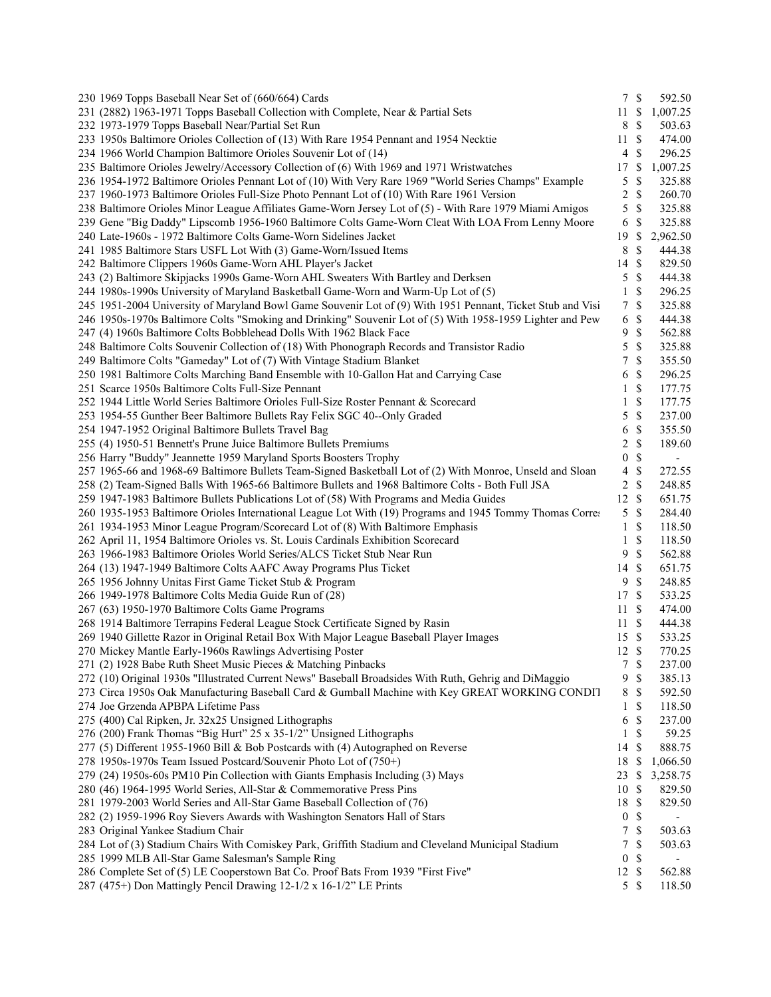| 230 1969 Topps Baseball Near Set of (660/664) Cards                                                        |                  | 7S            | 592.50                   |
|------------------------------------------------------------------------------------------------------------|------------------|---------------|--------------------------|
| 231 (2882) 1963-1971 Topps Baseball Collection with Complete, Near & Partial Sets                          | 11               | \$            | 1,007.25                 |
| 232 1973-1979 Topps Baseball Near/Partial Set Run                                                          | 8                | \$            | 503.63                   |
| 233 1950s Baltimore Orioles Collection of (13) With Rare 1954 Pennant and 1954 Necktie                     | 11               | $\mathcal{S}$ | 474.00                   |
| 234 1966 World Champion Baltimore Orioles Souvenir Lot of (14)                                             | $\overline{4}$   | \$            | 296.25                   |
| 235 Baltimore Orioles Jewelry/Accessory Collection of (6) With 1969 and 1971 Wristwatches                  | 17               | <sup>\$</sup> | 1,007.25                 |
| 236 1954-1972 Baltimore Orioles Pennant Lot of (10) With Very Rare 1969 "World Series Champs" Example      | 5                | \$            | 325.88                   |
| 237 1960-1973 Baltimore Orioles Full-Size Photo Pennant Lot of (10) With Rare 1961 Version                 | 2                | \$            | 260.70                   |
| 238 Baltimore Orioles Minor League Affiliates Game-Worn Jersey Lot of (5) - With Rare 1979 Miami Amigos    | 5                | \$            | 325.88                   |
| 239 Gene "Big Daddy" Lipscomb 1956-1960 Baltimore Colts Game-Worn Cleat With LOA From Lenny Moore          | 6                | \$            | 325.88                   |
| 240 Late-1960s - 1972 Baltimore Colts Game-Worn Sidelines Jacket                                           | 19               | <sup>\$</sup> | 2,962.50                 |
| 241 1985 Baltimore Stars USFL Lot With (3) Game-Worn/Issued Items                                          | 8                | \$            | 444.38                   |
| 242 Baltimore Clippers 1960s Game-Worn AHL Player's Jacket                                                 | 14               | \$            | 829.50                   |
| 243 (2) Baltimore Skipjacks 1990s Game-Worn AHL Sweaters With Bartley and Derksen                          | 5                | \$            | 444.38                   |
| 244 1980s-1990s University of Maryland Basketball Game-Worn and Warm-Up Lot of (5)                         | 1                | \$            | 296.25                   |
| 245 1951-2004 University of Maryland Bowl Game Souvenir Lot of (9) With 1951 Pennant, Ticket Stub and Visi | 7                | \$            | 325.88                   |
| 246 1950s-1970s Baltimore Colts "Smoking and Drinking" Souvenir Lot of (5) With 1958-1959 Lighter and Pew  | 6                | \$            | 444.38                   |
| 247 (4) 1960s Baltimore Colts Bobblehead Dolls With 1962 Black Face                                        | 9                | \$            | 562.88                   |
| 248 Baltimore Colts Souvenir Collection of (18) With Phonograph Records and Transistor Radio               | 5                | \$            | 325.88                   |
|                                                                                                            | 7                | \$            | 355.50                   |
| 249 Baltimore Colts "Gameday" Lot of (7) With Vintage Stadium Blanket                                      |                  |               |                          |
| 250 1981 Baltimore Colts Marching Band Ensemble with 10-Gallon Hat and Carrying Case                       | 6                | \$            | 296.25                   |
| 251 Scarce 1950s Baltimore Colts Full-Size Pennant                                                         | 1                | \$            | 177.75                   |
| 252 1944 Little World Series Baltimore Orioles Full-Size Roster Pennant & Scorecard                        | 1                | \$            | 177.75                   |
| 253 1954-55 Gunther Beer Baltimore Bullets Ray Felix SGC 40--Only Graded                                   | 5                | \$            | 237.00                   |
| 254 1947-1952 Original Baltimore Bullets Travel Bag                                                        | 6                | \$            | 355.50                   |
| 255 (4) 1950-51 Bennett's Prune Juice Baltimore Bullets Premiums                                           | 2                | \$            | 189.60                   |
| 256 Harry "Buddy" Jeannette 1959 Maryland Sports Boosters Trophy                                           | $\boldsymbol{0}$ | \$            | $\overline{\phantom{a}}$ |
| 257 1965-66 and 1968-69 Baltimore Bullets Team-Signed Basketball Lot of (2) With Monroe, Unseld and Sloan  | 4                | \$            | 272.55                   |
| 258 (2) Team-Signed Balls With 1965-66 Baltimore Bullets and 1968 Baltimore Colts - Both Full JSA          | 2                | \$            | 248.85                   |
| 259 1947-1983 Baltimore Bullets Publications Lot of (58) With Programs and Media Guides                    | 12               | \$            | 651.75                   |
| 260 1935-1953 Baltimore Orioles International League Lot With (19) Programs and 1945 Tommy Thomas Corre:   | 5                | \$            | 284.40                   |
| 261 1934-1953 Minor League Program/Scorecard Lot of (8) With Baltimore Emphasis                            | 1                | \$            | 118.50                   |
| 262 April 11, 1954 Baltimore Orioles vs. St. Louis Cardinals Exhibition Scorecard                          | 1                | \$            | 118.50                   |
| 263 1966-1983 Baltimore Orioles World Series/ALCS Ticket Stub Near Run                                     | 9                | \$            | 562.88                   |
| 264 (13) 1947-1949 Baltimore Colts AAFC Away Programs Plus Ticket                                          | 14               | $\mathcal{S}$ | 651.75                   |
| 265 1956 Johnny Unitas First Game Ticket Stub & Program                                                    | 9                | \$            | 248.85                   |
| 266 1949-1978 Baltimore Colts Media Guide Run of (28)                                                      | 17               | \$            | 533.25                   |
| 267 (63) 1950-1970 Baltimore Colts Game Programs                                                           | 11               | <sup>\$</sup> | 474.00                   |
| 268 1914 Baltimore Terrapins Federal League Stock Certificate Signed by Rasin                              | 11               | <sup>\$</sup> | 444.38                   |
| 269 1940 Gillette Razor in Original Retail Box With Major League Baseball Player Images                    | 15               | -S            | 533.25                   |
| 270 Mickey Mantle Early-1960s Rawlings Advertising Poster                                                  | 12               | \$            | 770.25                   |
| 271 (2) 1928 Babe Ruth Sheet Music Pieces & Matching Pinbacks                                              | 7                | \$            | 237.00                   |
| 272 (10) Original 1930s "Illustrated Current News" Baseball Broadsides With Ruth, Gehrig and DiMaggio      | 9                | \$            | 385.13                   |
| 273 Circa 1950s Oak Manufacturing Baseball Card & Gumball Machine with Key GREAT WORKING CONDIT            | 8                | \$            | 592.50                   |
| 274 Joe Grzenda APBPA Lifetime Pass                                                                        | 1                | \$            | 118.50                   |
| 275 (400) Cal Ripken, Jr. 32x25 Unsigned Lithographs                                                       | 6                | \$            | 237.00                   |
| 276 (200) Frank Thomas "Big Hurt" 25 x 35-1/2" Unsigned Lithographs                                        | 1                | \$            | 59.25                    |
| 277 (5) Different 1955-1960 Bill & Bob Postcards with (4) Autographed on Reverse                           | 14               | \$            | 888.75                   |
| 278 1950s-1970s Team Issued Postcard/Souvenir Photo Lot of (750+)                                          | 18               | \$            | 1,066.50                 |
| 279 (24) 1950s-60s PM10 Pin Collection with Giants Emphasis Including (3) Mays                             | 23               | \$            | 3,258.75                 |
| 280 (46) 1964-1995 World Series, All-Star & Commemorative Press Pins                                       | 10               | S             | 829.50                   |
| 281 1979-2003 World Series and All-Star Game Baseball Collection of (76)                                   | 18               | \$            | 829.50                   |
| 282 (2) 1959-1996 Roy Sievers Awards with Washington Senators Hall of Stars                                | $\boldsymbol{0}$ | \$            |                          |
| 283 Original Yankee Stadium Chair                                                                          | 7                | \$            | 503.63                   |
| 284 Lot of (3) Stadium Chairs With Comiskey Park, Griffith Stadium and Cleveland Municipal Stadium         | 7                | \$            | 503.63                   |
| 285 1999 MLB All-Star Game Salesman's Sample Ring                                                          | $\boldsymbol{0}$ | \$            |                          |
| 286 Complete Set of (5) LE Cooperstown Bat Co. Proof Bats From 1939 "First Five"                           | 12               | \$            | 562.88                   |
| 287 (475+) Don Mattingly Pencil Drawing 12-1/2 x 16-1/2" LE Prints                                         | 5 <sup>5</sup>   | \$            | 118.50                   |
|                                                                                                            |                  |               |                          |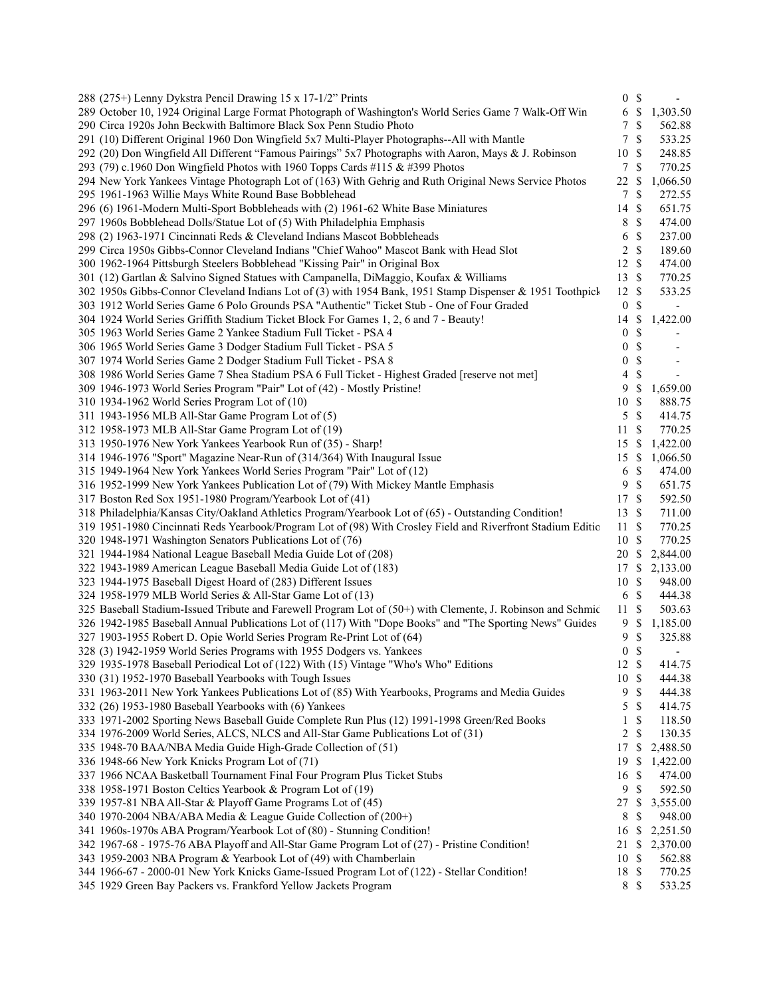| 288 (275+) Lenny Dykstra Pencil Drawing 15 x 17-1/2" Prints |                                                                                                             | $\boldsymbol{0}$ | $\mathcal{S}$ |                          |
|-------------------------------------------------------------|-------------------------------------------------------------------------------------------------------------|------------------|---------------|--------------------------|
|                                                             | 289 October 10, 1924 Original Large Format Photograph of Washington's World Series Game 7 Walk-Off Win      | 6                | $\mathbb{S}$  | 1,303.50                 |
|                                                             | 290 Circa 1920s John Beckwith Baltimore Black Sox Penn Studio Photo                                         | 7                | $\mathcal{S}$ | 562.88                   |
|                                                             | 291 (10) Different Original 1960 Don Wingfield 5x7 Multi-Player Photographs--All with Mantle                | 7                | \$            | 533.25                   |
|                                                             | 292 (20) Don Wingfield All Different "Famous Pairings" 5x7 Photographs with Aaron, Mays & J. Robinson       | $10\,$           | <sup>\$</sup> | 248.85                   |
|                                                             | 293 (79) c.1960 Don Wingfield Photos with 1960 Topps Cards #115 & #399 Photos                               | $\tau$           | <sup>\$</sup> | 770.25                   |
|                                                             | 294 New York Yankees Vintage Photograph Lot of (163) With Gehrig and Ruth Original News Service Photos      | 22               | \$            | 1,066.50                 |
| 295 1961-1963 Willie Mays White Round Base Bobblehead       |                                                                                                             | 7                | <sup>\$</sup> | 272.55                   |
|                                                             | 296 (6) 1961-Modern Multi-Sport Bobbleheads with (2) 1961-62 White Base Miniatures                          | 14               | <sup>\$</sup> | 651.75                   |
|                                                             | 297 1960s Bobblehead Dolls/Statue Lot of (5) With Philadelphia Emphasis                                     | 8                | <sup>\$</sup> | 474.00                   |
|                                                             | 298 (2) 1963-1971 Cincinnati Reds & Cleveland Indians Mascot Bobbleheads                                    | 6                | \$            | 237.00                   |
|                                                             | 299 Circa 1950s Gibbs-Connor Cleveland Indians "Chief Wahoo" Mascot Bank with Head Slot                     | 2                | $\mathbb{S}$  | 189.60                   |
|                                                             | 300 1962-1964 Pittsburgh Steelers Bobblehead "Kissing Pair" in Original Box                                 | 12               | $\mathcal{S}$ | 474.00                   |
|                                                             | 301 (12) Gartlan & Salvino Signed Statues with Campanella, DiMaggio, Koufax & Williams                      | $13 \text{ }$ \$ |               | 770.25                   |
|                                                             | 302 1950s Gibbs-Connor Cleveland Indians Lot of (3) with 1954 Bank, 1951 Stamp Dispenser & 1951 Toothpick   | 12 \$            |               | 533.25                   |
|                                                             | 303 1912 World Series Game 6 Polo Grounds PSA "Authentic" Ticket Stub - One of Four Graded                  | $\boldsymbol{0}$ | \$            |                          |
|                                                             |                                                                                                             |                  |               | 1,422.00                 |
|                                                             | 304 1924 World Series Griffith Stadium Ticket Block For Games 1, 2, 6 and 7 - Beauty!                       | 14               | \$            |                          |
|                                                             | 305 1963 World Series Game 2 Yankee Stadium Full Ticket - PSA 4                                             | $\boldsymbol{0}$ | \$            |                          |
|                                                             | 306 1965 World Series Game 3 Dodger Stadium Full Ticket - PSA 5                                             | $\boldsymbol{0}$ | \$            |                          |
|                                                             | 307 1974 World Series Game 2 Dodger Stadium Full Ticket - PSA 8                                             | $\boldsymbol{0}$ | \$            | $\overline{\phantom{a}}$ |
|                                                             | 308 1986 World Series Game 7 Shea Stadium PSA 6 Full Ticket - Highest Graded [reserve not met]              | 4                | \$            | $\overline{\phantom{a}}$ |
|                                                             | 309 1946-1973 World Series Program "Pair" Lot of (42) - Mostly Pristine!                                    | 9                | \$            | 1,659.00                 |
| 310 1934-1962 World Series Program Lot of (10)              |                                                                                                             | 10               | \$            | 888.75                   |
| 311 1943-1956 MLB All-Star Game Program Lot of (5)          |                                                                                                             | 5                | $\mathcal{S}$ | 414.75                   |
| 312 1958-1973 MLB All-Star Game Program Lot of (19)         |                                                                                                             | 11               | $\mathcal{S}$ | 770.25                   |
|                                                             | 313 1950-1976 New York Yankees Yearbook Run of (35) - Sharp!                                                | 15               | -S            | 1,422.00                 |
|                                                             | 314 1946-1976 "Sport" Magazine Near-Run of (314/364) With Inaugural Issue                                   | 15               | \$            | 1,066.50                 |
|                                                             | 315 1949-1964 New York Yankees World Series Program "Pair" Lot of (12)                                      | 6                | \$            | 474.00                   |
|                                                             | 316 1952-1999 New York Yankees Publication Lot of (79) With Mickey Mantle Emphasis                          | 9                | \$            | 651.75                   |
|                                                             | 317 Boston Red Sox 1951-1980 Program/Yearbook Lot of (41)                                                   | 17               | $\mathcal{S}$ | 592.50                   |
|                                                             | 318 Philadelphia/Kansas City/Oakland Athletics Program/Yearbook Lot of (65) - Outstanding Condition!        | 13               | $\mathcal{S}$ | 711.00                   |
|                                                             | 319 1951-1980 Cincinnati Reds Yearbook/Program Lot of (98) With Crosley Field and Riverfront Stadium Editio | 11               | \$            | 770.25                   |
| 320 1948-1971 Washington Senators Publications Lot of (76)  |                                                                                                             | 10               | \$            | 770.25                   |
|                                                             | 321 1944-1984 National League Baseball Media Guide Lot of (208)                                             | 20               | <sup>\$</sup> | 2,844.00                 |
|                                                             | 322 1943-1989 American League Baseball Media Guide Lot of (183)                                             | 17               | -S            | 2,133.00                 |
|                                                             | 323 1944-1975 Baseball Digest Hoard of (283) Different Issues                                               | 10               | $\mathbb{S}$  | 948.00                   |
|                                                             | 324 1958-1979 MLB World Series & All-Star Game Lot of (13)                                                  | 6                | $\mathcal{S}$ | 444.38                   |
|                                                             | 325 Baseball Stadium-Issued Tribute and Farewell Program Lot of (50+) with Clemente, J. Robinson and Schmic | 11S              |               | 503.63                   |
|                                                             | 326 1942-1985 Baseball Annual Publications Lot of (117) With "Dope Books" and "The Sporting News" Guides    | 9                | \$            | 1,185.00                 |
|                                                             | 327 1903-1955 Robert D. Opie World Series Program Re-Print Lot of (64)                                      | 9                | \$            | 325.88                   |
|                                                             | 328 (3) 1942-1959 World Series Programs with 1955 Dodgers vs. Yankees                                       | $\boldsymbol{0}$ | \$            |                          |
|                                                             | 329 1935-1978 Baseball Periodical Lot of (122) With (15) Vintage "Who's Who" Editions                       | 12 \$            |               | 414.75                   |
|                                                             |                                                                                                             |                  | <sup>\$</sup> |                          |
| 330 (31) 1952-1970 Baseball Yearbooks with Tough Issues     |                                                                                                             | 10               |               | 444.38<br>444.38         |
|                                                             | 331 1963-2011 New York Yankees Publications Lot of (85) With Yearbooks, Programs and Media Guides           | 9                | \$            |                          |
| 332 (26) 1953-1980 Baseball Yearbooks with (6) Yankees      |                                                                                                             | 5                | \$            | 414.75                   |
|                                                             | 333 1971-2002 Sporting News Baseball Guide Complete Run Plus (12) 1991-1998 Green/Red Books                 | 1                | \$            | 118.50                   |
|                                                             | 334 1976-2009 World Series, ALCS, NLCS and All-Star Game Publications Lot of (31)                           | $\overline{c}$   | \$            | 130.35                   |
|                                                             | 335 1948-70 BAA/NBA Media Guide High-Grade Collection of (51)                                               | 17               | \$            | 2,488.50                 |
| 336 1948-66 New York Knicks Program Lot of (71)             |                                                                                                             | 19               | \$            | 1,422.00                 |
|                                                             | 337 1966 NCAA Basketball Tournament Final Four Program Plus Ticket Stubs                                    | 16               | \$            | 474.00                   |
|                                                             | 338 1958-1971 Boston Celtics Yearbook & Program Lot of (19)                                                 | 9                | \$            | 592.50                   |
|                                                             | 339 1957-81 NBA All-Star & Playoff Game Programs Lot of (45)                                                | 27               | \$            | 3,555.00                 |
|                                                             | 340 1970-2004 NBA/ABA Media & League Guide Collection of (200+)                                             | 8                | \$            | 948.00                   |
|                                                             | 341 1960s-1970s ABA Program/Yearbook Lot of (80) - Stunning Condition!                                      | 16               | \$            | 2,251.50                 |
|                                                             | 342 1967-68 - 1975-76 ABA Playoff and All-Star Game Program Lot of (27) - Pristine Condition!               | 21               | \$            | 2,370.00                 |
|                                                             | 343 1959-2003 NBA Program & Yearbook Lot of (49) with Chamberlain                                           | 10 \$            |               | 562.88                   |
|                                                             | 344 1966-67 - 2000-01 New York Knicks Game-Issued Program Lot of (122) - Stellar Condition!                 | 18 \$            |               | 770.25                   |
|                                                             | 345 1929 Green Bay Packers vs. Frankford Yellow Jackets Program                                             | 8 \$             |               | 533.25                   |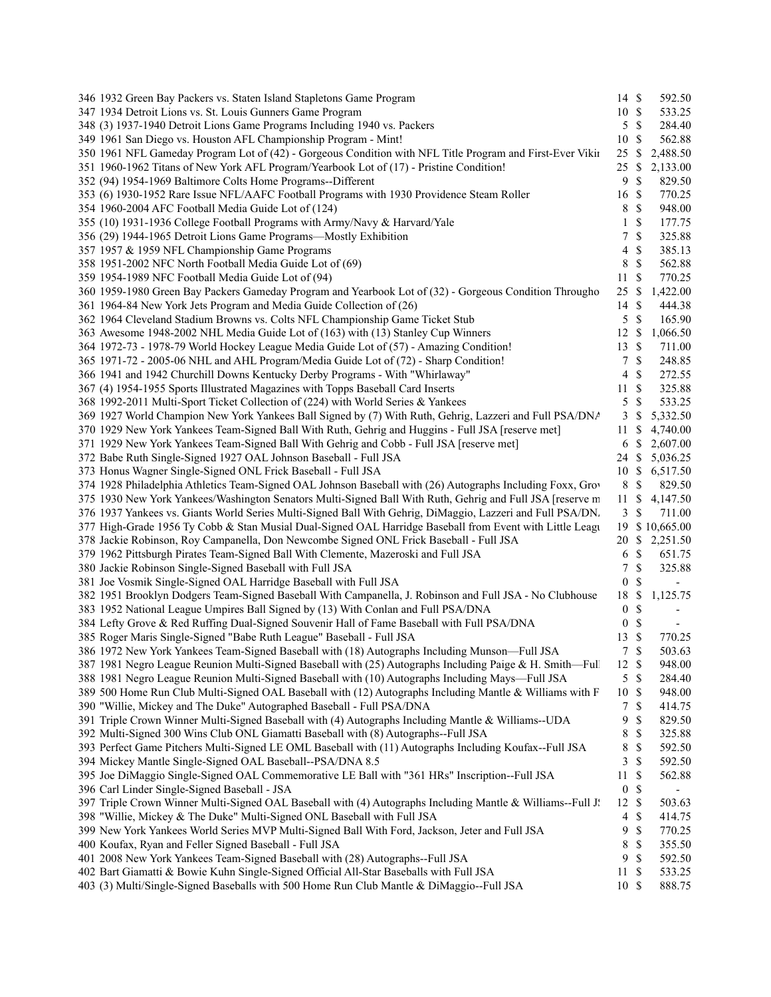| 346 1932 Green Bay Packers vs. Staten Island Stapletons Game Program                                                                                       | $14 \text{ }$ \$   |                    | 592.50                   |  |
|------------------------------------------------------------------------------------------------------------------------------------------------------------|--------------------|--------------------|--------------------------|--|
| 347 1934 Detroit Lions vs. St. Louis Gunners Game Program                                                                                                  | 10 \$              |                    | 533.25                   |  |
| 348 (3) 1937-1940 Detroit Lions Game Programs Including 1940 vs. Packers                                                                                   | 5                  | $\mathbb{S}$       | 284.40                   |  |
| 349 1961 San Diego vs. Houston AFL Championship Program - Mint!                                                                                            | 10                 | -S                 | 562.88                   |  |
| 350 1961 NFL Gameday Program Lot of (42) - Gorgeous Condition with NFL Title Program and First-Ever Vikin                                                  | 25S                |                    | 2,488.50                 |  |
| 351 1960-1962 Titans of New York AFL Program/Yearbook Lot of (17) - Pristine Condition!                                                                    | 25S                |                    | 2,133.00                 |  |
| 352 (94) 1954-1969 Baltimore Colts Home Programs--Different                                                                                                | 9                  | $\mathbb{S}$       | 829.50                   |  |
| 353 (6) 1930-1952 Rare Issue NFL/AAFC Football Programs with 1930 Providence Steam Roller                                                                  | 16 \$              |                    | 770.25                   |  |
| 354 1960-2004 AFC Football Media Guide Lot of (124)                                                                                                        | 8                  | $\mathbb{S}$       | 948.00                   |  |
| 355 (10) 1931-1936 College Football Programs with Army/Navy & Harvard/Yale                                                                                 | 1                  | \$                 | 177.75                   |  |
| 356 (29) 1944-1965 Detroit Lions Game Programs—Mostly Exhibition                                                                                           | 7                  | $\mathbb S$        | 325.88                   |  |
| 357 1957 & 1959 NFL Championship Game Programs                                                                                                             | 4                  | $\mathbb S$        | 385.13                   |  |
| 358 1951-2002 NFC North Football Media Guide Lot of (69)                                                                                                   | 8                  | $\mathbb S$        | 562.88                   |  |
| 359 1954-1989 NFC Football Media Guide Lot of (94)                                                                                                         | 11S                |                    | 770.25                   |  |
| 360 1959-1980 Green Bay Packers Gameday Program and Yearbook Lot of (32) - Gorgeous Condition Througho                                                     | 25S                |                    | 1,422.00                 |  |
| 361 1964-84 New York Jets Program and Media Guide Collection of (26)                                                                                       | 14                 | <sup>\$</sup>      | 444.38                   |  |
| 362 1964 Cleveland Stadium Browns vs. Colts NFL Championship Game Ticket Stub                                                                              | 5                  | \$                 | 165.90                   |  |
| 363 Awesome 1948-2002 NHL Media Guide Lot of (163) with (13) Stanley Cup Winners                                                                           | 12S                |                    | 1,066.50                 |  |
| 364 1972-73 - 1978-79 World Hockey League Media Guide Lot of (57) - Amazing Condition!                                                                     | 13 \$              |                    | 711.00                   |  |
| 365 1971-72 - 2005-06 NHL and AHL Program/Media Guide Lot of (72) - Sharp Condition!                                                                       | 7                  | $\mathbb{S}$       | 248.85                   |  |
| 366 1941 and 1942 Churchill Downs Kentucky Derby Programs - With "Whirlaway"                                                                               | 4                  | $\mathbb{S}$       | 272.55                   |  |
| 367 (4) 1954-1955 Sports Illustrated Magazines with Topps Baseball Card Inserts                                                                            | 11                 | $\mathbb{S}$       | 325.88                   |  |
| 368 1992-2011 Multi-Sport Ticket Collection of (224) with World Series & Yankees                                                                           | 5                  | \$                 | 533.25                   |  |
| 369 1927 World Champion New York Yankees Ball Signed by (7) With Ruth, Gehrig, Lazzeri and Full PSA/DNA                                                    | 3                  | <sup>\$</sup>      | 5,332.50                 |  |
| 370 1929 New York Yankees Team-Signed Ball With Ruth, Gehrig and Huggins - Full JSA [reserve met]                                                          | 11S                |                    | 4,740.00                 |  |
| 371 1929 New York Yankees Team-Signed Ball With Gehrig and Cobb - Full JSA [reserve met]                                                                   |                    |                    | 6 \$ 2,607.00            |  |
| 372 Babe Ruth Single-Signed 1927 OAL Johnson Baseball - Full JSA                                                                                           |                    |                    | 24 \$ 5,036.25           |  |
| 373 Honus Wagner Single-Signed ONL Frick Baseball - Full JSA                                                                                               |                    |                    | 10 \$ 6,517.50           |  |
| 374 1928 Philadelphia Athletics Team-Signed OAL Johnson Baseball with (26) Autographs Including Foxx, Grov                                                 | 8                  | $\mathbb{S}$       | 829.50                   |  |
| 375 1930 New York Yankees/Washington Senators Multi-Signed Ball With Ruth, Gehrig and Full JSA [reserve m                                                  | 11S                |                    | 4,147.50                 |  |
| 376 1937 Yankees vs. Giants World Series Multi-Signed Ball With Gehrig, DiMaggio, Lazzeri and Full PSA/DN.                                                 | $3 \sqrt{3}$       |                    | 711.00                   |  |
| 377 High-Grade 1956 Ty Cobb & Stan Musial Dual-Signed OAL Harridge Baseball from Event with Little Leagu                                                   |                    |                    | 19 \$10,665.00           |  |
| 378 Jackie Robinson, Roy Campanella, Don Newcombe Signed ONL Frick Baseball - Full JSA                                                                     |                    |                    | 20 \$ 2,251.50           |  |
| 379 1962 Pittsburgh Pirates Team-Signed Ball With Clemente, Mazeroski and Full JSA                                                                         | 6                  | $\mathbb{S}$       | 651.75                   |  |
| 380 Jackie Robinson Single-Signed Baseball with Full JSA                                                                                                   | 7                  | \$                 | 325.88                   |  |
| 381 Joe Vosmik Single-Signed OAL Harridge Baseball with Full JSA                                                                                           | $\boldsymbol{0}$   | <sup>\$</sup>      | $\overline{\phantom{a}}$ |  |
| 382 1951 Brooklyn Dodgers Team-Signed Baseball With Campanella, J. Robinson and Full JSA - No Clubhouse                                                    | 18 \$              |                    | 1,125.75                 |  |
| 383 1952 National League Umpires Ball Signed by (13) With Conlan and Full PSA/DNA                                                                          | $\overline{0}$     | \$                 | $\overline{\phantom{a}}$ |  |
| 384 Lefty Grove & Red Ruffing Dual-Signed Souvenir Hall of Fame Baseball with Full PSA/DNA                                                                 | $\boldsymbol{0}$   | -S                 | $\overline{\phantom{a}}$ |  |
| 385 Roger Maris Single-Signed "Babe Ruth League" Baseball - Full JSA                                                                                       | 13                 | $\mathbb{S}$       | 770.25                   |  |
| 386 1972 New York Yankees Team-Signed Baseball with (18) Autographs Including Munson—Full JSA                                                              | 7                  | $\mathcal{S}$      | 503.63                   |  |
| 387 1981 Negro League Reunion Multi-Signed Baseball with (25) Autographs Including Paige & H. Smith--Full                                                  | 12S                |                    | 948.00                   |  |
| 388 1981 Negro League Reunion Multi-Signed Baseball with (10) Autographs Including Mays—Full JSA                                                           | 5S                 |                    | 284.40                   |  |
| 389 500 Home Run Club Multi-Signed OAL Baseball with (12) Autographs Including Mantle & Williams with F                                                    | 10S                |                    | 948.00                   |  |
| 390 "Willie, Mickey and The Duke" Autographed Baseball - Full PSA/DNA                                                                                      | 7                  | \$                 | 414.75                   |  |
| 391 Triple Crown Winner Multi-Signed Baseball with (4) Autographs Including Mantle & Williams--UDA                                                         | 9                  | \$                 | 829.50                   |  |
| 392 Multi-Signed 300 Wins Club ONL Giamatti Baseball with (8) Autographs--Full JSA                                                                         | 8                  | \$                 | 325.88                   |  |
| 393 Perfect Game Pitchers Multi-Signed LE OML Baseball with (11) Autographs Including Koufax--Full JSA                                                     | 8<br>3             | \$                 | 592.50                   |  |
| 394 Mickey Mantle Single-Signed OAL Baseball--PSA/DNA 8.5                                                                                                  |                    | \$                 | 592.50                   |  |
| 395 Joe DiMaggio Single-Signed OAL Commemorative LE Ball with "361 HRs" Inscription--Full JSA                                                              | 11                 | \$                 | 562.88                   |  |
| 396 Carl Linder Single-Signed Baseball - JSA<br>397 Triple Crown Winner Multi-Signed OAL Baseball with (4) Autographs Including Mantle & Williams--Full J. | $\mathbf{0}$<br>12 | \$<br>$\mathbb{S}$ | $\blacksquare$<br>503.63 |  |
| 398 "Willie, Mickey & The Duke" Multi-Signed ONL Baseball with Full JSA                                                                                    | 4                  | \$                 | 414.75                   |  |
| 399 New York Yankees World Series MVP Multi-Signed Ball With Ford, Jackson, Jeter and Full JSA                                                             | 9                  | \$                 | 770.25                   |  |
| 400 Koufax, Ryan and Feller Signed Baseball - Full JSA                                                                                                     | 8                  | \$                 | 355.50                   |  |
| 401 2008 New York Yankees Team-Signed Baseball with (28) Autographs--Full JSA                                                                              | 9                  | $\mathbb{S}$       | 592.50                   |  |
| 402 Bart Giamatti & Bowie Kuhn Single-Signed Official All-Star Baseballs with Full JSA                                                                     | 11S                |                    | 533.25                   |  |
| 403 (3) Multi/Single-Signed Baseballs with 500 Home Run Club Mantle & DiMaggio--Full JSA                                                                   | 10 \$              |                    | 888.75                   |  |
|                                                                                                                                                            |                    |                    |                          |  |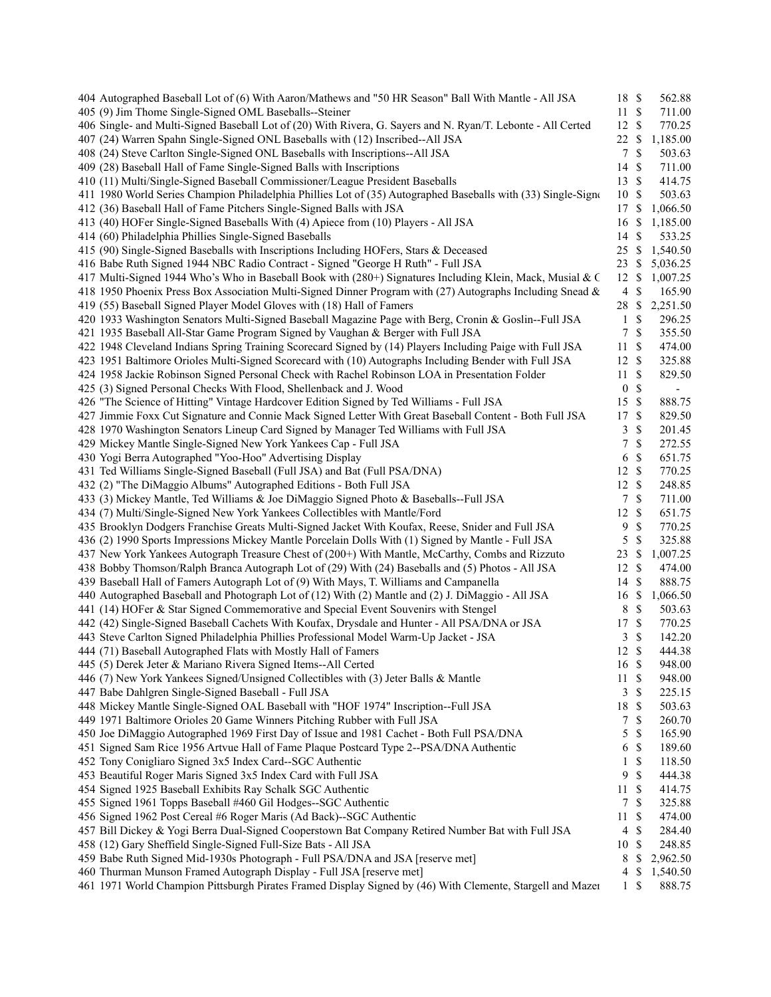| 404 Autographed Baseball Lot of (6) With Aaron/Mathews and "50 HR Season" Ball With Mantle - All JSA          | 18 \$            |               | 562.88                   |  |
|---------------------------------------------------------------------------------------------------------------|------------------|---------------|--------------------------|--|
| 405 (9) Jim Thome Single-Signed OML Baseballs--Steiner                                                        | 11S              |               | 711.00                   |  |
| 406 Single- and Multi-Signed Baseball Lot of (20) With Rivera, G. Sayers and N. Ryan/T. Lebonte - All Certed  | 12S              |               | 770.25                   |  |
| 407 (24) Warren Spahn Single-Signed ONL Baseballs with (12) Inscribed--All JSA                                | 22S              |               | 1,185.00                 |  |
| 408 (24) Steve Carlton Single-Signed ONL Baseballs with Inscriptions--All JSA                                 | 7                | <sup>\$</sup> | 503.63                   |  |
| 409 (28) Baseball Hall of Fame Single-Signed Balls with Inscriptions                                          | 14               | -\$           | 711.00                   |  |
| 410 (11) Multi/Single-Signed Baseball Commissioner/League President Baseballs                                 | 13S              |               | 414.75                   |  |
| 411 1980 World Series Champion Philadelphia Phillies Lot of (35) Autographed Baseballs with (33) Single-Signo | 10S              |               | 503.63                   |  |
| 412 (36) Baseball Hall of Fame Pitchers Single-Signed Balls with JSA                                          | 17 \$            |               | 1,066.50                 |  |
| 413 (40) HOFer Single-Signed Baseballs With (4) Apiece from (10) Players - All JSA                            | 16               | - \$          | 1,185.00                 |  |
| 414 (60) Philadelphia Phillies Single-Signed Baseballs                                                        | 14S              |               | 533.25                   |  |
| 415 (90) Single-Signed Baseballs with Inscriptions Including HOFers, Stars & Deceased                         | 25S              |               | 1,540.50                 |  |
| 416 Babe Ruth Signed 1944 NBC Radio Contract - Signed "George H Ruth" - Full JSA                              | 23S              |               | 5,036.25                 |  |
| 417 Multi-Signed 1944 Who's Who in Baseball Book with (280+) Signatures Including Klein, Mack, Musial & C     | 12S              |               | 1,007.25                 |  |
| 418 1950 Phoenix Press Box Association Multi-Signed Dinner Program with (27) Autographs Including Snead &     | 4                | \$            | 165.90                   |  |
| 419 (55) Baseball Signed Player Model Gloves with (18) Hall of Famers                                         | 28 \$            |               | 2,251.50                 |  |
| 420 1933 Washington Senators Multi-Signed Baseball Magazine Page with Berg, Cronin & Goslin--Full JSA         | 1                | $\mathbb{S}$  | 296.25                   |  |
| 421 1935 Baseball All-Star Game Program Signed by Vaughan & Berger with Full JSA                              | 7                | \$            | 355.50                   |  |
| 422 1948 Cleveland Indians Spring Training Scorecard Signed by (14) Players Including Paige with Full JSA     | 11S              |               | 474.00                   |  |
| 423 1951 Baltimore Orioles Multi-Signed Scorecard with (10) Autographs Including Bender with Full JSA         | 12S              |               | 325.88                   |  |
| 424 1958 Jackie Robinson Signed Personal Check with Rachel Robinson LOA in Presentation Folder                | 11S              |               | 829.50                   |  |
| 425 (3) Signed Personal Checks With Flood, Shellenback and J. Wood                                            | $\boldsymbol{0}$ | $\mathbb{S}$  | $\overline{\phantom{a}}$ |  |
| 426 "The Science of Hitting" Vintage Hardcover Edition Signed by Ted Williams - Full JSA                      | 15 \$            |               | 888.75                   |  |
| 427 Jimmie Foxx Cut Signature and Connie Mack Signed Letter With Great Baseball Content - Both Full JSA       | 17 \$            |               | 829.50                   |  |
| 428 1970 Washington Senators Lineup Card Signed by Manager Ted Williams with Full JSA                         | 3                | <sup>\$</sup> | 201.45                   |  |
| 429 Mickey Mantle Single-Signed New York Yankees Cap - Full JSA                                               | 7                | \$            | 272.55                   |  |
| 430 Yogi Berra Autographed "Yoo-Hoo" Advertising Display                                                      | 6                | \$            | 651.75                   |  |
| 431 Ted Williams Single-Signed Baseball (Full JSA) and Bat (Full PSA/DNA)                                     | 12S              |               | 770.25                   |  |
| 432 (2) "The DiMaggio Albums" Autographed Editions - Both Full JSA                                            | 12S              |               | 248.85                   |  |
| 433 (3) Mickey Mantle, Ted Williams & Joe DiMaggio Signed Photo & Baseballs--Full JSA                         | 7                | $\mathbb{S}$  | 711.00                   |  |
| 434 (7) Multi/Single-Signed New York Yankees Collectibles with Mantle/Ford                                    | 12S              |               | 651.75                   |  |
| 435 Brooklyn Dodgers Franchise Greats Multi-Signed Jacket With Koufax, Reese, Snider and Full JSA             | 9                | \$            | 770.25                   |  |
| 436 (2) 1990 Sports Impressions Mickey Mantle Porcelain Dolls With (1) Signed by Mantle - Full JSA            | 5                | \$            | 325.88                   |  |
| 437 New York Yankees Autograph Treasure Chest of (200+) With Mantle, McCarthy, Combs and Rizzuto              | 23 \$            |               | 1,007.25                 |  |
| 438 Bobby Thomson/Ralph Branca Autograph Lot of (29) With (24) Baseballs and (5) Photos - All JSA             | 12S              |               | 474.00                   |  |
| 439 Baseball Hall of Famers Autograph Lot of (9) With Mays, T. Williams and Campanella                        | 14S              |               | 888.75                   |  |
| 440 Autographed Baseball and Photograph Lot of (12) With (2) Mantle and (2) J. DiMaggio - All JSA             | 16 \$            |               | 1,066.50                 |  |
| 441 (14) HOFer & Star Signed Commemorative and Special Event Souvenirs with Stengel                           | 8                | $\mathcal{S}$ | 503.63                   |  |
| 442 (42) Single-Signed Baseball Cachets With Koufax, Drysdale and Hunter - All PSA/DNA or JSA                 | 17S              |               | 770.25                   |  |
| 443 Steve Carlton Signed Philadelphia Phillies Professional Model Warm-Up Jacket - JSA                        | 3                | \$            | 142.20                   |  |
| 444 (71) Baseball Autographed Flats with Mostly Hall of Famers                                                | 12S              |               | 444.38                   |  |
| 445 (5) Derek Jeter & Mariano Rivera Signed Items--All Certed                                                 | 16 \$            |               | 948.00                   |  |
| 446 (7) New York Yankees Signed/Unsigned Collectibles with (3) Jeter Balls & Mantle                           | 11S              |               | 948.00                   |  |
| 447 Babe Dahlgren Single-Signed Baseball - Full JSA                                                           | 3                | -\$           | 225.15                   |  |
| 448 Mickey Mantle Single-Signed OAL Baseball with "HOF 1974" Inscription--Full JSA                            | 18               | - \$          | 503.63                   |  |
|                                                                                                               |                  |               |                          |  |
| 449 1971 Baltimore Orioles 20 Game Winners Pitching Rubber with Full JSA                                      | 7                | \$            | 260.70                   |  |
| 450 Joe DiMaggio Autographed 1969 First Day of Issue and 1981 Cachet - Both Full PSA/DNA                      | 5                | $\mathbb{S}$  | 165.90                   |  |
| 451 Signed Sam Rice 1956 Artvue Hall of Fame Plaque Postcard Type 2--PSA/DNA Authentic                        | 6                | -\$           | 189.60                   |  |
| 452 Tony Conigliaro Signed 3x5 Index Card--SGC Authentic                                                      | 1<br>9           | \$            | 118.50                   |  |
| 453 Beautiful Roger Maris Signed 3x5 Index Card with Full JSA                                                 | 11S              | <sup>\$</sup> | 444.38                   |  |
| 454 Signed 1925 Baseball Exhibits Ray Schalk SGC Authentic                                                    |                  |               | 414.75                   |  |
| 455 Signed 1961 Topps Baseball #460 Gil Hodges--SGC Authentic                                                 | 7                | -\$           | 325.88                   |  |
| 456 Signed 1962 Post Cereal #6 Roger Maris (Ad Back)--SGC Authentic                                           | 11               | - \$          | 474.00                   |  |
| 457 Bill Dickey & Yogi Berra Dual-Signed Cooperstown Bat Company Retired Number Bat with Full JSA             | $\overline{4}$   | $\mathbb{S}$  | 284.40                   |  |
| 458 (12) Gary Sheffield Single-Signed Full-Size Bats - All JSA                                                | 10               | -S            | 248.85                   |  |
| 459 Babe Ruth Signed Mid-1930s Photograph - Full PSA/DNA and JSA [reserve met]                                | 8                | -S            | 2,962.50                 |  |
| 460 Thurman Munson Framed Autograph Display - Full JSA [reserve met]                                          | 4                | \$            | 1,540.50                 |  |
| 461 1971 World Champion Pittsburgh Pirates Framed Display Signed by (46) With Clemente, Stargell and Mazer    | 1                | \$            | 888.75                   |  |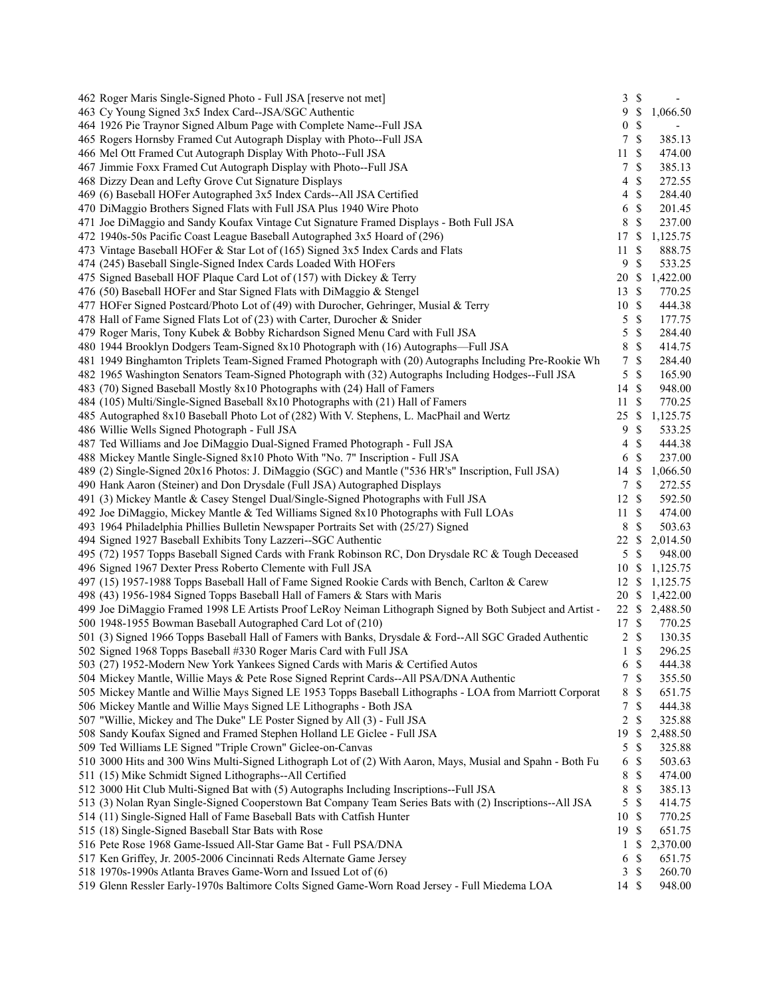| \$<br>463 Cy Young Signed 3x5 Index Card--JSA/SGC Authentic<br>9<br>1,066.50<br>\$<br>464 1926 Pie Traynor Signed Album Page with Complete Name--Full JSA<br>$\boldsymbol{0}$<br>$\mathbb{S}$<br>465 Rogers Hornsby Framed Cut Autograph Display with Photo--Full JSA<br>$\tau$<br>385.13<br>11S<br>466 Mel Ott Framed Cut Autograph Display With Photo--Full JSA<br>474.00<br>\$<br>467 Jimmie Foxx Framed Cut Autograph Display with Photo--Full JSA<br>7<br>385.13<br>\$<br>272.55<br>468 Dizzy Dean and Lefty Grove Cut Signature Displays<br>$\overline{4}$<br>$\mathcal{S}$<br>469 (6) Baseball HOFer Autographed 3x5 Index Cards--All JSA Certified<br>$\overline{4}$<br>284.40<br>$\mathbb{S}$<br>470 DiMaggio Brothers Signed Flats with Full JSA Plus 1940 Wire Photo<br>201.45<br>6<br>$\mathcal{S}$<br>8<br>237.00<br>471 Joe DiMaggio and Sandy Koufax Vintage Cut Signature Framed Displays - Both Full JSA<br>1,125.75<br>472 1940s-50s Pacific Coast League Baseball Autographed 3x5 Hoard of (296)<br>17 \$<br>$\mathcal{S}$<br>888.75<br>473 Vintage Baseball HOFer & Star Lot of (165) Signed 3x5 Index Cards and Flats<br>11<br>$\mathcal{S}$<br>9<br>533.25<br>474 (245) Baseball Single-Signed Index Cards Loaded With HOFers<br>475 Signed Baseball HOF Plaque Card Lot of (157) with Dickey & Terry<br>20 \$<br>1,422.00<br>13 \$<br>476 (50) Baseball HOFer and Star Signed Flats with DiMaggio & Stengel<br>770.25<br>10S<br>477 HOFer Signed Postcard/Photo Lot of (49) with Durocher, Gehringer, Musial & Terry<br>444.38<br>5<br>$\mathbb{S}$<br>478 Hall of Fame Signed Flats Lot of (23) with Carter, Durocher & Snider<br>177.75<br>$\mathcal{S}$<br>479 Roger Maris, Tony Kubek & Bobby Richardson Signed Menu Card with Full JSA<br>5<br>284.40<br>$\mathcal{S}$<br>8<br>480 1944 Brooklyn Dodgers Team-Signed 8x10 Photograph with (16) Autographs—Full JSA<br>414.75<br>$\mathcal{S}$<br>$\tau$<br>481 1949 Binghamton Triplets Team-Signed Framed Photograph with (20) Autographs Including Pre-Rookie Wh<br>284.40<br>482 1965 Washington Senators Team-Signed Photograph with (32) Autographs Including Hodges--Full JSA<br>5<br>$\mathcal{S}$<br>165.90<br>483 (70) Signed Baseball Mostly 8x10 Photographs with (24) Hall of Famers<br>14 \$<br>948.00<br>11S<br>484 (105) Multi/Single-Signed Baseball 8x10 Photographs with (21) Hall of Famers<br>770.25<br>25 \$<br>485 Autographed 8x10 Baseball Photo Lot of (282) With V. Stephens, L. MacPhail and Wertz<br>1,125.75<br>$\mathcal{S}$<br>9<br>533.25<br>486 Willie Wells Signed Photograph - Full JSA<br>\$<br>$\overline{4}$<br>444.38<br>487 Ted Williams and Joe DiMaggio Dual-Signed Framed Photograph - Full JSA<br>6S<br>488 Mickey Mantle Single-Signed 8x10 Photo With "No. 7" Inscription - Full JSA<br>237.00<br>14 \$<br>489 (2) Single-Signed 20x16 Photos: J. DiMaggio (SGC) and Mantle ("536 HR's" Inscription, Full JSA)<br>1,066.50<br>$\mathcal{S}$<br>490 Hank Aaron (Steiner) and Don Drysdale (Full JSA) Autographed Displays<br>$\tau$<br>272.55<br>12S<br>491 (3) Mickey Mantle & Casey Stengel Dual/Single-Signed Photographs with Full JSA<br>592.50<br>11S<br>492 Joe DiMaggio, Mickey Mantle & Ted Williams Signed 8x10 Photographs with Full LOAs<br>474.00<br>8 \$<br>503.63<br>493 1964 Philadelphia Phillies Bulletin Newspaper Portraits Set with (25/27) Signed<br>494 Signed 1927 Baseball Exhibits Tony Lazzeri--SGC Authentic<br>22<br>-S<br>2,014.50<br>$\mathbb{S}$<br>495 (72) 1957 Topps Baseball Signed Cards with Frank Robinson RC, Don Drysdale RC & Tough Deceased<br>5<br>948.00<br>496 Signed 1967 Dexter Press Roberto Clemente with Full JSA<br>1,125.75<br>10 \$<br>1,125.75<br>497 (15) 1957-1988 Topps Baseball Hall of Fame Signed Rookie Cards with Bench, Carlton & Carew<br>12S<br>$20 \text{ }$ \$<br>498 (43) 1956-1984 Signed Topps Baseball Hall of Famers & Stars with Maris<br>1,422.00<br>499 Joe DiMaggio Framed 1998 LE Artists Proof LeRoy Neiman Lithograph Signed by Both Subject and Artist -<br>22 \$ 2,488.50<br>17 \$<br>500 1948-1955 Bowman Baseball Autographed Card Lot of (210)<br>770.25<br>501 (3) Signed 1966 Topps Baseball Hall of Famers with Banks, Drysdale & Ford--All SGC Graded Authentic<br>$\overline{c}$<br>$\mathbb{S}$<br>130.35<br>\$<br>$\mathbf{1}$<br>502 Signed 1968 Topps Baseball #330 Roger Maris Card with Full JSA<br>296.25<br>6 <sup>°</sup><br>503 (27) 1952-Modern New York Yankees Signed Cards with Maris & Certified Autos<br>444.38<br>$\mathbb{S}$<br>504 Mickey Mantle, Willie Mays & Pete Rose Signed Reprint Cards--All PSA/DNA Authentic<br>$\tau$<br>355.50<br>\$<br>505 Mickey Mantle and Willie Mays Signed LE 1953 Topps Baseball Lithographs - LOA from Marriott Corporat<br>8<br>651.75<br>$\mathbb{S}$<br>506 Mickey Mantle and Willie Mays Signed LE Lithographs - Both JSA<br>7<br>444.38<br>$\overline{c}$<br>\$<br>325.88<br>507 "Willie, Mickey and The Duke" LE Poster Signed by All (3) - Full JSA<br>2,488.50<br>508 Sandy Koufax Signed and Framed Stephen Holland LE Giclee - Full JSA<br>19<br><sup>\$</sup><br>$\mathcal{S}$<br>509 Ted Williams LE Signed "Triple Crown" Giclee-on-Canvas<br>5<br>325.88<br>\$<br>510 3000 Hits and 300 Wins Multi-Signed Lithograph Lot of (2) With Aaron, Mays, Musial and Spahn - Both Fu<br>503.63<br>6<br>\$<br>511 (15) Mike Schmidt Signed Lithographs--All Certified<br>474.00<br>8<br>\$<br>8<br>512 3000 Hit Club Multi-Signed Bat with (5) Autographs Including Inscriptions--Full JSA<br>385.13<br>$\mathcal{S}$<br>513 (3) Nolan Ryan Single-Signed Cooperstown Bat Company Team Series Bats with (2) Inscriptions--All JSA<br>5<br>414.75<br>$\mathbb{S}$<br>514 (11) Single-Signed Hall of Fame Baseball Bats with Catfish Hunter<br>10<br>770.25<br>19S<br>651.75<br>515 (18) Single-Signed Baseball Star Bats with Rose<br>516 Pete Rose 1968 Game-Issued All-Star Game Bat - Full PSA/DNA<br>\$<br>2,370.00<br>1<br>\$<br>651.75<br>517 Ken Griffey, Jr. 2005-2006 Cincinnati Reds Alternate Game Jersey<br>6<br>518 1970s-1990s Atlanta Braves Game-Worn and Issued Lot of (6)<br>-\$<br>260.70<br>$\mathbf{3}$<br>14 \$ | 462 Roger Maris Single-Signed Photo - Full JSA [reserve not met]                              | $3 \sqrt{3}$ |        |
|---------------------------------------------------------------------------------------------------------------------------------------------------------------------------------------------------------------------------------------------------------------------------------------------------------------------------------------------------------------------------------------------------------------------------------------------------------------------------------------------------------------------------------------------------------------------------------------------------------------------------------------------------------------------------------------------------------------------------------------------------------------------------------------------------------------------------------------------------------------------------------------------------------------------------------------------------------------------------------------------------------------------------------------------------------------------------------------------------------------------------------------------------------------------------------------------------------------------------------------------------------------------------------------------------------------------------------------------------------------------------------------------------------------------------------------------------------------------------------------------------------------------------------------------------------------------------------------------------------------------------------------------------------------------------------------------------------------------------------------------------------------------------------------------------------------------------------------------------------------------------------------------------------------------------------------------------------------------------------------------------------------------------------------------------------------------------------------------------------------------------------------------------------------------------------------------------------------------------------------------------------------------------------------------------------------------------------------------------------------------------------------------------------------------------------------------------------------------------------------------------------------------------------------------------------------------------------------------------------------------------------------------------------------------------------------------------------------------------------------------------------------------------------------------------------------------------------------------------------------------------------------------------------------------------------------------------------------------------------------------------------------------------------------------------------------------------------------------------------------------------------------------------------------------------------------------------------------------------------------------------------------------------------------------------------------------------------------------------------------------------------------------------------------------------------------------------------------------------------------------------------------------------------------------------------------------------------------------------------------------------------------------------------------------------------------------------------------------------------------------------------------------------------------------------------------------------------------------------------------------------------------------------------------------------------------------------------------------------------------------------------------------------------------------------------------------------------------------------------------------------------------------------------------------------------------------------------------------------------------------------------------------------------------------------------------------------------------------------------------------------------------------------------------------------------------------------------------------------------------------------------------------------------------------------------------------------------------------------------------------------------------------------------------------------------------------------------------------------------------------------------------------------------------------------------------------------------------------------------------------------------------------------------------------------------------------------------------------------------------------------------------------------------------------------------------------------------------------------------------------------------------------------------------------------------------------------------------------------------------------------------------------------------------------------------------------------------------------------------------------------------------------------------------------------------------------------------------------------------------------------------------------------------------------------------------------------------------------------------------------------------------------------------------------------------------------------------------------------------------------------------------------------------------------------------------------------------------------------------------------------------------------------------------------------------------------------------------------------------------------------------------------------------------------------------------------------------------------------------------------------------------------------------------------------------------------------------------------|-----------------------------------------------------------------------------------------------|--------------|--------|
|                                                                                                                                                                                                                                                                                                                                                                                                                                                                                                                                                                                                                                                                                                                                                                                                                                                                                                                                                                                                                                                                                                                                                                                                                                                                                                                                                                                                                                                                                                                                                                                                                                                                                                                                                                                                                                                                                                                                                                                                                                                                                                                                                                                                                                                                                                                                                                                                                                                                                                                                                                                                                                                                                                                                                                                                                                                                                                                                                                                                                                                                                                                                                                                                                                                                                                                                                                                                                                                                                                                                                                                                                                                                                                                                                                                                                                                                                                                                                                                                                                                                                                                                                                                                                                                                                                                                                                                                                                                                                                                                                                                                                                                                                                                                                                                                                                                                                                                                                                                                                                                                                                                                                                                                                                                                                                                                                                                                                                                                                                                                                                                                                                                                                                                                                                                                                                                                                                                                                                                                                                                                                                                                                                                                                     |                                                                                               |              |        |
|                                                                                                                                                                                                                                                                                                                                                                                                                                                                                                                                                                                                                                                                                                                                                                                                                                                                                                                                                                                                                                                                                                                                                                                                                                                                                                                                                                                                                                                                                                                                                                                                                                                                                                                                                                                                                                                                                                                                                                                                                                                                                                                                                                                                                                                                                                                                                                                                                                                                                                                                                                                                                                                                                                                                                                                                                                                                                                                                                                                                                                                                                                                                                                                                                                                                                                                                                                                                                                                                                                                                                                                                                                                                                                                                                                                                                                                                                                                                                                                                                                                                                                                                                                                                                                                                                                                                                                                                                                                                                                                                                                                                                                                                                                                                                                                                                                                                                                                                                                                                                                                                                                                                                                                                                                                                                                                                                                                                                                                                                                                                                                                                                                                                                                                                                                                                                                                                                                                                                                                                                                                                                                                                                                                                                     |                                                                                               |              |        |
|                                                                                                                                                                                                                                                                                                                                                                                                                                                                                                                                                                                                                                                                                                                                                                                                                                                                                                                                                                                                                                                                                                                                                                                                                                                                                                                                                                                                                                                                                                                                                                                                                                                                                                                                                                                                                                                                                                                                                                                                                                                                                                                                                                                                                                                                                                                                                                                                                                                                                                                                                                                                                                                                                                                                                                                                                                                                                                                                                                                                                                                                                                                                                                                                                                                                                                                                                                                                                                                                                                                                                                                                                                                                                                                                                                                                                                                                                                                                                                                                                                                                                                                                                                                                                                                                                                                                                                                                                                                                                                                                                                                                                                                                                                                                                                                                                                                                                                                                                                                                                                                                                                                                                                                                                                                                                                                                                                                                                                                                                                                                                                                                                                                                                                                                                                                                                                                                                                                                                                                                                                                                                                                                                                                                                     |                                                                                               |              |        |
|                                                                                                                                                                                                                                                                                                                                                                                                                                                                                                                                                                                                                                                                                                                                                                                                                                                                                                                                                                                                                                                                                                                                                                                                                                                                                                                                                                                                                                                                                                                                                                                                                                                                                                                                                                                                                                                                                                                                                                                                                                                                                                                                                                                                                                                                                                                                                                                                                                                                                                                                                                                                                                                                                                                                                                                                                                                                                                                                                                                                                                                                                                                                                                                                                                                                                                                                                                                                                                                                                                                                                                                                                                                                                                                                                                                                                                                                                                                                                                                                                                                                                                                                                                                                                                                                                                                                                                                                                                                                                                                                                                                                                                                                                                                                                                                                                                                                                                                                                                                                                                                                                                                                                                                                                                                                                                                                                                                                                                                                                                                                                                                                                                                                                                                                                                                                                                                                                                                                                                                                                                                                                                                                                                                                                     |                                                                                               |              |        |
|                                                                                                                                                                                                                                                                                                                                                                                                                                                                                                                                                                                                                                                                                                                                                                                                                                                                                                                                                                                                                                                                                                                                                                                                                                                                                                                                                                                                                                                                                                                                                                                                                                                                                                                                                                                                                                                                                                                                                                                                                                                                                                                                                                                                                                                                                                                                                                                                                                                                                                                                                                                                                                                                                                                                                                                                                                                                                                                                                                                                                                                                                                                                                                                                                                                                                                                                                                                                                                                                                                                                                                                                                                                                                                                                                                                                                                                                                                                                                                                                                                                                                                                                                                                                                                                                                                                                                                                                                                                                                                                                                                                                                                                                                                                                                                                                                                                                                                                                                                                                                                                                                                                                                                                                                                                                                                                                                                                                                                                                                                                                                                                                                                                                                                                                                                                                                                                                                                                                                                                                                                                                                                                                                                                                                     |                                                                                               |              |        |
|                                                                                                                                                                                                                                                                                                                                                                                                                                                                                                                                                                                                                                                                                                                                                                                                                                                                                                                                                                                                                                                                                                                                                                                                                                                                                                                                                                                                                                                                                                                                                                                                                                                                                                                                                                                                                                                                                                                                                                                                                                                                                                                                                                                                                                                                                                                                                                                                                                                                                                                                                                                                                                                                                                                                                                                                                                                                                                                                                                                                                                                                                                                                                                                                                                                                                                                                                                                                                                                                                                                                                                                                                                                                                                                                                                                                                                                                                                                                                                                                                                                                                                                                                                                                                                                                                                                                                                                                                                                                                                                                                                                                                                                                                                                                                                                                                                                                                                                                                                                                                                                                                                                                                                                                                                                                                                                                                                                                                                                                                                                                                                                                                                                                                                                                                                                                                                                                                                                                                                                                                                                                                                                                                                                                                     |                                                                                               |              |        |
|                                                                                                                                                                                                                                                                                                                                                                                                                                                                                                                                                                                                                                                                                                                                                                                                                                                                                                                                                                                                                                                                                                                                                                                                                                                                                                                                                                                                                                                                                                                                                                                                                                                                                                                                                                                                                                                                                                                                                                                                                                                                                                                                                                                                                                                                                                                                                                                                                                                                                                                                                                                                                                                                                                                                                                                                                                                                                                                                                                                                                                                                                                                                                                                                                                                                                                                                                                                                                                                                                                                                                                                                                                                                                                                                                                                                                                                                                                                                                                                                                                                                                                                                                                                                                                                                                                                                                                                                                                                                                                                                                                                                                                                                                                                                                                                                                                                                                                                                                                                                                                                                                                                                                                                                                                                                                                                                                                                                                                                                                                                                                                                                                                                                                                                                                                                                                                                                                                                                                                                                                                                                                                                                                                                                                     |                                                                                               |              |        |
|                                                                                                                                                                                                                                                                                                                                                                                                                                                                                                                                                                                                                                                                                                                                                                                                                                                                                                                                                                                                                                                                                                                                                                                                                                                                                                                                                                                                                                                                                                                                                                                                                                                                                                                                                                                                                                                                                                                                                                                                                                                                                                                                                                                                                                                                                                                                                                                                                                                                                                                                                                                                                                                                                                                                                                                                                                                                                                                                                                                                                                                                                                                                                                                                                                                                                                                                                                                                                                                                                                                                                                                                                                                                                                                                                                                                                                                                                                                                                                                                                                                                                                                                                                                                                                                                                                                                                                                                                                                                                                                                                                                                                                                                                                                                                                                                                                                                                                                                                                                                                                                                                                                                                                                                                                                                                                                                                                                                                                                                                                                                                                                                                                                                                                                                                                                                                                                                                                                                                                                                                                                                                                                                                                                                                     |                                                                                               |              |        |
|                                                                                                                                                                                                                                                                                                                                                                                                                                                                                                                                                                                                                                                                                                                                                                                                                                                                                                                                                                                                                                                                                                                                                                                                                                                                                                                                                                                                                                                                                                                                                                                                                                                                                                                                                                                                                                                                                                                                                                                                                                                                                                                                                                                                                                                                                                                                                                                                                                                                                                                                                                                                                                                                                                                                                                                                                                                                                                                                                                                                                                                                                                                                                                                                                                                                                                                                                                                                                                                                                                                                                                                                                                                                                                                                                                                                                                                                                                                                                                                                                                                                                                                                                                                                                                                                                                                                                                                                                                                                                                                                                                                                                                                                                                                                                                                                                                                                                                                                                                                                                                                                                                                                                                                                                                                                                                                                                                                                                                                                                                                                                                                                                                                                                                                                                                                                                                                                                                                                                                                                                                                                                                                                                                                                                     |                                                                                               |              |        |
|                                                                                                                                                                                                                                                                                                                                                                                                                                                                                                                                                                                                                                                                                                                                                                                                                                                                                                                                                                                                                                                                                                                                                                                                                                                                                                                                                                                                                                                                                                                                                                                                                                                                                                                                                                                                                                                                                                                                                                                                                                                                                                                                                                                                                                                                                                                                                                                                                                                                                                                                                                                                                                                                                                                                                                                                                                                                                                                                                                                                                                                                                                                                                                                                                                                                                                                                                                                                                                                                                                                                                                                                                                                                                                                                                                                                                                                                                                                                                                                                                                                                                                                                                                                                                                                                                                                                                                                                                                                                                                                                                                                                                                                                                                                                                                                                                                                                                                                                                                                                                                                                                                                                                                                                                                                                                                                                                                                                                                                                                                                                                                                                                                                                                                                                                                                                                                                                                                                                                                                                                                                                                                                                                                                                                     |                                                                                               |              |        |
|                                                                                                                                                                                                                                                                                                                                                                                                                                                                                                                                                                                                                                                                                                                                                                                                                                                                                                                                                                                                                                                                                                                                                                                                                                                                                                                                                                                                                                                                                                                                                                                                                                                                                                                                                                                                                                                                                                                                                                                                                                                                                                                                                                                                                                                                                                                                                                                                                                                                                                                                                                                                                                                                                                                                                                                                                                                                                                                                                                                                                                                                                                                                                                                                                                                                                                                                                                                                                                                                                                                                                                                                                                                                                                                                                                                                                                                                                                                                                                                                                                                                                                                                                                                                                                                                                                                                                                                                                                                                                                                                                                                                                                                                                                                                                                                                                                                                                                                                                                                                                                                                                                                                                                                                                                                                                                                                                                                                                                                                                                                                                                                                                                                                                                                                                                                                                                                                                                                                                                                                                                                                                                                                                                                                                     |                                                                                               |              |        |
|                                                                                                                                                                                                                                                                                                                                                                                                                                                                                                                                                                                                                                                                                                                                                                                                                                                                                                                                                                                                                                                                                                                                                                                                                                                                                                                                                                                                                                                                                                                                                                                                                                                                                                                                                                                                                                                                                                                                                                                                                                                                                                                                                                                                                                                                                                                                                                                                                                                                                                                                                                                                                                                                                                                                                                                                                                                                                                                                                                                                                                                                                                                                                                                                                                                                                                                                                                                                                                                                                                                                                                                                                                                                                                                                                                                                                                                                                                                                                                                                                                                                                                                                                                                                                                                                                                                                                                                                                                                                                                                                                                                                                                                                                                                                                                                                                                                                                                                                                                                                                                                                                                                                                                                                                                                                                                                                                                                                                                                                                                                                                                                                                                                                                                                                                                                                                                                                                                                                                                                                                                                                                                                                                                                                                     |                                                                                               |              |        |
|                                                                                                                                                                                                                                                                                                                                                                                                                                                                                                                                                                                                                                                                                                                                                                                                                                                                                                                                                                                                                                                                                                                                                                                                                                                                                                                                                                                                                                                                                                                                                                                                                                                                                                                                                                                                                                                                                                                                                                                                                                                                                                                                                                                                                                                                                                                                                                                                                                                                                                                                                                                                                                                                                                                                                                                                                                                                                                                                                                                                                                                                                                                                                                                                                                                                                                                                                                                                                                                                                                                                                                                                                                                                                                                                                                                                                                                                                                                                                                                                                                                                                                                                                                                                                                                                                                                                                                                                                                                                                                                                                                                                                                                                                                                                                                                                                                                                                                                                                                                                                                                                                                                                                                                                                                                                                                                                                                                                                                                                                                                                                                                                                                                                                                                                                                                                                                                                                                                                                                                                                                                                                                                                                                                                                     |                                                                                               |              |        |
|                                                                                                                                                                                                                                                                                                                                                                                                                                                                                                                                                                                                                                                                                                                                                                                                                                                                                                                                                                                                                                                                                                                                                                                                                                                                                                                                                                                                                                                                                                                                                                                                                                                                                                                                                                                                                                                                                                                                                                                                                                                                                                                                                                                                                                                                                                                                                                                                                                                                                                                                                                                                                                                                                                                                                                                                                                                                                                                                                                                                                                                                                                                                                                                                                                                                                                                                                                                                                                                                                                                                                                                                                                                                                                                                                                                                                                                                                                                                                                                                                                                                                                                                                                                                                                                                                                                                                                                                                                                                                                                                                                                                                                                                                                                                                                                                                                                                                                                                                                                                                                                                                                                                                                                                                                                                                                                                                                                                                                                                                                                                                                                                                                                                                                                                                                                                                                                                                                                                                                                                                                                                                                                                                                                                                     |                                                                                               |              |        |
|                                                                                                                                                                                                                                                                                                                                                                                                                                                                                                                                                                                                                                                                                                                                                                                                                                                                                                                                                                                                                                                                                                                                                                                                                                                                                                                                                                                                                                                                                                                                                                                                                                                                                                                                                                                                                                                                                                                                                                                                                                                                                                                                                                                                                                                                                                                                                                                                                                                                                                                                                                                                                                                                                                                                                                                                                                                                                                                                                                                                                                                                                                                                                                                                                                                                                                                                                                                                                                                                                                                                                                                                                                                                                                                                                                                                                                                                                                                                                                                                                                                                                                                                                                                                                                                                                                                                                                                                                                                                                                                                                                                                                                                                                                                                                                                                                                                                                                                                                                                                                                                                                                                                                                                                                                                                                                                                                                                                                                                                                                                                                                                                                                                                                                                                                                                                                                                                                                                                                                                                                                                                                                                                                                                                                     |                                                                                               |              |        |
|                                                                                                                                                                                                                                                                                                                                                                                                                                                                                                                                                                                                                                                                                                                                                                                                                                                                                                                                                                                                                                                                                                                                                                                                                                                                                                                                                                                                                                                                                                                                                                                                                                                                                                                                                                                                                                                                                                                                                                                                                                                                                                                                                                                                                                                                                                                                                                                                                                                                                                                                                                                                                                                                                                                                                                                                                                                                                                                                                                                                                                                                                                                                                                                                                                                                                                                                                                                                                                                                                                                                                                                                                                                                                                                                                                                                                                                                                                                                                                                                                                                                                                                                                                                                                                                                                                                                                                                                                                                                                                                                                                                                                                                                                                                                                                                                                                                                                                                                                                                                                                                                                                                                                                                                                                                                                                                                                                                                                                                                                                                                                                                                                                                                                                                                                                                                                                                                                                                                                                                                                                                                                                                                                                                                                     |                                                                                               |              |        |
|                                                                                                                                                                                                                                                                                                                                                                                                                                                                                                                                                                                                                                                                                                                                                                                                                                                                                                                                                                                                                                                                                                                                                                                                                                                                                                                                                                                                                                                                                                                                                                                                                                                                                                                                                                                                                                                                                                                                                                                                                                                                                                                                                                                                                                                                                                                                                                                                                                                                                                                                                                                                                                                                                                                                                                                                                                                                                                                                                                                                                                                                                                                                                                                                                                                                                                                                                                                                                                                                                                                                                                                                                                                                                                                                                                                                                                                                                                                                                                                                                                                                                                                                                                                                                                                                                                                                                                                                                                                                                                                                                                                                                                                                                                                                                                                                                                                                                                                                                                                                                                                                                                                                                                                                                                                                                                                                                                                                                                                                                                                                                                                                                                                                                                                                                                                                                                                                                                                                                                                                                                                                                                                                                                                                                     |                                                                                               |              |        |
|                                                                                                                                                                                                                                                                                                                                                                                                                                                                                                                                                                                                                                                                                                                                                                                                                                                                                                                                                                                                                                                                                                                                                                                                                                                                                                                                                                                                                                                                                                                                                                                                                                                                                                                                                                                                                                                                                                                                                                                                                                                                                                                                                                                                                                                                                                                                                                                                                                                                                                                                                                                                                                                                                                                                                                                                                                                                                                                                                                                                                                                                                                                                                                                                                                                                                                                                                                                                                                                                                                                                                                                                                                                                                                                                                                                                                                                                                                                                                                                                                                                                                                                                                                                                                                                                                                                                                                                                                                                                                                                                                                                                                                                                                                                                                                                                                                                                                                                                                                                                                                                                                                                                                                                                                                                                                                                                                                                                                                                                                                                                                                                                                                                                                                                                                                                                                                                                                                                                                                                                                                                                                                                                                                                                                     |                                                                                               |              |        |
|                                                                                                                                                                                                                                                                                                                                                                                                                                                                                                                                                                                                                                                                                                                                                                                                                                                                                                                                                                                                                                                                                                                                                                                                                                                                                                                                                                                                                                                                                                                                                                                                                                                                                                                                                                                                                                                                                                                                                                                                                                                                                                                                                                                                                                                                                                                                                                                                                                                                                                                                                                                                                                                                                                                                                                                                                                                                                                                                                                                                                                                                                                                                                                                                                                                                                                                                                                                                                                                                                                                                                                                                                                                                                                                                                                                                                                                                                                                                                                                                                                                                                                                                                                                                                                                                                                                                                                                                                                                                                                                                                                                                                                                                                                                                                                                                                                                                                                                                                                                                                                                                                                                                                                                                                                                                                                                                                                                                                                                                                                                                                                                                                                                                                                                                                                                                                                                                                                                                                                                                                                                                                                                                                                                                                     |                                                                                               |              |        |
|                                                                                                                                                                                                                                                                                                                                                                                                                                                                                                                                                                                                                                                                                                                                                                                                                                                                                                                                                                                                                                                                                                                                                                                                                                                                                                                                                                                                                                                                                                                                                                                                                                                                                                                                                                                                                                                                                                                                                                                                                                                                                                                                                                                                                                                                                                                                                                                                                                                                                                                                                                                                                                                                                                                                                                                                                                                                                                                                                                                                                                                                                                                                                                                                                                                                                                                                                                                                                                                                                                                                                                                                                                                                                                                                                                                                                                                                                                                                                                                                                                                                                                                                                                                                                                                                                                                                                                                                                                                                                                                                                                                                                                                                                                                                                                                                                                                                                                                                                                                                                                                                                                                                                                                                                                                                                                                                                                                                                                                                                                                                                                                                                                                                                                                                                                                                                                                                                                                                                                                                                                                                                                                                                                                                                     |                                                                                               |              |        |
|                                                                                                                                                                                                                                                                                                                                                                                                                                                                                                                                                                                                                                                                                                                                                                                                                                                                                                                                                                                                                                                                                                                                                                                                                                                                                                                                                                                                                                                                                                                                                                                                                                                                                                                                                                                                                                                                                                                                                                                                                                                                                                                                                                                                                                                                                                                                                                                                                                                                                                                                                                                                                                                                                                                                                                                                                                                                                                                                                                                                                                                                                                                                                                                                                                                                                                                                                                                                                                                                                                                                                                                                                                                                                                                                                                                                                                                                                                                                                                                                                                                                                                                                                                                                                                                                                                                                                                                                                                                                                                                                                                                                                                                                                                                                                                                                                                                                                                                                                                                                                                                                                                                                                                                                                                                                                                                                                                                                                                                                                                                                                                                                                                                                                                                                                                                                                                                                                                                                                                                                                                                                                                                                                                                                                     |                                                                                               |              |        |
|                                                                                                                                                                                                                                                                                                                                                                                                                                                                                                                                                                                                                                                                                                                                                                                                                                                                                                                                                                                                                                                                                                                                                                                                                                                                                                                                                                                                                                                                                                                                                                                                                                                                                                                                                                                                                                                                                                                                                                                                                                                                                                                                                                                                                                                                                                                                                                                                                                                                                                                                                                                                                                                                                                                                                                                                                                                                                                                                                                                                                                                                                                                                                                                                                                                                                                                                                                                                                                                                                                                                                                                                                                                                                                                                                                                                                                                                                                                                                                                                                                                                                                                                                                                                                                                                                                                                                                                                                                                                                                                                                                                                                                                                                                                                                                                                                                                                                                                                                                                                                                                                                                                                                                                                                                                                                                                                                                                                                                                                                                                                                                                                                                                                                                                                                                                                                                                                                                                                                                                                                                                                                                                                                                                                                     |                                                                                               |              |        |
|                                                                                                                                                                                                                                                                                                                                                                                                                                                                                                                                                                                                                                                                                                                                                                                                                                                                                                                                                                                                                                                                                                                                                                                                                                                                                                                                                                                                                                                                                                                                                                                                                                                                                                                                                                                                                                                                                                                                                                                                                                                                                                                                                                                                                                                                                                                                                                                                                                                                                                                                                                                                                                                                                                                                                                                                                                                                                                                                                                                                                                                                                                                                                                                                                                                                                                                                                                                                                                                                                                                                                                                                                                                                                                                                                                                                                                                                                                                                                                                                                                                                                                                                                                                                                                                                                                                                                                                                                                                                                                                                                                                                                                                                                                                                                                                                                                                                                                                                                                                                                                                                                                                                                                                                                                                                                                                                                                                                                                                                                                                                                                                                                                                                                                                                                                                                                                                                                                                                                                                                                                                                                                                                                                                                                     |                                                                                               |              |        |
|                                                                                                                                                                                                                                                                                                                                                                                                                                                                                                                                                                                                                                                                                                                                                                                                                                                                                                                                                                                                                                                                                                                                                                                                                                                                                                                                                                                                                                                                                                                                                                                                                                                                                                                                                                                                                                                                                                                                                                                                                                                                                                                                                                                                                                                                                                                                                                                                                                                                                                                                                                                                                                                                                                                                                                                                                                                                                                                                                                                                                                                                                                                                                                                                                                                                                                                                                                                                                                                                                                                                                                                                                                                                                                                                                                                                                                                                                                                                                                                                                                                                                                                                                                                                                                                                                                                                                                                                                                                                                                                                                                                                                                                                                                                                                                                                                                                                                                                                                                                                                                                                                                                                                                                                                                                                                                                                                                                                                                                                                                                                                                                                                                                                                                                                                                                                                                                                                                                                                                                                                                                                                                                                                                                                                     |                                                                                               |              |        |
|                                                                                                                                                                                                                                                                                                                                                                                                                                                                                                                                                                                                                                                                                                                                                                                                                                                                                                                                                                                                                                                                                                                                                                                                                                                                                                                                                                                                                                                                                                                                                                                                                                                                                                                                                                                                                                                                                                                                                                                                                                                                                                                                                                                                                                                                                                                                                                                                                                                                                                                                                                                                                                                                                                                                                                                                                                                                                                                                                                                                                                                                                                                                                                                                                                                                                                                                                                                                                                                                                                                                                                                                                                                                                                                                                                                                                                                                                                                                                                                                                                                                                                                                                                                                                                                                                                                                                                                                                                                                                                                                                                                                                                                                                                                                                                                                                                                                                                                                                                                                                                                                                                                                                                                                                                                                                                                                                                                                                                                                                                                                                                                                                                                                                                                                                                                                                                                                                                                                                                                                                                                                                                                                                                                                                     |                                                                                               |              |        |
|                                                                                                                                                                                                                                                                                                                                                                                                                                                                                                                                                                                                                                                                                                                                                                                                                                                                                                                                                                                                                                                                                                                                                                                                                                                                                                                                                                                                                                                                                                                                                                                                                                                                                                                                                                                                                                                                                                                                                                                                                                                                                                                                                                                                                                                                                                                                                                                                                                                                                                                                                                                                                                                                                                                                                                                                                                                                                                                                                                                                                                                                                                                                                                                                                                                                                                                                                                                                                                                                                                                                                                                                                                                                                                                                                                                                                                                                                                                                                                                                                                                                                                                                                                                                                                                                                                                                                                                                                                                                                                                                                                                                                                                                                                                                                                                                                                                                                                                                                                                                                                                                                                                                                                                                                                                                                                                                                                                                                                                                                                                                                                                                                                                                                                                                                                                                                                                                                                                                                                                                                                                                                                                                                                                                                     |                                                                                               |              |        |
|                                                                                                                                                                                                                                                                                                                                                                                                                                                                                                                                                                                                                                                                                                                                                                                                                                                                                                                                                                                                                                                                                                                                                                                                                                                                                                                                                                                                                                                                                                                                                                                                                                                                                                                                                                                                                                                                                                                                                                                                                                                                                                                                                                                                                                                                                                                                                                                                                                                                                                                                                                                                                                                                                                                                                                                                                                                                                                                                                                                                                                                                                                                                                                                                                                                                                                                                                                                                                                                                                                                                                                                                                                                                                                                                                                                                                                                                                                                                                                                                                                                                                                                                                                                                                                                                                                                                                                                                                                                                                                                                                                                                                                                                                                                                                                                                                                                                                                                                                                                                                                                                                                                                                                                                                                                                                                                                                                                                                                                                                                                                                                                                                                                                                                                                                                                                                                                                                                                                                                                                                                                                                                                                                                                                                     |                                                                                               |              |        |
|                                                                                                                                                                                                                                                                                                                                                                                                                                                                                                                                                                                                                                                                                                                                                                                                                                                                                                                                                                                                                                                                                                                                                                                                                                                                                                                                                                                                                                                                                                                                                                                                                                                                                                                                                                                                                                                                                                                                                                                                                                                                                                                                                                                                                                                                                                                                                                                                                                                                                                                                                                                                                                                                                                                                                                                                                                                                                                                                                                                                                                                                                                                                                                                                                                                                                                                                                                                                                                                                                                                                                                                                                                                                                                                                                                                                                                                                                                                                                                                                                                                                                                                                                                                                                                                                                                                                                                                                                                                                                                                                                                                                                                                                                                                                                                                                                                                                                                                                                                                                                                                                                                                                                                                                                                                                                                                                                                                                                                                                                                                                                                                                                                                                                                                                                                                                                                                                                                                                                                                                                                                                                                                                                                                                                     |                                                                                               |              |        |
|                                                                                                                                                                                                                                                                                                                                                                                                                                                                                                                                                                                                                                                                                                                                                                                                                                                                                                                                                                                                                                                                                                                                                                                                                                                                                                                                                                                                                                                                                                                                                                                                                                                                                                                                                                                                                                                                                                                                                                                                                                                                                                                                                                                                                                                                                                                                                                                                                                                                                                                                                                                                                                                                                                                                                                                                                                                                                                                                                                                                                                                                                                                                                                                                                                                                                                                                                                                                                                                                                                                                                                                                                                                                                                                                                                                                                                                                                                                                                                                                                                                                                                                                                                                                                                                                                                                                                                                                                                                                                                                                                                                                                                                                                                                                                                                                                                                                                                                                                                                                                                                                                                                                                                                                                                                                                                                                                                                                                                                                                                                                                                                                                                                                                                                                                                                                                                                                                                                                                                                                                                                                                                                                                                                                                     |                                                                                               |              |        |
|                                                                                                                                                                                                                                                                                                                                                                                                                                                                                                                                                                                                                                                                                                                                                                                                                                                                                                                                                                                                                                                                                                                                                                                                                                                                                                                                                                                                                                                                                                                                                                                                                                                                                                                                                                                                                                                                                                                                                                                                                                                                                                                                                                                                                                                                                                                                                                                                                                                                                                                                                                                                                                                                                                                                                                                                                                                                                                                                                                                                                                                                                                                                                                                                                                                                                                                                                                                                                                                                                                                                                                                                                                                                                                                                                                                                                                                                                                                                                                                                                                                                                                                                                                                                                                                                                                                                                                                                                                                                                                                                                                                                                                                                                                                                                                                                                                                                                                                                                                                                                                                                                                                                                                                                                                                                                                                                                                                                                                                                                                                                                                                                                                                                                                                                                                                                                                                                                                                                                                                                                                                                                                                                                                                                                     |                                                                                               |              |        |
|                                                                                                                                                                                                                                                                                                                                                                                                                                                                                                                                                                                                                                                                                                                                                                                                                                                                                                                                                                                                                                                                                                                                                                                                                                                                                                                                                                                                                                                                                                                                                                                                                                                                                                                                                                                                                                                                                                                                                                                                                                                                                                                                                                                                                                                                                                                                                                                                                                                                                                                                                                                                                                                                                                                                                                                                                                                                                                                                                                                                                                                                                                                                                                                                                                                                                                                                                                                                                                                                                                                                                                                                                                                                                                                                                                                                                                                                                                                                                                                                                                                                                                                                                                                                                                                                                                                                                                                                                                                                                                                                                                                                                                                                                                                                                                                                                                                                                                                                                                                                                                                                                                                                                                                                                                                                                                                                                                                                                                                                                                                                                                                                                                                                                                                                                                                                                                                                                                                                                                                                                                                                                                                                                                                                                     |                                                                                               |              |        |
|                                                                                                                                                                                                                                                                                                                                                                                                                                                                                                                                                                                                                                                                                                                                                                                                                                                                                                                                                                                                                                                                                                                                                                                                                                                                                                                                                                                                                                                                                                                                                                                                                                                                                                                                                                                                                                                                                                                                                                                                                                                                                                                                                                                                                                                                                                                                                                                                                                                                                                                                                                                                                                                                                                                                                                                                                                                                                                                                                                                                                                                                                                                                                                                                                                                                                                                                                                                                                                                                                                                                                                                                                                                                                                                                                                                                                                                                                                                                                                                                                                                                                                                                                                                                                                                                                                                                                                                                                                                                                                                                                                                                                                                                                                                                                                                                                                                                                                                                                                                                                                                                                                                                                                                                                                                                                                                                                                                                                                                                                                                                                                                                                                                                                                                                                                                                                                                                                                                                                                                                                                                                                                                                                                                                                     |                                                                                               |              |        |
|                                                                                                                                                                                                                                                                                                                                                                                                                                                                                                                                                                                                                                                                                                                                                                                                                                                                                                                                                                                                                                                                                                                                                                                                                                                                                                                                                                                                                                                                                                                                                                                                                                                                                                                                                                                                                                                                                                                                                                                                                                                                                                                                                                                                                                                                                                                                                                                                                                                                                                                                                                                                                                                                                                                                                                                                                                                                                                                                                                                                                                                                                                                                                                                                                                                                                                                                                                                                                                                                                                                                                                                                                                                                                                                                                                                                                                                                                                                                                                                                                                                                                                                                                                                                                                                                                                                                                                                                                                                                                                                                                                                                                                                                                                                                                                                                                                                                                                                                                                                                                                                                                                                                                                                                                                                                                                                                                                                                                                                                                                                                                                                                                                                                                                                                                                                                                                                                                                                                                                                                                                                                                                                                                                                                                     |                                                                                               |              |        |
|                                                                                                                                                                                                                                                                                                                                                                                                                                                                                                                                                                                                                                                                                                                                                                                                                                                                                                                                                                                                                                                                                                                                                                                                                                                                                                                                                                                                                                                                                                                                                                                                                                                                                                                                                                                                                                                                                                                                                                                                                                                                                                                                                                                                                                                                                                                                                                                                                                                                                                                                                                                                                                                                                                                                                                                                                                                                                                                                                                                                                                                                                                                                                                                                                                                                                                                                                                                                                                                                                                                                                                                                                                                                                                                                                                                                                                                                                                                                                                                                                                                                                                                                                                                                                                                                                                                                                                                                                                                                                                                                                                                                                                                                                                                                                                                                                                                                                                                                                                                                                                                                                                                                                                                                                                                                                                                                                                                                                                                                                                                                                                                                                                                                                                                                                                                                                                                                                                                                                                                                                                                                                                                                                                                                                     |                                                                                               |              |        |
|                                                                                                                                                                                                                                                                                                                                                                                                                                                                                                                                                                                                                                                                                                                                                                                                                                                                                                                                                                                                                                                                                                                                                                                                                                                                                                                                                                                                                                                                                                                                                                                                                                                                                                                                                                                                                                                                                                                                                                                                                                                                                                                                                                                                                                                                                                                                                                                                                                                                                                                                                                                                                                                                                                                                                                                                                                                                                                                                                                                                                                                                                                                                                                                                                                                                                                                                                                                                                                                                                                                                                                                                                                                                                                                                                                                                                                                                                                                                                                                                                                                                                                                                                                                                                                                                                                                                                                                                                                                                                                                                                                                                                                                                                                                                                                                                                                                                                                                                                                                                                                                                                                                                                                                                                                                                                                                                                                                                                                                                                                                                                                                                                                                                                                                                                                                                                                                                                                                                                                                                                                                                                                                                                                                                                     |                                                                                               |              |        |
|                                                                                                                                                                                                                                                                                                                                                                                                                                                                                                                                                                                                                                                                                                                                                                                                                                                                                                                                                                                                                                                                                                                                                                                                                                                                                                                                                                                                                                                                                                                                                                                                                                                                                                                                                                                                                                                                                                                                                                                                                                                                                                                                                                                                                                                                                                                                                                                                                                                                                                                                                                                                                                                                                                                                                                                                                                                                                                                                                                                                                                                                                                                                                                                                                                                                                                                                                                                                                                                                                                                                                                                                                                                                                                                                                                                                                                                                                                                                                                                                                                                                                                                                                                                                                                                                                                                                                                                                                                                                                                                                                                                                                                                                                                                                                                                                                                                                                                                                                                                                                                                                                                                                                                                                                                                                                                                                                                                                                                                                                                                                                                                                                                                                                                                                                                                                                                                                                                                                                                                                                                                                                                                                                                                                                     |                                                                                               |              |        |
|                                                                                                                                                                                                                                                                                                                                                                                                                                                                                                                                                                                                                                                                                                                                                                                                                                                                                                                                                                                                                                                                                                                                                                                                                                                                                                                                                                                                                                                                                                                                                                                                                                                                                                                                                                                                                                                                                                                                                                                                                                                                                                                                                                                                                                                                                                                                                                                                                                                                                                                                                                                                                                                                                                                                                                                                                                                                                                                                                                                                                                                                                                                                                                                                                                                                                                                                                                                                                                                                                                                                                                                                                                                                                                                                                                                                                                                                                                                                                                                                                                                                                                                                                                                                                                                                                                                                                                                                                                                                                                                                                                                                                                                                                                                                                                                                                                                                                                                                                                                                                                                                                                                                                                                                                                                                                                                                                                                                                                                                                                                                                                                                                                                                                                                                                                                                                                                                                                                                                                                                                                                                                                                                                                                                                     |                                                                                               |              |        |
|                                                                                                                                                                                                                                                                                                                                                                                                                                                                                                                                                                                                                                                                                                                                                                                                                                                                                                                                                                                                                                                                                                                                                                                                                                                                                                                                                                                                                                                                                                                                                                                                                                                                                                                                                                                                                                                                                                                                                                                                                                                                                                                                                                                                                                                                                                                                                                                                                                                                                                                                                                                                                                                                                                                                                                                                                                                                                                                                                                                                                                                                                                                                                                                                                                                                                                                                                                                                                                                                                                                                                                                                                                                                                                                                                                                                                                                                                                                                                                                                                                                                                                                                                                                                                                                                                                                                                                                                                                                                                                                                                                                                                                                                                                                                                                                                                                                                                                                                                                                                                                                                                                                                                                                                                                                                                                                                                                                                                                                                                                                                                                                                                                                                                                                                                                                                                                                                                                                                                                                                                                                                                                                                                                                                                     |                                                                                               |              |        |
|                                                                                                                                                                                                                                                                                                                                                                                                                                                                                                                                                                                                                                                                                                                                                                                                                                                                                                                                                                                                                                                                                                                                                                                                                                                                                                                                                                                                                                                                                                                                                                                                                                                                                                                                                                                                                                                                                                                                                                                                                                                                                                                                                                                                                                                                                                                                                                                                                                                                                                                                                                                                                                                                                                                                                                                                                                                                                                                                                                                                                                                                                                                                                                                                                                                                                                                                                                                                                                                                                                                                                                                                                                                                                                                                                                                                                                                                                                                                                                                                                                                                                                                                                                                                                                                                                                                                                                                                                                                                                                                                                                                                                                                                                                                                                                                                                                                                                                                                                                                                                                                                                                                                                                                                                                                                                                                                                                                                                                                                                                                                                                                                                                                                                                                                                                                                                                                                                                                                                                                                                                                                                                                                                                                                                     |                                                                                               |              |        |
|                                                                                                                                                                                                                                                                                                                                                                                                                                                                                                                                                                                                                                                                                                                                                                                                                                                                                                                                                                                                                                                                                                                                                                                                                                                                                                                                                                                                                                                                                                                                                                                                                                                                                                                                                                                                                                                                                                                                                                                                                                                                                                                                                                                                                                                                                                                                                                                                                                                                                                                                                                                                                                                                                                                                                                                                                                                                                                                                                                                                                                                                                                                                                                                                                                                                                                                                                                                                                                                                                                                                                                                                                                                                                                                                                                                                                                                                                                                                                                                                                                                                                                                                                                                                                                                                                                                                                                                                                                                                                                                                                                                                                                                                                                                                                                                                                                                                                                                                                                                                                                                                                                                                                                                                                                                                                                                                                                                                                                                                                                                                                                                                                                                                                                                                                                                                                                                                                                                                                                                                                                                                                                                                                                                                                     |                                                                                               |              |        |
|                                                                                                                                                                                                                                                                                                                                                                                                                                                                                                                                                                                                                                                                                                                                                                                                                                                                                                                                                                                                                                                                                                                                                                                                                                                                                                                                                                                                                                                                                                                                                                                                                                                                                                                                                                                                                                                                                                                                                                                                                                                                                                                                                                                                                                                                                                                                                                                                                                                                                                                                                                                                                                                                                                                                                                                                                                                                                                                                                                                                                                                                                                                                                                                                                                                                                                                                                                                                                                                                                                                                                                                                                                                                                                                                                                                                                                                                                                                                                                                                                                                                                                                                                                                                                                                                                                                                                                                                                                                                                                                                                                                                                                                                                                                                                                                                                                                                                                                                                                                                                                                                                                                                                                                                                                                                                                                                                                                                                                                                                                                                                                                                                                                                                                                                                                                                                                                                                                                                                                                                                                                                                                                                                                                                                     |                                                                                               |              |        |
|                                                                                                                                                                                                                                                                                                                                                                                                                                                                                                                                                                                                                                                                                                                                                                                                                                                                                                                                                                                                                                                                                                                                                                                                                                                                                                                                                                                                                                                                                                                                                                                                                                                                                                                                                                                                                                                                                                                                                                                                                                                                                                                                                                                                                                                                                                                                                                                                                                                                                                                                                                                                                                                                                                                                                                                                                                                                                                                                                                                                                                                                                                                                                                                                                                                                                                                                                                                                                                                                                                                                                                                                                                                                                                                                                                                                                                                                                                                                                                                                                                                                                                                                                                                                                                                                                                                                                                                                                                                                                                                                                                                                                                                                                                                                                                                                                                                                                                                                                                                                                                                                                                                                                                                                                                                                                                                                                                                                                                                                                                                                                                                                                                                                                                                                                                                                                                                                                                                                                                                                                                                                                                                                                                                                                     |                                                                                               |              |        |
|                                                                                                                                                                                                                                                                                                                                                                                                                                                                                                                                                                                                                                                                                                                                                                                                                                                                                                                                                                                                                                                                                                                                                                                                                                                                                                                                                                                                                                                                                                                                                                                                                                                                                                                                                                                                                                                                                                                                                                                                                                                                                                                                                                                                                                                                                                                                                                                                                                                                                                                                                                                                                                                                                                                                                                                                                                                                                                                                                                                                                                                                                                                                                                                                                                                                                                                                                                                                                                                                                                                                                                                                                                                                                                                                                                                                                                                                                                                                                                                                                                                                                                                                                                                                                                                                                                                                                                                                                                                                                                                                                                                                                                                                                                                                                                                                                                                                                                                                                                                                                                                                                                                                                                                                                                                                                                                                                                                                                                                                                                                                                                                                                                                                                                                                                                                                                                                                                                                                                                                                                                                                                                                                                                                                                     |                                                                                               |              |        |
|                                                                                                                                                                                                                                                                                                                                                                                                                                                                                                                                                                                                                                                                                                                                                                                                                                                                                                                                                                                                                                                                                                                                                                                                                                                                                                                                                                                                                                                                                                                                                                                                                                                                                                                                                                                                                                                                                                                                                                                                                                                                                                                                                                                                                                                                                                                                                                                                                                                                                                                                                                                                                                                                                                                                                                                                                                                                                                                                                                                                                                                                                                                                                                                                                                                                                                                                                                                                                                                                                                                                                                                                                                                                                                                                                                                                                                                                                                                                                                                                                                                                                                                                                                                                                                                                                                                                                                                                                                                                                                                                                                                                                                                                                                                                                                                                                                                                                                                                                                                                                                                                                                                                                                                                                                                                                                                                                                                                                                                                                                                                                                                                                                                                                                                                                                                                                                                                                                                                                                                                                                                                                                                                                                                                                     |                                                                                               |              |        |
|                                                                                                                                                                                                                                                                                                                                                                                                                                                                                                                                                                                                                                                                                                                                                                                                                                                                                                                                                                                                                                                                                                                                                                                                                                                                                                                                                                                                                                                                                                                                                                                                                                                                                                                                                                                                                                                                                                                                                                                                                                                                                                                                                                                                                                                                                                                                                                                                                                                                                                                                                                                                                                                                                                                                                                                                                                                                                                                                                                                                                                                                                                                                                                                                                                                                                                                                                                                                                                                                                                                                                                                                                                                                                                                                                                                                                                                                                                                                                                                                                                                                                                                                                                                                                                                                                                                                                                                                                                                                                                                                                                                                                                                                                                                                                                                                                                                                                                                                                                                                                                                                                                                                                                                                                                                                                                                                                                                                                                                                                                                                                                                                                                                                                                                                                                                                                                                                                                                                                                                                                                                                                                                                                                                                                     |                                                                                               |              |        |
|                                                                                                                                                                                                                                                                                                                                                                                                                                                                                                                                                                                                                                                                                                                                                                                                                                                                                                                                                                                                                                                                                                                                                                                                                                                                                                                                                                                                                                                                                                                                                                                                                                                                                                                                                                                                                                                                                                                                                                                                                                                                                                                                                                                                                                                                                                                                                                                                                                                                                                                                                                                                                                                                                                                                                                                                                                                                                                                                                                                                                                                                                                                                                                                                                                                                                                                                                                                                                                                                                                                                                                                                                                                                                                                                                                                                                                                                                                                                                                                                                                                                                                                                                                                                                                                                                                                                                                                                                                                                                                                                                                                                                                                                                                                                                                                                                                                                                                                                                                                                                                                                                                                                                                                                                                                                                                                                                                                                                                                                                                                                                                                                                                                                                                                                                                                                                                                                                                                                                                                                                                                                                                                                                                                                                     |                                                                                               |              |        |
|                                                                                                                                                                                                                                                                                                                                                                                                                                                                                                                                                                                                                                                                                                                                                                                                                                                                                                                                                                                                                                                                                                                                                                                                                                                                                                                                                                                                                                                                                                                                                                                                                                                                                                                                                                                                                                                                                                                                                                                                                                                                                                                                                                                                                                                                                                                                                                                                                                                                                                                                                                                                                                                                                                                                                                                                                                                                                                                                                                                                                                                                                                                                                                                                                                                                                                                                                                                                                                                                                                                                                                                                                                                                                                                                                                                                                                                                                                                                                                                                                                                                                                                                                                                                                                                                                                                                                                                                                                                                                                                                                                                                                                                                                                                                                                                                                                                                                                                                                                                                                                                                                                                                                                                                                                                                                                                                                                                                                                                                                                                                                                                                                                                                                                                                                                                                                                                                                                                                                                                                                                                                                                                                                                                                                     |                                                                                               |              |        |
|                                                                                                                                                                                                                                                                                                                                                                                                                                                                                                                                                                                                                                                                                                                                                                                                                                                                                                                                                                                                                                                                                                                                                                                                                                                                                                                                                                                                                                                                                                                                                                                                                                                                                                                                                                                                                                                                                                                                                                                                                                                                                                                                                                                                                                                                                                                                                                                                                                                                                                                                                                                                                                                                                                                                                                                                                                                                                                                                                                                                                                                                                                                                                                                                                                                                                                                                                                                                                                                                                                                                                                                                                                                                                                                                                                                                                                                                                                                                                                                                                                                                                                                                                                                                                                                                                                                                                                                                                                                                                                                                                                                                                                                                                                                                                                                                                                                                                                                                                                                                                                                                                                                                                                                                                                                                                                                                                                                                                                                                                                                                                                                                                                                                                                                                                                                                                                                                                                                                                                                                                                                                                                                                                                                                                     |                                                                                               |              |        |
|                                                                                                                                                                                                                                                                                                                                                                                                                                                                                                                                                                                                                                                                                                                                                                                                                                                                                                                                                                                                                                                                                                                                                                                                                                                                                                                                                                                                                                                                                                                                                                                                                                                                                                                                                                                                                                                                                                                                                                                                                                                                                                                                                                                                                                                                                                                                                                                                                                                                                                                                                                                                                                                                                                                                                                                                                                                                                                                                                                                                                                                                                                                                                                                                                                                                                                                                                                                                                                                                                                                                                                                                                                                                                                                                                                                                                                                                                                                                                                                                                                                                                                                                                                                                                                                                                                                                                                                                                                                                                                                                                                                                                                                                                                                                                                                                                                                                                                                                                                                                                                                                                                                                                                                                                                                                                                                                                                                                                                                                                                                                                                                                                                                                                                                                                                                                                                                                                                                                                                                                                                                                                                                                                                                                                     |                                                                                               |              |        |
|                                                                                                                                                                                                                                                                                                                                                                                                                                                                                                                                                                                                                                                                                                                                                                                                                                                                                                                                                                                                                                                                                                                                                                                                                                                                                                                                                                                                                                                                                                                                                                                                                                                                                                                                                                                                                                                                                                                                                                                                                                                                                                                                                                                                                                                                                                                                                                                                                                                                                                                                                                                                                                                                                                                                                                                                                                                                                                                                                                                                                                                                                                                                                                                                                                                                                                                                                                                                                                                                                                                                                                                                                                                                                                                                                                                                                                                                                                                                                                                                                                                                                                                                                                                                                                                                                                                                                                                                                                                                                                                                                                                                                                                                                                                                                                                                                                                                                                                                                                                                                                                                                                                                                                                                                                                                                                                                                                                                                                                                                                                                                                                                                                                                                                                                                                                                                                                                                                                                                                                                                                                                                                                                                                                                                     |                                                                                               |              |        |
|                                                                                                                                                                                                                                                                                                                                                                                                                                                                                                                                                                                                                                                                                                                                                                                                                                                                                                                                                                                                                                                                                                                                                                                                                                                                                                                                                                                                                                                                                                                                                                                                                                                                                                                                                                                                                                                                                                                                                                                                                                                                                                                                                                                                                                                                                                                                                                                                                                                                                                                                                                                                                                                                                                                                                                                                                                                                                                                                                                                                                                                                                                                                                                                                                                                                                                                                                                                                                                                                                                                                                                                                                                                                                                                                                                                                                                                                                                                                                                                                                                                                                                                                                                                                                                                                                                                                                                                                                                                                                                                                                                                                                                                                                                                                                                                                                                                                                                                                                                                                                                                                                                                                                                                                                                                                                                                                                                                                                                                                                                                                                                                                                                                                                                                                                                                                                                                                                                                                                                                                                                                                                                                                                                                                                     |                                                                                               |              |        |
|                                                                                                                                                                                                                                                                                                                                                                                                                                                                                                                                                                                                                                                                                                                                                                                                                                                                                                                                                                                                                                                                                                                                                                                                                                                                                                                                                                                                                                                                                                                                                                                                                                                                                                                                                                                                                                                                                                                                                                                                                                                                                                                                                                                                                                                                                                                                                                                                                                                                                                                                                                                                                                                                                                                                                                                                                                                                                                                                                                                                                                                                                                                                                                                                                                                                                                                                                                                                                                                                                                                                                                                                                                                                                                                                                                                                                                                                                                                                                                                                                                                                                                                                                                                                                                                                                                                                                                                                                                                                                                                                                                                                                                                                                                                                                                                                                                                                                                                                                                                                                                                                                                                                                                                                                                                                                                                                                                                                                                                                                                                                                                                                                                                                                                                                                                                                                                                                                                                                                                                                                                                                                                                                                                                                                     |                                                                                               |              |        |
|                                                                                                                                                                                                                                                                                                                                                                                                                                                                                                                                                                                                                                                                                                                                                                                                                                                                                                                                                                                                                                                                                                                                                                                                                                                                                                                                                                                                                                                                                                                                                                                                                                                                                                                                                                                                                                                                                                                                                                                                                                                                                                                                                                                                                                                                                                                                                                                                                                                                                                                                                                                                                                                                                                                                                                                                                                                                                                                                                                                                                                                                                                                                                                                                                                                                                                                                                                                                                                                                                                                                                                                                                                                                                                                                                                                                                                                                                                                                                                                                                                                                                                                                                                                                                                                                                                                                                                                                                                                                                                                                                                                                                                                                                                                                                                                                                                                                                                                                                                                                                                                                                                                                                                                                                                                                                                                                                                                                                                                                                                                                                                                                                                                                                                                                                                                                                                                                                                                                                                                                                                                                                                                                                                                                                     |                                                                                               |              |        |
|                                                                                                                                                                                                                                                                                                                                                                                                                                                                                                                                                                                                                                                                                                                                                                                                                                                                                                                                                                                                                                                                                                                                                                                                                                                                                                                                                                                                                                                                                                                                                                                                                                                                                                                                                                                                                                                                                                                                                                                                                                                                                                                                                                                                                                                                                                                                                                                                                                                                                                                                                                                                                                                                                                                                                                                                                                                                                                                                                                                                                                                                                                                                                                                                                                                                                                                                                                                                                                                                                                                                                                                                                                                                                                                                                                                                                                                                                                                                                                                                                                                                                                                                                                                                                                                                                                                                                                                                                                                                                                                                                                                                                                                                                                                                                                                                                                                                                                                                                                                                                                                                                                                                                                                                                                                                                                                                                                                                                                                                                                                                                                                                                                                                                                                                                                                                                                                                                                                                                                                                                                                                                                                                                                                                                     |                                                                                               |              |        |
|                                                                                                                                                                                                                                                                                                                                                                                                                                                                                                                                                                                                                                                                                                                                                                                                                                                                                                                                                                                                                                                                                                                                                                                                                                                                                                                                                                                                                                                                                                                                                                                                                                                                                                                                                                                                                                                                                                                                                                                                                                                                                                                                                                                                                                                                                                                                                                                                                                                                                                                                                                                                                                                                                                                                                                                                                                                                                                                                                                                                                                                                                                                                                                                                                                                                                                                                                                                                                                                                                                                                                                                                                                                                                                                                                                                                                                                                                                                                                                                                                                                                                                                                                                                                                                                                                                                                                                                                                                                                                                                                                                                                                                                                                                                                                                                                                                                                                                                                                                                                                                                                                                                                                                                                                                                                                                                                                                                                                                                                                                                                                                                                                                                                                                                                                                                                                                                                                                                                                                                                                                                                                                                                                                                                                     |                                                                                               |              |        |
|                                                                                                                                                                                                                                                                                                                                                                                                                                                                                                                                                                                                                                                                                                                                                                                                                                                                                                                                                                                                                                                                                                                                                                                                                                                                                                                                                                                                                                                                                                                                                                                                                                                                                                                                                                                                                                                                                                                                                                                                                                                                                                                                                                                                                                                                                                                                                                                                                                                                                                                                                                                                                                                                                                                                                                                                                                                                                                                                                                                                                                                                                                                                                                                                                                                                                                                                                                                                                                                                                                                                                                                                                                                                                                                                                                                                                                                                                                                                                                                                                                                                                                                                                                                                                                                                                                                                                                                                                                                                                                                                                                                                                                                                                                                                                                                                                                                                                                                                                                                                                                                                                                                                                                                                                                                                                                                                                                                                                                                                                                                                                                                                                                                                                                                                                                                                                                                                                                                                                                                                                                                                                                                                                                                                                     |                                                                                               |              |        |
|                                                                                                                                                                                                                                                                                                                                                                                                                                                                                                                                                                                                                                                                                                                                                                                                                                                                                                                                                                                                                                                                                                                                                                                                                                                                                                                                                                                                                                                                                                                                                                                                                                                                                                                                                                                                                                                                                                                                                                                                                                                                                                                                                                                                                                                                                                                                                                                                                                                                                                                                                                                                                                                                                                                                                                                                                                                                                                                                                                                                                                                                                                                                                                                                                                                                                                                                                                                                                                                                                                                                                                                                                                                                                                                                                                                                                                                                                                                                                                                                                                                                                                                                                                                                                                                                                                                                                                                                                                                                                                                                                                                                                                                                                                                                                                                                                                                                                                                                                                                                                                                                                                                                                                                                                                                                                                                                                                                                                                                                                                                                                                                                                                                                                                                                                                                                                                                                                                                                                                                                                                                                                                                                                                                                                     | 519 Glenn Ressler Early-1970s Baltimore Colts Signed Game-Worn Road Jersey - Full Miedema LOA |              | 948.00 |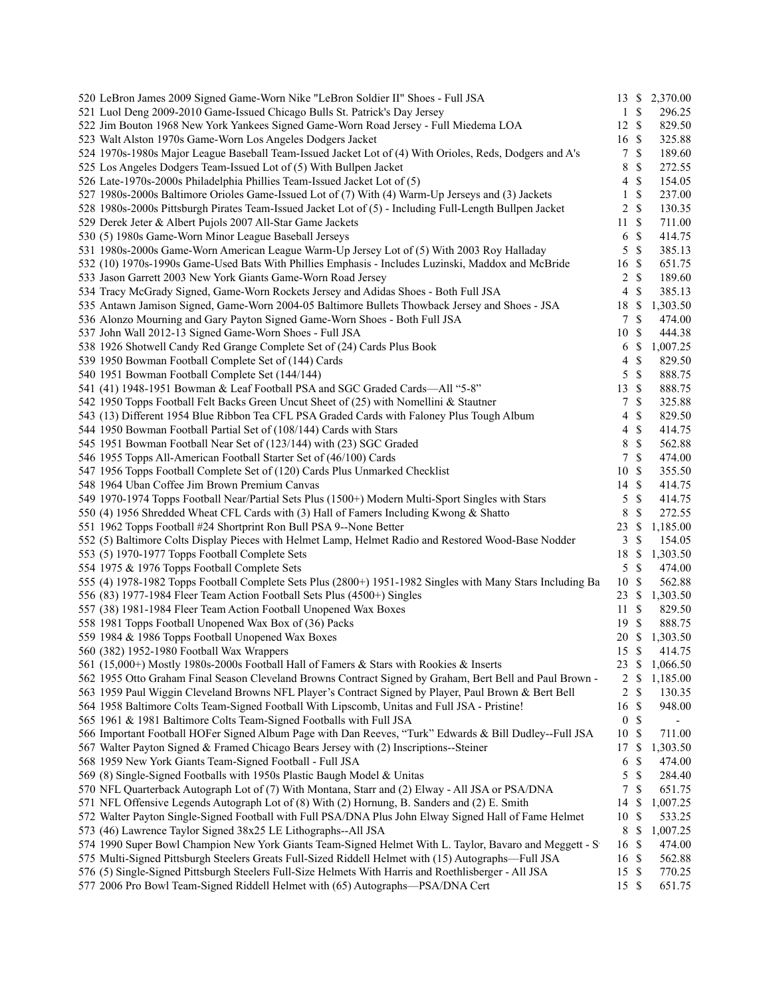| 520 LeBron James 2009 Signed Game-Worn Nike "LeBron Soldier II" Shoes - Full JSA                           |                  |                           | 13 \$ 2,370.00 |
|------------------------------------------------------------------------------------------------------------|------------------|---------------------------|----------------|
| 521 Luol Deng 2009-2010 Game-Issued Chicago Bulls St. Patrick's Day Jersey                                 | $\mathbf{1}$     | $\mathbb{S}$              | 296.25         |
| 522 Jim Bouton 1968 New York Yankees Signed Game-Worn Road Jersey - Full Miedema LOA                       | 12S              |                           | 829.50         |
| 523 Walt Alston 1970s Game-Worn Los Angeles Dodgers Jacket                                                 | 16 \$            |                           | 325.88         |
| 524 1970s-1980s Major League Baseball Team-Issued Jacket Lot of (4) With Orioles, Reds, Dodgers and A's    | $\tau$           | $\mathbb{S}$              | 189.60         |
| 525 Los Angeles Dodgers Team-Issued Lot of (5) With Bullpen Jacket                                         | 8                | \$                        | 272.55         |
| 526 Late-1970s-2000s Philadelphia Phillies Team-Issued Jacket Lot of (5)                                   | $\overline{4}$   | $\mathbb{S}$              | 154.05         |
| 527 1980s-2000s Baltimore Orioles Game-Issued Lot of (7) With (4) Warm-Up Jerseys and (3) Jackets          | 1                | \$                        | 237.00         |
| 528 1980s-2000s Pittsburgh Pirates Team-Issued Jacket Lot of (5) - Including Full-Length Bullpen Jacket    | 2                | \$                        | 130.35         |
| 529 Derek Jeter & Albert Pujols 2007 All-Star Game Jackets                                                 | 11               | $\mathbb{S}$              | 711.00         |
| 530 (5) 1980s Game-Worn Minor League Baseball Jerseys                                                      | 6                | $\mathbb{S}$              | 414.75         |
| 531 1980s-2000s Game-Worn American League Warm-Up Jersey Lot of (5) With 2003 Roy Halladay                 | 5                | $\mathbb{S}$              | 385.13         |
| 532 (10) 1970s-1990s Game-Used Bats With Phillies Emphasis - Includes Luzinski, Maddox and McBride         | 16               | $\mathbb{S}$              | 651.75         |
| 533 Jason Garrett 2003 New York Giants Game-Worn Road Jersey                                               | 2                | $\mathbb{S}$              | 189.60         |
| 534 Tracy McGrady Signed, Game-Worn Rockets Jersey and Adidas Shoes - Both Full JSA                        | 4                | \$                        | 385.13         |
| 535 Antawn Jamison Signed, Game-Worn 2004-05 Baltimore Bullets Thowback Jersey and Shoes - JSA             | 18               | \$                        | 1,303.50       |
| 536 Alonzo Mourning and Gary Payton Signed Game-Worn Shoes - Both Full JSA                                 | 7                | <sup>\$</sup>             | 474.00         |
| 537 John Wall 2012-13 Signed Game-Worn Shoes - Full JSA                                                    | 10               | <sup>\$</sup>             | 444.38         |
| 538 1926 Shotwell Candy Red Grange Complete Set of (24) Cards Plus Book                                    | 6                | \$                        | 1,007.25       |
| 539 1950 Bowman Football Complete Set of (144) Cards                                                       | 4                | $\mathbb{S}$              | 829.50         |
| 540 1951 Bowman Football Complete Set (144/144)                                                            | 5                | \$                        | 888.75         |
| 541 (41) 1948-1951 Bowman & Leaf Football PSA and SGC Graded Cards-All "5-8"                               | 13               | $\mathcal{S}$             | 888.75         |
| 542 1950 Topps Football Felt Backs Green Uncut Sheet of (25) with Nomellini & Stautner                     | 7                | $\mathbb{S}$              | 325.88         |
| 543 (13) Different 1954 Blue Ribbon Tea CFL PSA Graded Cards with Faloney Plus Tough Album                 | 4                | \$                        | 829.50         |
| 544 1950 Bowman Football Partial Set of (108/144) Cards with Stars                                         |                  | \$                        | 414.75         |
|                                                                                                            | $\overline{4}$   | $\mathbb{S}$              |                |
| 545 1951 Bowman Football Near Set of (123/144) with (23) SGC Graded                                        | 8                |                           | 562.88         |
| 546 1955 Topps All-American Football Starter Set of (46/100) Cards                                         | 7                | \$                        | 474.00         |
| 547 1956 Topps Football Complete Set of (120) Cards Plus Unmarked Checklist                                | 10               | -\$                       | 355.50         |
| 548 1964 Uban Coffee Jim Brown Premium Canvas                                                              | 14 \$            |                           | 414.75         |
| 549 1970-1974 Topps Football Near/Partial Sets Plus (1500+) Modern Multi-Sport Singles with Stars          | 5                | $\mathbb{S}$              | 414.75         |
| 550 (4) 1956 Shredded Wheat CFL Cards with (3) Hall of Famers Including Kwong & Shatto                     | 8                | \$                        | 272.55         |
| 551 1962 Topps Football #24 Shortprint Ron Bull PSA 9--None Better                                         | 23               | \$                        | 1,185.00       |
| 552 (5) Baltimore Colts Display Pieces with Helmet Lamp, Helmet Radio and Restored Wood-Base Nodder        | 3                | \$                        | 154.05         |
| 553 (5) 1970-1977 Topps Football Complete Sets                                                             | 18               | \$                        | 1,303.50       |
| 554 1975 & 1976 Topps Football Complete Sets                                                               | 5                | $\mathbb{S}$              | 474.00         |
| 555 (4) 1978-1982 Topps Football Complete Sets Plus (2800+) 1951-1982 Singles with Many Stars Including Ba | 10               | $\mathcal{S}$             | 562.88         |
| 556 (83) 1977-1984 Fleer Team Action Football Sets Plus (4500+) Singles                                    | 23               | -S                        | 1,303.50       |
| 557 (38) 1981-1984 Fleer Team Action Football Unopened Wax Boxes                                           | 11               | -S                        | 829.50         |
| 558 1981 Topps Football Unopened Wax Box of (36) Packs                                                     | 19               | -S                        | 888.75         |
| 559 1984 & 1986 Topps Football Unopened Wax Boxes                                                          |                  |                           | 20 \$ 1,303.50 |
| 560 (382) 1952-1980 Football Wax Wrappers                                                                  | 15S              |                           | 414.75         |
| 561 (15,000+) Mostly 1980s-2000s Football Hall of Famers & Stars with Rookies & Inserts                    | 23 \$            |                           | 1,066.50       |
| 562 1955 Otto Graham Final Season Cleveland Browns Contract Signed by Graham, Bert Bell and Paul Brown -   | $\overline{2}$   | \$                        | 1,185.00       |
| 563 1959 Paul Wiggin Cleveland Browns NFL Player's Contract Signed by Player, Paul Brown & Bert Bell       | 2                | \$                        | 130.35         |
| 564 1958 Baltimore Colts Team-Signed Football With Lipscomb, Unitas and Full JSA - Pristine!               | 16               | \$                        | 948.00         |
| 565 1961 & 1981 Baltimore Colts Team-Signed Footballs with Full JSA                                        | $\boldsymbol{0}$ | \$                        |                |
| 566 Important Football HOFer Signed Album Page with Dan Reeves, "Turk" Edwards & Bill Dudley--Full JSA     | 10               | $\boldsymbol{\mathsf{S}}$ | 711.00         |
| 567 Walter Payton Signed & Framed Chicago Bears Jersey with (2) Inscriptions--Steiner                      | 17               | \$                        | 1,303.50       |
| 568 1959 New York Giants Team-Signed Football - Full JSA                                                   | 6                | \$                        | 474.00         |
| 569 (8) Single-Signed Footballs with 1950s Plastic Baugh Model & Unitas                                    | 5                | \$                        | 284.40         |
| 570 NFL Quarterback Autograph Lot of (7) With Montana, Starr and (2) Elway - All JSA or PSA/DNA            | 7                | \$                        | 651.75         |
| 571 NFL Offensive Legends Autograph Lot of (8) With (2) Hornung, B. Sanders and (2) E. Smith               | 14               | \$                        | 1,007.25       |
| 572 Walter Payton Single-Signed Football with Full PSA/DNA Plus John Elway Signed Hall of Fame Helmet      | 10               | $\boldsymbol{\mathsf{S}}$ | 533.25         |
| 573 (46) Lawrence Taylor Signed 38x25 LE Lithographs--All JSA                                              | 8                | $\mathbb{S}$              | 1,007.25       |
| 574 1990 Super Bowl Champion New York Giants Team-Signed Helmet With L. Taylor, Bavaro and Meggett - St    | 16               | -S                        | 474.00         |
| 575 Multi-Signed Pittsburgh Steelers Greats Full-Sized Riddell Helmet with (15) Autographs-Full JSA        | 16               | -S                        | 562.88         |
| 576 (5) Single-Signed Pittsburgh Steelers Full-Size Helmets With Harris and Roethlisberger - All JSA       | 15               | $\mathbb{S}$              | 770.25         |
| 577 2006 Pro Bowl Team-Signed Riddell Helmet with (65) Autographs-PSA/DNA Cert                             | 15 \$            |                           | 651.75         |
|                                                                                                            |                  |                           |                |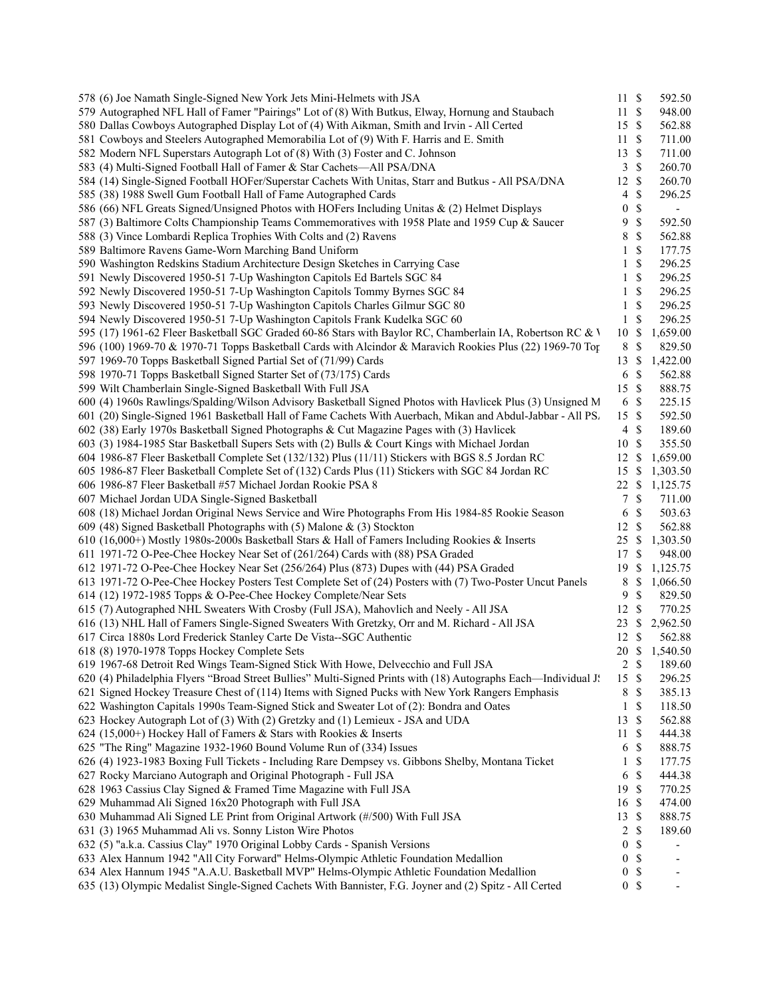| 578 (6) Joe Namath Single-Signed New York Jets Mini-Helmets with JSA                                           | $11 \text{ }$ \$ |               | 592.50         |  |
|----------------------------------------------------------------------------------------------------------------|------------------|---------------|----------------|--|
| 579 Autographed NFL Hall of Famer "Pairings" Lot of (8) With Butkus, Elway, Hornung and Staubach               | 11S              |               | 948.00         |  |
| 580 Dallas Cowboys Autographed Display Lot of (4) With Aikman, Smith and Irvin - All Certed                    | 15S              |               | 562.88         |  |
| 581 Cowboys and Steelers Autographed Memorabilia Lot of (9) With F. Harris and E. Smith                        | 11S              |               | 711.00         |  |
| 582 Modern NFL Superstars Autograph Lot of (8) With (3) Foster and C. Johnson                                  | $13 \text{ }$ \$ |               | 711.00         |  |
| 583 (4) Multi-Signed Football Hall of Famer & Star Cachets-All PSA/DNA                                         | $\mathbf{3}$     | $\mathbb{S}$  | 260.70         |  |
| 584 (14) Single-Signed Football HOFer/Superstar Cachets With Unitas, Starr and Butkus - All PSA/DNA            | 12               | $\mathbb{S}$  | 260.70         |  |
| 585 (38) 1988 Swell Gum Football Hall of Fame Autographed Cards                                                | 4                | \$            | 296.25         |  |
| 586 (66) NFL Greats Signed/Unsigned Photos with HOFers Including Unitas & (2) Helmet Displays                  | $\boldsymbol{0}$ | \$            |                |  |
| 587 (3) Baltimore Colts Championship Teams Commemoratives with 1958 Plate and 1959 Cup & Saucer                | 9                | \$            | 592.50         |  |
| 588 (3) Vince Lombardi Replica Trophies With Colts and (2) Ravens                                              | 8                | \$            | 562.88         |  |
| 589 Baltimore Ravens Game-Worn Marching Band Uniform                                                           | 1                | \$            | 177.75         |  |
| 590 Washington Redskins Stadium Architecture Design Sketches in Carrying Case                                  | 1                | \$            | 296.25         |  |
| 591 Newly Discovered 1950-51 7-Up Washington Capitols Ed Bartels SGC 84                                        | 1                | \$            | 296.25         |  |
| 592 Newly Discovered 1950-51 7-Up Washington Capitols Tommy Byrnes SGC 84                                      | 1                | \$            | 296.25         |  |
| 593 Newly Discovered 1950-51 7-Up Washington Capitols Charles Gilmur SGC 80                                    | 1                | \$            | 296.25         |  |
| 594 Newly Discovered 1950-51 7-Up Washington Capitols Frank Kudelka SGC 60                                     | 1                | \$            | 296.25         |  |
| 595 (17) 1961-62 Fleer Basketball SGC Graded 60-86 Stars with Baylor RC, Chamberlain IA, Robertson RC & V      | 10               | \$            | 1,659.00       |  |
| 596 (100) 1969-70 & 1970-71 Topps Basketball Cards with Alcindor & Maravich Rookies Plus (22) 1969-70 Top      | 8                | $\mathbb{S}$  | 829.50         |  |
| 597 1969-70 Topps Basketball Signed Partial Set of (71/99) Cards                                               | $13 \text{ }$ \$ |               | 1,422.00       |  |
| 598 1970-71 Topps Basketball Signed Starter Set of (73/175) Cards                                              | 6 \$             |               | 562.88         |  |
| 599 Wilt Chamberlain Single-Signed Basketball With Full JSA                                                    | 15S              |               | 888.75         |  |
| 600 (4) 1960s Rawlings/Spalding/Wilson Advisory Basketball Signed Photos with Havlicek Plus (3) Unsigned M     | 6 \$             |               | 225.15         |  |
| 601 (20) Single-Signed 1961 Basketball Hall of Fame Cachets With Auerbach, Mikan and Abdul-Jabbar - All PS.    | 15S              |               | 592.50         |  |
| 602 (38) Early 1970s Basketball Signed Photographs & Cut Magazine Pages with (3) Havlicek                      | $4 \text{ }$ \$  |               | 189.60         |  |
| 603 (3) 1984-1985 Star Basketball Supers Sets with (2) Bulls & Court Kings with Michael Jordan                 | 10 \$            |               | 355.50         |  |
| 604 1986-87 Fleer Basketball Complete Set (132/132) Plus (11/11) Stickers with BGS 8.5 Jordan RC               | 12               | <sup>\$</sup> | 1,659.00       |  |
| 605 1986-87 Fleer Basketball Complete Set of (132) Cards Plus (11) Stickers with SGC 84 Jordan RC              | 15               | -S            | 1,303.50       |  |
| 606 1986-87 Fleer Basketball #57 Michael Jordan Rookie PSA 8                                                   | $22 \text{ }$ \$ |               | 1,125.75       |  |
| 607 Michael Jordan UDA Single-Signed Basketball                                                                | 7                | $\mathbb{S}$  | 711.00         |  |
| 608 (18) Michael Jordan Original News Service and Wire Photographs From His 1984-85 Rookie Season              | 6                | \$            | 503.63         |  |
| 609 (48) Signed Basketball Photographs with (5) Malone & (3) Stockton                                          | 12 \$            |               | 562.88         |  |
| 610 (16,000+) Mostly 1980s-2000s Basketball Stars & Hall of Famers Including Rookies & Inserts                 | 25 \$            |               | 1,303.50       |  |
| 611 1971-72 O-Pee-Chee Hockey Near Set of (261/264) Cards with (88) PSA Graded                                 | 17               | \$            | 948.00         |  |
| 612 1971-72 O-Pee-Chee Hockey Near Set (256/264) Plus (873) Dupes with (44) PSA Graded                         | 19               | $\mathbb{S}$  | 1,125.75       |  |
| 613 1971-72 O-Pee-Chee Hockey Posters Test Complete Set of (24) Posters with (7) Two-Poster Uncut Panels       | 8                | $\mathbb{S}$  | 1,066.50       |  |
| 614 (12) 1972-1985 Topps & O-Pee-Chee Hockey Complete/Near Sets                                                | 9                | \$            | 829.50         |  |
| 615 (7) Autographed NHL Sweaters With Crosby (Full JSA), Mahovlich and Neely - All JSA                         | 12 \$            |               | 770.25         |  |
| 616 (13) NHL Hall of Famers Single-Signed Sweaters With Gretzky, Orr and M. Richard - All JSA                  | 23               | -S            | 2,962.50       |  |
| 617 Circa 1880s Lord Frederick Stanley Carte De Vista--SGC Authentic                                           | 12               | $\mathbb{S}$  | 562.88         |  |
| 618 (8) 1970-1978 Topps Hockey Complete Sets                                                                   |                  |               | 20 \$ 1,540.50 |  |
| 619 1967-68 Detroit Red Wings Team-Signed Stick With Howe, Delvecchio and Full JSA                             | 2 S              |               | 189.60         |  |
| 620 (4) Philadelphia Flyers "Broad Street Bullies" Multi-Signed Prints with (18) Autographs Each—Individual J! | 15S              |               | 296.25         |  |
| 621 Signed Hockey Treasure Chest of (114) Items with Signed Pucks with New York Rangers Emphasis               | 8                | \$            | 385.13         |  |
| 622 Washington Capitals 1990s Team-Signed Stick and Sweater Lot of (2): Bondra and Oates                       | 1                | \$            | 118.50         |  |
| 623 Hockey Autograph Lot of (3) With (2) Gretzky and (1) Lemieux - JSA and UDA                                 | 13               | \$            | 562.88         |  |
| 624 (15,000+) Hockey Hall of Famers & Stars with Rookies & Inserts                                             | 11               | $\mathbb{S}$  | 444.38         |  |
| 625 "The Ring" Magazine 1932-1960 Bound Volume Run of (334) Issues                                             | 6                | $\mathbb{S}$  | 888.75         |  |
| 626 (4) 1923-1983 Boxing Full Tickets - Including Rare Dempsey vs. Gibbons Shelby, Montana Ticket              | 1                | \$            | 177.75         |  |
| 627 Rocky Marciano Autograph and Original Photograph - Full JSA                                                | 6                | $\mathbb{S}$  | 444.38         |  |
| 628 1963 Cassius Clay Signed & Framed Time Magazine with Full JSA                                              | 19 \$            |               | 770.25         |  |
| 629 Muhammad Ali Signed 16x20 Photograph with Full JSA                                                         | 16 \$            |               | 474.00         |  |
| 630 Muhammad Ali Signed LE Print from Original Artwork (#/500) With Full JSA                                   | 13               | $\mathbb{S}$  | 888.75         |  |
| 631 (3) 1965 Muhammad Ali vs. Sonny Liston Wire Photos                                                         | 2                | $\mathbb{S}$  | 189.60         |  |
| 632 (5) "a.k.a. Cassius Clay" 1970 Original Lobby Cards - Spanish Versions                                     | 0                | \$            |                |  |
| 633 Alex Hannum 1942 "All City Forward" Helms-Olympic Athletic Foundation Medallion                            | $\boldsymbol{0}$ | \$            |                |  |
| 634 Alex Hannum 1945 "A.A.U. Basketball MVP" Helms-Olympic Athletic Foundation Medallion                       | 0                | \$            |                |  |
| 635 (13) Olympic Medalist Single-Signed Cachets With Bannister, F.G. Joyner and (2) Spitz - All Certed         | 0 <sup>5</sup>   |               |                |  |
|                                                                                                                |                  |               |                |  |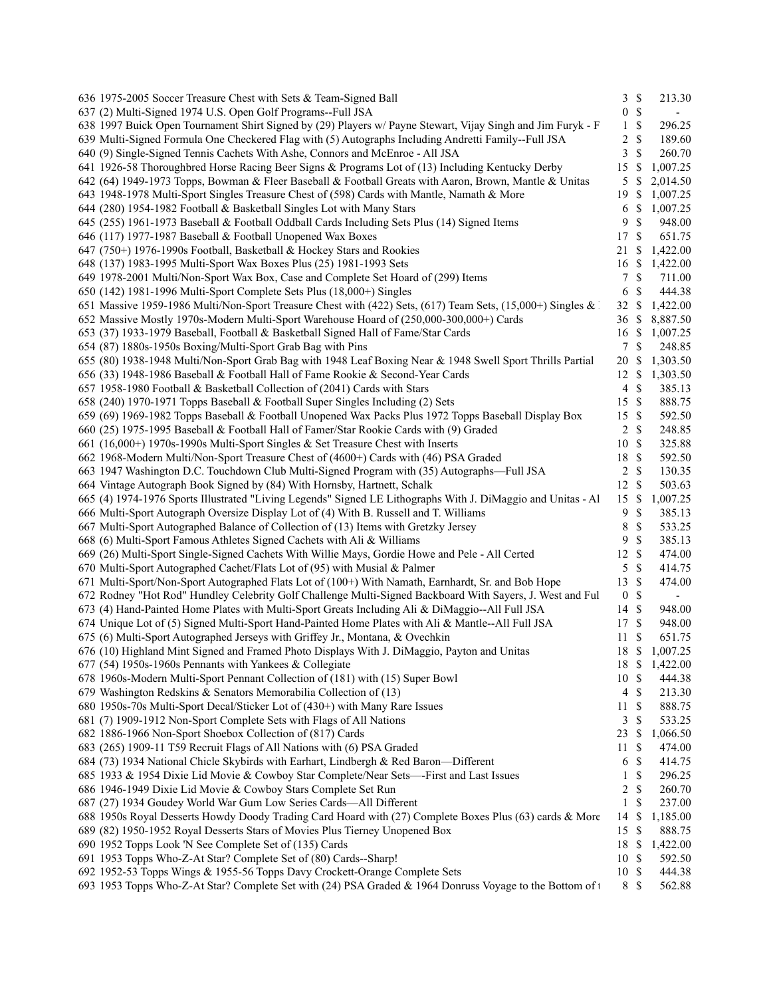| 636 1975-2005 Soccer Treasure Chest with Sets & Team-Signed Ball                                                   | 3S               | 213.30                   |  |
|--------------------------------------------------------------------------------------------------------------------|------------------|--------------------------|--|
| 637 (2) Multi-Signed 1974 U.S. Open Golf Programs--Full JSA                                                        | 0 S              | $\overline{\phantom{a}}$ |  |
| 638 1997 Buick Open Tournament Shirt Signed by (29) Players w/ Payne Stewart, Vijay Singh and Jim Furyk - F        | $1 \text{ }$     | 296.25                   |  |
| 639 Multi-Signed Formula One Checkered Flag with (5) Autographs Including Andretti Family--Full JSA                | $2 \sqrt{s}$     | 189.60                   |  |
| 640 (9) Single-Signed Tennis Cachets With Ashe, Connors and McEnroe - All JSA                                      | 3S               | 260.70                   |  |
| 641 1926-58 Thoroughbred Horse Racing Beer Signs & Programs Lot of (13) Including Kentucky Derby                   | 15 \$            | 1,007.25                 |  |
| 642 (64) 1949-1973 Topps, Bowman & Fleer Baseball & Football Greats with Aaron, Brown, Mantle & Unitas             | $5 \text{ }$ \$  | 2,014.50                 |  |
| 643 1948-1978 Multi-Sport Singles Treasure Chest of (598) Cards with Mantle, Namath & More                         | 19S              | 1,007.25                 |  |
| 644 (280) 1954-1982 Football & Basketball Singles Lot with Many Stars                                              | 6 \$             | 1,007.25                 |  |
| 645 (255) 1961-1973 Baseball & Football Oddball Cards Including Sets Plus (14) Signed Items                        | 9S               | 948.00                   |  |
| 646 (117) 1977-1987 Baseball & Football Unopened Wax Boxes                                                         | 17S              | 651.75                   |  |
| 647 (750+) 1976-1990s Football, Basketball & Hockey Stars and Rookies                                              |                  | 21 \$ 1,422.00           |  |
| 648 (137) 1983-1995 Multi-Sport Wax Boxes Plus (25) 1981-1993 Sets                                                 |                  | 16 \$ 1,422.00           |  |
| 649 1978-2001 Multi/Non-Sport Wax Box, Case and Complete Set Hoard of (299) Items                                  | 7S               | 711.00                   |  |
| 650 (142) 1981-1996 Multi-Sport Complete Sets Plus (18,000+) Singles                                               | 6 \$             | 444.38                   |  |
| 651 Massive 1959-1986 Multi/Non-Sport Treasure Chest with (422) Sets, (617) Team Sets, (15,000+) Singles & 1       |                  |                          |  |
|                                                                                                                    |                  | 32 \$ 1,422.00           |  |
| 652 Massive Mostly 1970s-Modern Multi-Sport Warehouse Hoard of (250,000-300,000+) Cards                            |                  | 36 \$ 8,887.50           |  |
| 653 (37) 1933-1979 Baseball, Football & Basketball Signed Hall of Fame/Star Cards                                  |                  | 16 \$ 1,007.25           |  |
| 654 (87) 1880s-1950s Boxing/Multi-Sport Grab Bag with Pins                                                         | 7S               | 248.85                   |  |
| 655 (80) 1938-1948 Multi/Non-Sport Grab Bag with 1948 Leaf Boxing Near & 1948 Swell Sport Thrills Partial          |                  | 20 \$ 1,303.50           |  |
| 656 (33) 1948-1986 Baseball & Football Hall of Fame Rookie & Second-Year Cards                                     |                  | 12 \$ 1,303.50           |  |
| 657 1958-1980 Football & Basketball Collection of (2041) Cards with Stars                                          | $4 \text{ }$     | 385.13                   |  |
| 658 (240) 1970-1971 Topps Baseball & Football Super Singles Including (2) Sets                                     | 15S              | 888.75                   |  |
| 659 (69) 1969-1982 Topps Baseball & Football Unopened Wax Packs Plus 1972 Topps Baseball Display Box               | 15 \$            | 592.50                   |  |
| 660 (25) 1975-1995 Baseball & Football Hall of Famer/Star Rookie Cards with (9) Graded                             | $2 \sqrt{s}$     | 248.85                   |  |
| 661 (16,000+) 1970s-1990s Multi-Sport Singles & Set Treasure Chest with Inserts                                    | 10S              | 325.88                   |  |
| 662 1968-Modern Multi/Non-Sport Treasure Chest of (4600+) Cards with (46) PSA Graded                               | 18 \$            | 592.50                   |  |
| 663 1947 Washington D.C. Touchdown Club Multi-Signed Program with (35) Autographs-Full JSA                         | $2 \sqrt{s}$     | 130.35                   |  |
| 664 Vintage Autograph Book Signed by (84) With Hornsby, Hartnett, Schalk                                           | 12S              | 503.63                   |  |
| 665 (4) 1974-1976 Sports Illustrated "Living Legends" Signed LE Lithographs With J. DiMaggio and Unitas - Al 15 \$ |                  | 1,007.25                 |  |
| 666 Multi-Sport Autograph Oversize Display Lot of (4) With B. Russell and T. Williams                              | 9 \$             | 385.13                   |  |
| 667 Multi-Sport Autographed Balance of Collection of (13) Items with Gretzky Jersey                                | 8 \$             | 533.25                   |  |
| 668 (6) Multi-Sport Famous Athletes Signed Cachets with Ali & Williams                                             | 9S               | 385.13                   |  |
| 669 (26) Multi-Sport Single-Signed Cachets With Willie Mays, Gordie Howe and Pele - All Certed                     | 12S              | 474.00                   |  |
| 670 Multi-Sport Autographed Cachet/Flats Lot of (95) with Musial & Palmer                                          | 5S               | 414.75                   |  |
| 671 Multi-Sport/Non-Sport Autographed Flats Lot of (100+) With Namath, Earnhardt, Sr. and Bob Hope                 | 13 \$            | 474.00                   |  |
| 672 Rodney "Hot Rod" Hundley Celebrity Golf Challenge Multi-Signed Backboard With Sayers, J. West and Ful          | 0 <sup>°</sup>   | $\blacksquare$           |  |
| 673 (4) Hand-Painted Home Plates with Multi-Sport Greats Including Ali & DiMaggio--All Full JSA                    | 14 \$            | 948.00                   |  |
| 674 Unique Lot of (5) Signed Multi-Sport Hand-Painted Home Plates with Ali & Mantle--All Full JSA                  | 17S              | 948.00                   |  |
| 675 (6) Multi-Sport Autographed Jerseys with Griffey Jr., Montana, & Ovechkin                                      | 11S              | 651.75                   |  |
| 676 (10) Highland Mint Signed and Framed Photo Displays With J. DiMaggio, Payton and Unitas                        | 18 \$            | 1,007.25                 |  |
| 677 (54) 1950s-1960s Pennants with Yankees & Collegiate                                                            |                  | 18 \$ 1,422.00           |  |
|                                                                                                                    |                  |                          |  |
| 678 1960s-Modern Multi-Sport Pennant Collection of (181) with (15) Super Bowl                                      | 10S              | 444.38                   |  |
| 679 Washington Redskins & Senators Memorabilia Collection of (13)                                                  | $4 \text{ }$ \$  | 213.30                   |  |
| 680 1950s-70s Multi-Sport Decal/Sticker Lot of (430+) with Many Rare Issues                                        | $11 \text{ }$ \$ | 888.75                   |  |
| 681 (7) 1909-1912 Non-Sport Complete Sets with Flags of All Nations                                                | 3S               | 533.25                   |  |
| 682 1886-1966 Non-Sport Shoebox Collection of (817) Cards                                                          | $23 \text{ }$ \$ | 1,066.50                 |  |
| 683 (265) 1909-11 T59 Recruit Flags of All Nations with (6) PSA Graded                                             | $11 \text{ }$ \$ | 474.00                   |  |
| 684 (73) 1934 National Chicle Skybirds with Earhart, Lindbergh & Red Baron-Different                               | 6 \$             | 414.75                   |  |
| 685 1933 & 1954 Dixie Lid Movie & Cowboy Star Complete/Near Sets----First and Last Issues                          | $1 \text{ }$     | 296.25                   |  |
| 686 1946-1949 Dixie Lid Movie & Cowboy Stars Complete Set Run                                                      | $2 \sqrt{s}$     | 260.70                   |  |
| 687 (27) 1934 Goudey World War Gum Low Series Cards-All Different                                                  | $1 \text{ }$ \$  | 237.00                   |  |
| 688 1950s Royal Desserts Howdy Doody Trading Card Hoard with (27) Complete Boxes Plus (63) cards & More            | 14 \$            | 1,185.00                 |  |
| 689 (82) 1950-1952 Royal Desserts Stars of Movies Plus Tierney Unopened Box                                        | 15S              | 888.75                   |  |
| 690 1952 Topps Look 'N See Complete Set of (135) Cards                                                             | 18 \$            | 1,422.00                 |  |
| 691 1953 Topps Who-Z-At Star? Complete Set of (80) Cards--Sharp!                                                   | 10S              | 592.50                   |  |
| 692 1952-53 Topps Wings & 1955-56 Topps Davy Crockett-Orange Complete Sets                                         | 10S              | 444.38                   |  |
| 693 1953 Topps Who-Z-At Star? Complete Set with (24) PSA Graded & 1964 Donruss Voyage to the Bottom of t           | 8 \$             | 562.88                   |  |
|                                                                                                                    |                  |                          |  |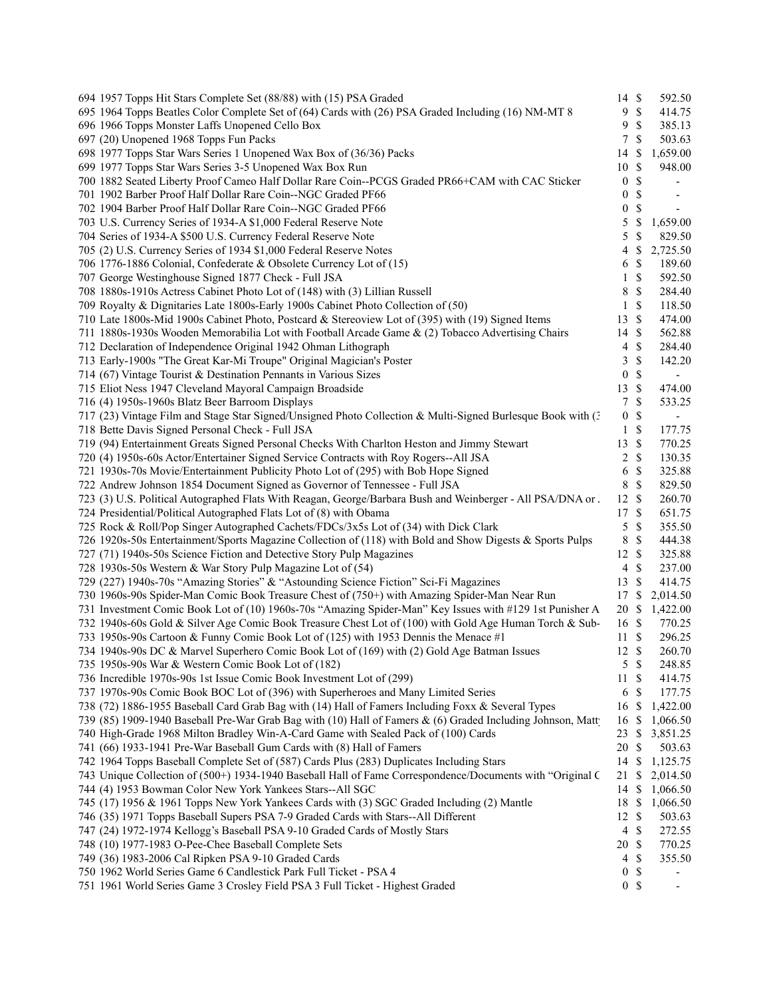| 694 1957 Topps Hit Stars Complete Set (88/88) with (15) PSA Graded                                                                                          | 14 \$            |                 | 592.50                     |  |
|-------------------------------------------------------------------------------------------------------------------------------------------------------------|------------------|-----------------|----------------------------|--|
| 695 1964 Topps Beatles Color Complete Set of (64) Cards with (26) PSA Graded Including (16) NM-MT 8                                                         | 9                | $\mathcal{S}$   | 414.75                     |  |
| 696 1966 Topps Monster Laffs Unopened Cello Box                                                                                                             | 9                | <sup>\$</sup>   | 385.13                     |  |
| 697 (20) Unopened 1968 Topps Fun Packs                                                                                                                      | 7                | <sup>\$</sup>   | 503.63                     |  |
| 698 1977 Topps Star Wars Series 1 Unopened Wax Box of (36/36) Packs                                                                                         | 14               | \$              | 1,659.00                   |  |
| 699 1977 Topps Star Wars Series 3-5 Unopened Wax Box Run                                                                                                    | 10               | $\mathbb{S}$    | 948.00                     |  |
| 700 1882 Seated Liberty Proof Cameo Half Dollar Rare Coin--PCGS Graded PR66+CAM with CAC Sticker                                                            | $\overline{0}$   | \$              |                            |  |
| 701 1902 Barber Proof Half Dollar Rare Coin--NGC Graded PF66                                                                                                | $\boldsymbol{0}$ | \$              |                            |  |
| 702 1904 Barber Proof Half Dollar Rare Coin--NGC Graded PF66                                                                                                | $\boldsymbol{0}$ | \$              |                            |  |
| 703 U.S. Currency Series of 1934-A \$1,000 Federal Reserve Note                                                                                             | 5                | \$              | 1,659.00                   |  |
| 704 Series of 1934-A \$500 U.S. Currency Federal Reserve Note                                                                                               | 5                | \$              | 829.50                     |  |
| 705 (2) U.S. Currency Series of 1934 \$1,000 Federal Reserve Notes                                                                                          | 4                | \$              | 2,725.50                   |  |
| 706 1776-1886 Colonial, Confederate & Obsolete Currency Lot of (15)                                                                                         | 6                | \$              | 189.60                     |  |
| 707 George Westinghouse Signed 1877 Check - Full JSA                                                                                                        | $\mathbf{1}$     | \$              | 592.50                     |  |
| 708 1880s-1910s Actress Cabinet Photo Lot of (148) with (3) Lillian Russell                                                                                 | 8                | \$              | 284.40                     |  |
|                                                                                                                                                             |                  | \$              |                            |  |
| 709 Royalty & Dignitaries Late 1800s-Early 1900s Cabinet Photo Collection of (50)                                                                           | 1                |                 | 118.50                     |  |
| 710 Late 1800s-Mid 1900s Cabinet Photo, Postcard & Stereoview Lot of (395) with (19) Signed Items                                                           | 13               | \$              | 474.00                     |  |
| 711 1880s-1930s Wooden Memorabilia Lot with Football Arcade Game & (2) Tobacco Advertising Chairs                                                           | 14               | \$              | 562.88                     |  |
| 712 Declaration of Independence Original 1942 Ohman Lithograph                                                                                              | $\overline{4}$   | \$              | 284.40                     |  |
| 713 Early-1900s "The Great Kar-Mi Troupe" Original Magician's Poster                                                                                        | 3                | \$              | 142.20                     |  |
| 714 (67) Vintage Tourist & Destination Pennants in Various Sizes                                                                                            | 0                | \$              | $\blacksquare$             |  |
| 715 Eliot Ness 1947 Cleveland Mayoral Campaign Broadside                                                                                                    | 13               | \$              | 474.00                     |  |
| 716 (4) 1950s-1960s Blatz Beer Barroom Displays                                                                                                             | 7                | $\mathbb{S}$    | 533.25                     |  |
| 717 (23) Vintage Film and Stage Star Signed/Unsigned Photo Collection & Multi-Signed Burlesque Book with (3                                                 | $\mathbf{0}$     | \$              | $\blacksquare$             |  |
| 718 Bette Davis Signed Personal Check - Full JSA                                                                                                            | $\mathbf{1}$     | \$              | 177.75                     |  |
| 719 (94) Entertainment Greats Signed Personal Checks With Charlton Heston and Jimmy Stewart                                                                 | 13 \$            |                 | 770.25                     |  |
| 720 (4) 1950s-60s Actor/Entertainer Signed Service Contracts with Roy Rogers--All JSA                                                                       | $\overline{2}$   | \$              | 130.35                     |  |
| 721 1930s-70s Movie/Entertainment Publicity Photo Lot of (295) with Bob Hope Signed                                                                         | 6                | \$              | 325.88                     |  |
| 722 Andrew Johnson 1854 Document Signed as Governor of Tennessee - Full JSA                                                                                 | 8                | \$              | 829.50                     |  |
| 723 (3) U.S. Political Autographed Flats With Reagan, George/Barbara Bush and Weinberger - All PSA/DNA or.                                                  | 12               | \$              | 260.70                     |  |
| 724 Presidential/Political Autographed Flats Lot of (8) with Obama                                                                                          | 17 \$            |                 | 651.75                     |  |
| 725 Rock & Roll/Pop Singer Autographed Cachets/FDCs/3x5s Lot of (34) with Dick Clark                                                                        | 5                | \$              | 355.50                     |  |
| 726 1920s-50s Entertainment/Sports Magazine Collection of (118) with Bold and Show Digests & Sports Pulps                                                   | 8                | \$              | 444.38                     |  |
| 727 (71) 1940s-50s Science Fiction and Detective Story Pulp Magazines                                                                                       | 12               | S               | 325.88                     |  |
| 728 1930s-50s Western & War Story Pulp Magazine Lot of (54)                                                                                                 | $\overline{4}$   | \$              | 237.00                     |  |
| 729 (227) 1940s-70s "Amazing Stories" & "Astounding Science Fiction" Sci-Fi Magazines                                                                       | 13 \$            |                 | 414.75                     |  |
| 730 1960s-90s Spider-Man Comic Book Treasure Chest of (750+) with Amazing Spider-Man Near Run                                                               | 17S              |                 | 2,014.50                   |  |
| 731 Investment Comic Book Lot of (10) 1960s-70s "Amazing Spider-Man" Key Issues with #129 1st Punisher A                                                    |                  |                 | 20 \$ 1,422.00             |  |
| 732 1940s-60s Gold & Silver Age Comic Book Treasure Chest Lot of (100) with Gold Age Human Torch & Sub-                                                     | 16 \$            |                 | 770.25                     |  |
| 733 1950s-90s Cartoon & Funny Comic Book Lot of (125) with 1953 Dennis the Menace #1                                                                        | 11               | <sup>\$</sup>   | 296.25                     |  |
| 734 1940s-90s DC & Marvel Superhero Comic Book Lot of (169) with (2) Gold Age Batman Issues                                                                 | 12S              |                 | 260.70                     |  |
| 735 1950s-90s War & Western Comic Book Lot of (182)                                                                                                         |                  | 5S              | 248.85                     |  |
| 736 Incredible 1970s-90s 1st Issue Comic Book Investment Lot of (299)                                                                                       | 11               | \$              | 414.75                     |  |
| 737 1970s-90s Comic Book BOC Lot of (396) with Superheroes and Many Limited Series                                                                          |                  | 6 <sup>°</sup>  | 177.75                     |  |
| 738 (72) 1886-1955 Baseball Card Grab Bag with (14) Hall of Famers Including Foxx & Several Types                                                           | 16 \$            |                 | 1,422.00                   |  |
| 739 (85) 1909-1940 Baseball Pre-War Grab Bag with (10) Hall of Famers & (6) Graded Including Johnson, Matt                                                  |                  | <sup>\$</sup>   |                            |  |
|                                                                                                                                                             | 16               |                 | 1,066.50<br>23 \$ 3,851.25 |  |
| 740 High-Grade 1968 Milton Bradley Win-A-Card Game with Sealed Pack of (100) Cards<br>741 (66) 1933-1941 Pre-War Baseball Gum Cards with (8) Hall of Famers |                  |                 | 503.63                     |  |
|                                                                                                                                                             | 20 \$            |                 |                            |  |
| 742 1964 Topps Baseball Complete Set of (587) Cards Plus (283) Duplicates Including Stars                                                                   | 14 \$            |                 | 1,125.75                   |  |
| 743 Unique Collection of (500+) 1934-1940 Baseball Hall of Fame Correspondence/Documents with "Original C                                                   |                  |                 | 21 \$ 2,014.50             |  |
| 744 (4) 1953 Bowman Color New York Yankees Stars--All SGC                                                                                                   | 14               | \$              | 1,066.50                   |  |
| 745 (17) 1956 & 1961 Topps New York Yankees Cards with (3) SGC Graded Including (2) Mantle                                                                  | 18 \$            |                 | 1,066.50                   |  |
| 746 (35) 1971 Topps Baseball Supers PSA 7-9 Graded Cards with Stars--All Different                                                                          | 12S              |                 | 503.63                     |  |
| 747 (24) 1972-1974 Kellogg's Baseball PSA 9-10 Graded Cards of Mostly Stars                                                                                 |                  | $4 \text{ }$ \$ | 272.55                     |  |
| 748 (10) 1977-1983 O-Pee-Chee Baseball Complete Sets                                                                                                        | 20 \$            |                 | 770.25                     |  |
| 749 (36) 1983-2006 Cal Ripken PSA 9-10 Graded Cards                                                                                                         | 4                | \$              | 355.50                     |  |
| 750 1962 World Series Game 6 Candlestick Park Full Ticket - PSA 4                                                                                           | $\overline{0}$   | S               |                            |  |
| 751 1961 World Series Game 3 Crosley Field PSA 3 Full Ticket - Highest Graded                                                                               |                  | 0 <sup>5</sup>  |                            |  |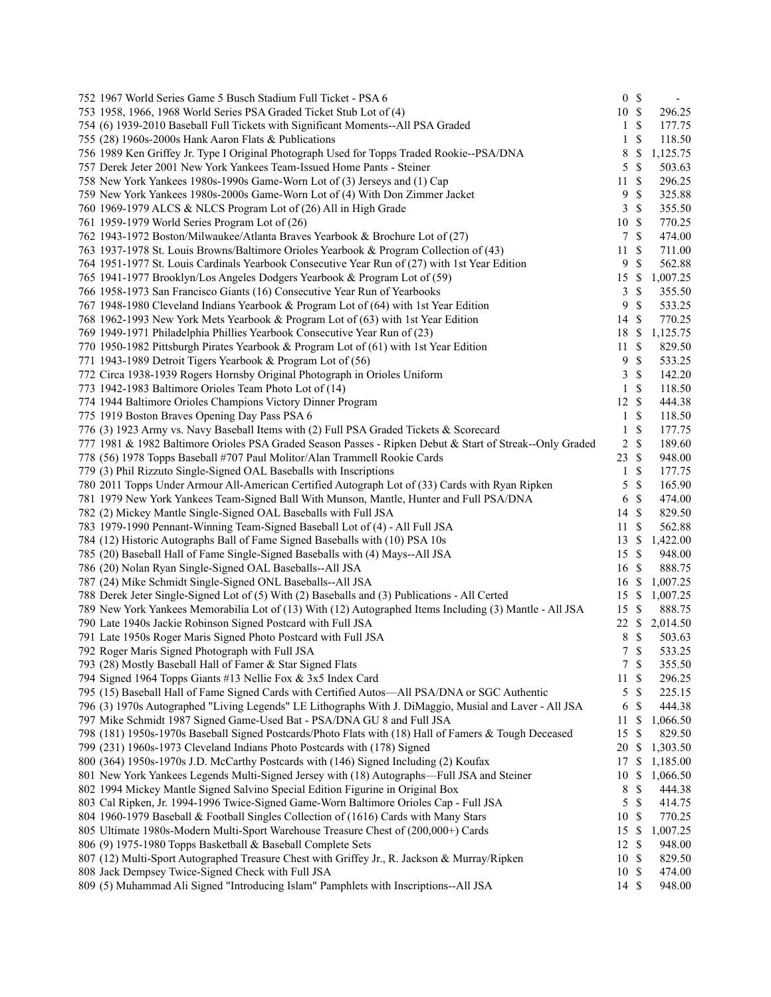| 752 1967 World Series Game 5 Busch Stadium Full Ticket - PSA 6                                           |                | 0 S           |                  |
|----------------------------------------------------------------------------------------------------------|----------------|---------------|------------------|
| 753 1958, 1966, 1968 World Series PSA Graded Ticket Stub Lot of (4)                                      | 10 \$          |               | 296.25           |
| 754 (6) 1939-2010 Baseball Full Tickets with Significant Moments--All PSA Graded                         | 1              | $\mathbb{S}$  | 177.75           |
| 755 (28) 1960s-2000s Hank Aaron Flats & Publications                                                     | 1              | \$            | 118.50           |
| 756 1989 Ken Griffey Jr. Type I Original Photograph Used for Topps Traded Rookie--PSA/DNA                | 8              | \$            | 1,125.75         |
| 757 Derek Jeter 2001 New York Yankees Team-Issued Home Pants - Steiner                                   | 5              | $\mathbb{S}$  | 503.63           |
| 758 New York Yankees 1980s-1990s Game-Worn Lot of (3) Jerseys and (1) Cap                                | 11             | \$            | 296.25           |
| 759 New York Yankees 1980s-2000s Game-Worn Lot of (4) With Don Zimmer Jacket                             | $\overline{9}$ | \$            | 325.88           |
| 760 1969-1979 ALCS & NLCS Program Lot of (26) All in High Grade                                          | 3              | \$            | 355.50           |
| 761 1959-1979 World Series Program Lot of (26)                                                           | 10             | $\mathbf{\$}$ | 770.25           |
| 762 1943-1972 Boston/Milwaukee/Atlanta Braves Yearbook & Brochure Lot of (27)                            | $\tau$         | $\mathbf{\$}$ | 474.00           |
| 763 1937-1978 St. Louis Browns/Baltimore Orioles Yearbook & Program Collection of (43)                   | 11             | \$            | 711.00           |
| 764 1951-1977 St. Louis Cardinals Yearbook Consecutive Year Run of (27) with 1st Year Edition            | $\overline{9}$ | \$            | 562.88           |
| 765 1941-1977 Brooklyn/Los Angeles Dodgers Yearbook & Program Lot of (59)                                | 15             | \$            | 1,007.25         |
| 766 1958-1973 San Francisco Giants (16) Consecutive Year Run of Yearbooks                                | 3              | \$            | 355.50           |
| 767 1948-1980 Cleveland Indians Yearbook & Program Lot of (64) with 1st Year Edition                     | 9              | \$            | 533.25           |
| 768 1962-1993 New York Mets Yearbook & Program Lot of (63) with 1st Year Edition                         | 14 \$          |               | 770.25           |
| 769 1949-1971 Philadelphia Phillies Yearbook Consecutive Year Run of (23)                                | 18             | -S            | 1,125.75         |
| 770 1950-1982 Pittsburgh Pirates Yearbook & Program Lot of (61) with 1st Year Edition                    | 11             | \$            | 829.50           |
| 771 1943-1989 Detroit Tigers Yearbook & Program Lot of (56)                                              | 9              | $\mathbb S$   | 533.25           |
| 772 Circa 1938-1939 Rogers Hornsby Original Photograph in Orioles Uniform                                | 3              | $\mathbb{S}$  | 142.20           |
| 773 1942-1983 Baltimore Orioles Team Photo Lot of (14)                                                   | 1              | \$            | 118.50           |
| 774 1944 Baltimore Orioles Champions Victory Dinner Program                                              | 12             | $\mathcal{S}$ | 444.38           |
| 775 1919 Boston Braves Opening Day Pass PSA 6                                                            | $\mathbf{1}$   | $\mathbb{S}$  | 118.50           |
| 776 (3) 1923 Army vs. Navy Baseball Items with (2) Full PSA Graded Tickets & Scorecard                   |                | \$            |                  |
|                                                                                                          | 1              | $\mathbb{S}$  | 177.75           |
| 777 1981 & 1982 Baltimore Orioles PSA Graded Season Passes - Ripken Debut & Start of Streak--Only Graded | $\overline{c}$ | $\mathbb{S}$  | 189.60<br>948.00 |
| 778 (56) 1978 Topps Baseball #707 Paul Molitor/Alan Trammell Rookie Cards                                | 23             |               |                  |
| 779 (3) Phil Rizzuto Single-Signed OAL Baseballs with Inscriptions                                       | $\mathbf{1}$   | \$            | 177.75           |
| 780 2011 Topps Under Armour All-American Certified Autograph Lot of (33) Cards with Ryan Ripken          | 5              | \$            | 165.90           |
| 781 1979 New York Yankees Team-Signed Ball With Munson, Mantle, Hunter and Full PSA/DNA                  | 6              | $\mathbb{S}$  | 474.00           |
| 782 (2) Mickey Mantle Single-Signed OAL Baseballs with Full JSA                                          | 14             | $\mathcal{S}$ | 829.50           |
| 783 1979-1990 Pennant-Winning Team-Signed Baseball Lot of (4) - All Full JSA                             | 11             | \$            | 562.88           |
| 784 (12) Historic Autographs Ball of Fame Signed Baseballs with (10) PSA 10s                             | 13             | \$            | 1,422.00         |
| 785 (20) Baseball Hall of Fame Single-Signed Baseballs with (4) Mays--All JSA                            | 15             | -S            | 948.00           |
| 786 (20) Nolan Ryan Single-Signed OAL Baseballs--All JSA                                                 | 16 \$          |               | 888.75           |
| 787 (24) Mike Schmidt Single-Signed ONL Baseballs--All JSA                                               | 16             | -S            | 1,007.25         |
| 788 Derek Jeter Single-Signed Lot of (5) With (2) Baseballs and (3) Publications - All Certed            | 15S            |               | 1,007.25         |
| 789 New York Yankees Memorabilia Lot of (13) With (12) Autographed Items Including (3) Mantle - All JSA  | 15             | -\$           | 888.75           |
| 790 Late 1940s Jackie Robinson Signed Postcard with Full JSA                                             | 22             | \$            | 2,014.50         |
| 791 Late 1950s Roger Maris Signed Photo Postcard with Full JSA                                           | 8              | \$            | 503.63           |
| 792 Roger Maris Signed Photograph with Full JSA                                                          | $\tau$         | \$            | 533.25           |
| 793 (28) Mostly Baseball Hall of Famer & Star Signed Flats                                               |                | 7S            | 355.50           |
| 794 Signed 1964 Topps Giants #13 Nellie Fox & 3x5 Index Card                                             | 11             | \$            | 296.25           |
| 795 (15) Baseball Hall of Fame Signed Cards with Certified Autos—All PSA/DNA or SGC Authentic            | 5              | \$            | 225.15           |
| 796 (3) 1970s Autographed "Living Legends" LE Lithographs With J. DiMaggio, Musial and Laver - All JSA   | 6              | \$            | 444.38           |
| 797 Mike Schmidt 1987 Signed Game-Used Bat - PSA/DNA GU 8 and Full JSA                                   | 11             | \$            | 1,066.50         |
| 798 (181) 1950s-1970s Baseball Signed Postcards/Photo Flats with (18) Hall of Famers & Tough Deceased    | 15             | \$            | 829.50           |
| 799 (231) 1960s-1973 Cleveland Indians Photo Postcards with (178) Signed                                 | 20             | -S            | 1,303.50         |
| 800 (364) 1950s-1970s J.D. McCarthy Postcards with (146) Signed Including (2) Koufax                     | 17             | \$            | 1,185.00         |
| 801 New York Yankees Legends Multi-Signed Jersey with (18) Autographs—Full JSA and Steiner               | 10             | \$            | 1,066.50         |
| 802 1994 Mickey Mantle Signed Salvino Special Edition Figurine in Original Box                           | 8              | \$            | 444.38           |
| 803 Cal Ripken, Jr. 1994-1996 Twice-Signed Game-Worn Baltimore Orioles Cap - Full JSA                    | 5              | $\mathbb{S}$  | 414.75           |
| 804 1960-1979 Baseball & Football Singles Collection of (1616) Cards with Many Stars                     | 10             | -S            | 770.25           |
| 805 Ultimate 1980s-Modern Multi-Sport Warehouse Treasure Chest of (200,000+) Cards                       | 15             | -S            | 1,007.25         |
| 806 (9) 1975-1980 Topps Basketball & Baseball Complete Sets                                              | 12             | S             | 948.00           |
| 807 (12) Multi-Sport Autographed Treasure Chest with Griffey Jr., R. Jackson & Murray/Ripken             | 10             | -S            | 829.50           |
| 808 Jack Dempsey Twice-Signed Check with Full JSA                                                        | 10             | -S            | 474.00           |
| 809 (5) Muhammad Ali Signed "Introducing Islam" Pamphlets with Inscriptions--All JSA                     | 14 \$          |               | 948.00           |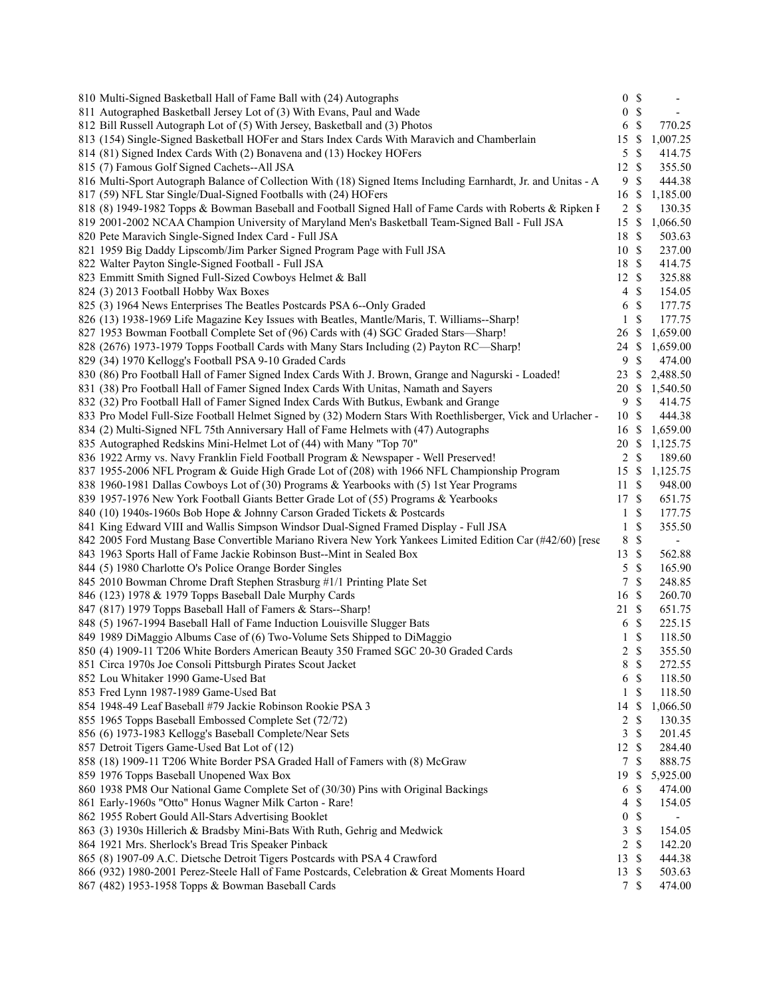| 810 Multi-Signed Basketball Hall of Fame Ball with (24) Autographs                                                                                         | 0 S              |               | $\overline{\phantom{a}}$ |
|------------------------------------------------------------------------------------------------------------------------------------------------------------|------------------|---------------|--------------------------|
| 811 Autographed Basketball Jersey Lot of (3) With Evans, Paul and Wade                                                                                     | $\boldsymbol{0}$ | $\mathbb{S}$  | $\overline{\phantom{a}}$ |
| 812 Bill Russell Autograph Lot of (5) With Jersey, Basketball and (3) Photos                                                                               | 6                | $\mathbb{S}$  | 770.25                   |
| 813 (154) Single-Signed Basketball HOFer and Stars Index Cards With Maravich and Chamberlain                                                               | 15               | \$            | 1,007.25                 |
| 814 (81) Signed Index Cards With (2) Bonavena and (13) Hockey HOFers                                                                                       | 5                | S             | 414.75                   |
| 815 (7) Famous Golf Signed Cachets--All JSA                                                                                                                | 12               | $\mathcal{S}$ | 355.50                   |
| 816 Multi-Sport Autograph Balance of Collection With (18) Signed Items Including Earnhardt, Jr. and Unitas - A                                             | 9                | <sup>\$</sup> | 444.38                   |
| 817 (59) NFL Star Single/Dual-Signed Footballs with (24) HOFers                                                                                            | 16               | \$            | 1,185.00                 |
| 818 (8) 1949-1982 Topps & Bowman Baseball and Football Signed Hall of Fame Cards with Roberts & Ripken I                                                   | $2 \sqrt{s}$     |               | 130.35                   |
| 819 2001-2002 NCAA Champion University of Maryland Men's Basketball Team-Signed Ball - Full JSA                                                            | 15               | $\mathbb{S}$  | 1,066.50                 |
| 820 Pete Maravich Single-Signed Index Card - Full JSA                                                                                                      | 18               | <sup>\$</sup> | 503.63                   |
| 821 1959 Big Daddy Lipscomb/Jim Parker Signed Program Page with Full JSA                                                                                   | 10S              |               | 237.00                   |
| 822 Walter Payton Single-Signed Football - Full JSA                                                                                                        | 18 \$            |               | 414.75                   |
| 823 Emmitt Smith Signed Full-Sized Cowboys Helmet & Ball                                                                                                   | 12 \$            |               | 325.88                   |
| 824 (3) 2013 Football Hobby Wax Boxes                                                                                                                      | $\overline{4}$   | - \$          | 154.05                   |
| 825 (3) 1964 News Enterprises The Beatles Postcards PSA 6--Only Graded                                                                                     | 6                | $\mathbb S$   | 177.75                   |
| 826 (13) 1938-1969 Life Magazine Key Issues with Beatles, Mantle/Maris, T. Williams--Sharp!                                                                | 1                | $\mathbb{S}$  | 177.75                   |
| 827 1953 Bowman Football Complete Set of (96) Cards with (4) SGC Graded Stars—Sharp!                                                                       | 26               | -S            | 1,659.00                 |
| 828 (2676) 1973-1979 Topps Football Cards with Many Stars Including (2) Payton RC—Sharp!                                                                   | 24               | $\mathbb{S}$  | 1,659.00                 |
| 829 (34) 1970 Kellogg's Football PSA 9-10 Graded Cards                                                                                                     | 9                | $\mathbb{S}$  | 474.00                   |
| 830 (86) Pro Football Hall of Famer Signed Index Cards With J. Brown, Grange and Nagurski - Loaded!                                                        | 23               | \$            | 2,488.50                 |
| 831 (38) Pro Football Hall of Famer Signed Index Cards With Unitas, Namath and Sayers                                                                      | 20               | \$            | 1,540.50                 |
| 832 (32) Pro Football Hall of Famer Signed Index Cards With Butkus, Ewbank and Grange                                                                      | $\overline{9}$   | $\mathbb{S}$  | 414.75                   |
| 833 Pro Model Full-Size Football Helmet Signed by (32) Modern Stars With Roethlisberger, Vick and Urlacher -                                               | 10S              |               | 444.38                   |
|                                                                                                                                                            |                  |               |                          |
| 834 (2) Multi-Signed NFL 75th Anniversary Hall of Fame Helmets with (47) Autographs<br>835 Autographed Redskins Mini-Helmet Lot of (44) with Many "Top 70" | 16 \$            |               | 1,659.00                 |
|                                                                                                                                                            | 20               | -S            | 1,125.75                 |
| 836 1922 Army vs. Navy Franklin Field Football Program & Newspaper - Well Preserved!                                                                       | $\overline{c}$   | $\mathbb{S}$  | 189.60                   |
| 837 1955-2006 NFL Program & Guide High Grade Lot of (208) with 1966 NFL Championship Program                                                               | 15               | \$            | 1,125.75                 |
| 838 1960-1981 Dallas Cowboys Lot of (30) Programs & Yearbooks with (5) 1st Year Programs                                                                   | 11               | \$            | 948.00                   |
| 839 1957-1976 New York Football Giants Better Grade Lot of (55) Programs & Yearbooks                                                                       | 17 \$            |               | 651.75                   |
| 840 (10) 1940s-1960s Bob Hope & Johnny Carson Graded Tickets & Postcards                                                                                   | 1                | $\mathcal{S}$ | 177.75                   |
| 841 King Edward VIII and Wallis Simpson Windsor Dual-Signed Framed Display - Full JSA                                                                      | $\mathbf{1}$     | \$            | 355.50                   |
| 842 2005 Ford Mustang Base Convertible Mariano Rivera New York Yankees Limited Edition Car (#42/60) [rese                                                  | 8                | $\mathbb{S}$  | $\overline{\phantom{a}}$ |
| 843 1963 Sports Hall of Fame Jackie Robinson Bust--Mint in Sealed Box                                                                                      | 13               | $\mathcal{S}$ | 562.88                   |
| 844 (5) 1980 Charlotte O's Police Orange Border Singles                                                                                                    | 5                | $\mathbb{S}$  | 165.90                   |
| 845 2010 Bowman Chrome Draft Stephen Strasburg #1/1 Printing Plate Set                                                                                     | 7                | $\mathcal{S}$ | 248.85                   |
| 846 (123) 1978 & 1979 Topps Baseball Dale Murphy Cards                                                                                                     | 16               | $\mathcal{S}$ | 260.70                   |
| 847 (817) 1979 Topps Baseball Hall of Famers & Stars--Sharp!                                                                                               | 21 \$            |               | 651.75                   |
| 848 (5) 1967-1994 Baseball Hall of Fame Induction Louisville Slugger Bats                                                                                  | 6                | $\mathbb{S}$  | 225.15                   |
| 849 1989 DiMaggio Albums Case of (6) Two-Volume Sets Shipped to DiMaggio                                                                                   | 1                | \$            | 118.50                   |
| 850 (4) 1909-11 T206 White Borders American Beauty 350 Framed SGC 20-30 Graded Cards                                                                       | $\overline{2}$   | \$            | 355.50                   |
| 851 Circa 1970s Joe Consoli Pittsburgh Pirates Scout Jacket                                                                                                | 8                | $\mathbb{S}$  | 272.55                   |
| 852 Lou Whitaker 1990 Game-Used Bat                                                                                                                        | 6                | $\mathcal{S}$ | 118.50                   |
| 853 Fred Lynn 1987-1989 Game-Used Bat                                                                                                                      | 1                | $\mathbb{S}$  | 118.50                   |
| 854 1948-49 Leaf Baseball #79 Jackie Robinson Rookie PSA 3                                                                                                 | 14               | \$            | 1,066.50                 |
| 855 1965 Topps Baseball Embossed Complete Set (72/72)                                                                                                      | 2                | \$            | 130.35                   |
| 856 (6) 1973-1983 Kellogg's Baseball Complete/Near Sets                                                                                                    | 3                | <sup>\$</sup> | 201.45                   |
| 857 Detroit Tigers Game-Used Bat Lot of (12)                                                                                                               | $12 \text{ }$ \$ |               | 284.40                   |
| 858 (18) 1909-11 T206 White Border PSA Graded Hall of Famers with (8) McGraw                                                                               | 7                | S             | 888.75                   |
| 859 1976 Topps Baseball Unopened Wax Box                                                                                                                   | 19               | \$            | 5,925.00                 |
| 860 1938 PM8 Our National Game Complete Set of (30/30) Pins with Original Backings                                                                         | 6                | \$            | 474.00                   |
| 861 Early-1960s "Otto" Honus Wagner Milk Carton - Rare!                                                                                                    | 4                | \$            | 154.05                   |
| 862 1955 Robert Gould All-Stars Advertising Booklet                                                                                                        | $\boldsymbol{0}$ | $\mathbb S$   |                          |
| 863 (3) 1930s Hillerich & Bradsby Mini-Bats With Ruth, Gehrig and Medwick                                                                                  | 3                | $\mathbb{S}$  | 154.05                   |
| 864 1921 Mrs. Sherlock's Bread Tris Speaker Pinback                                                                                                        | $\overline{c}$   | $\mathbb{S}$  | 142.20                   |
| 865 (8) 1907-09 A.C. Dietsche Detroit Tigers Postcards with PSA 4 Crawford                                                                                 | 13               | $\mathcal{S}$ | 444.38                   |
| 866 (932) 1980-2001 Perez-Steele Hall of Fame Postcards, Celebration & Great Moments Hoard                                                                 | 13               | -S            | 503.63                   |
| 867 (482) 1953-1958 Topps & Bowman Baseball Cards                                                                                                          | 7 \$             |               | 474.00                   |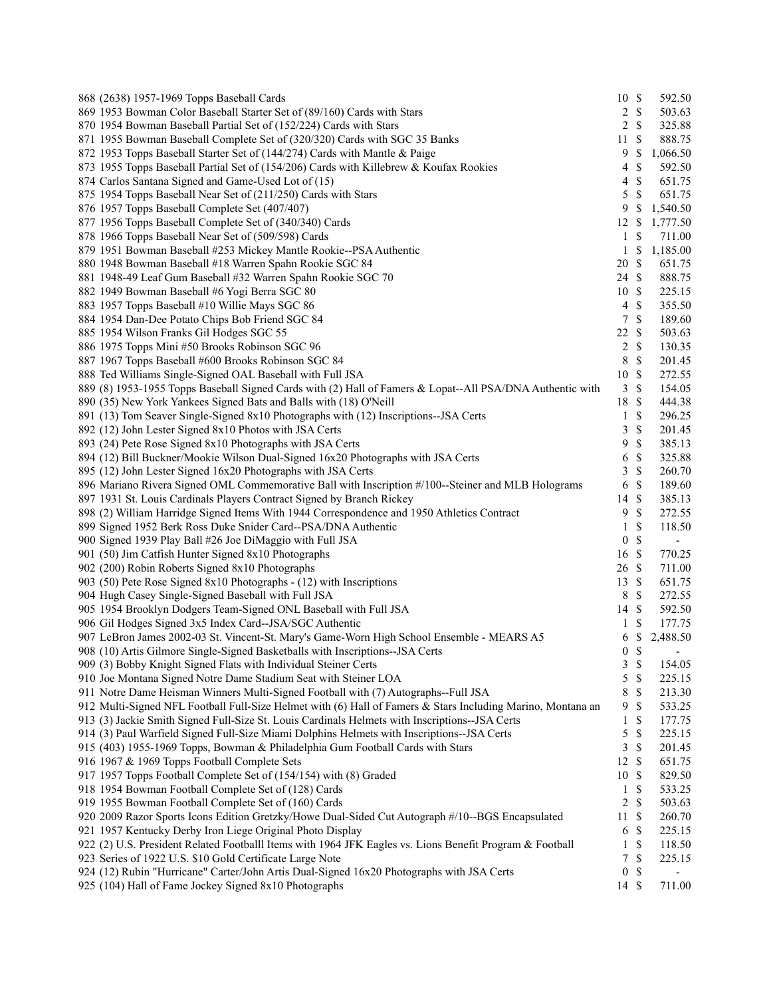| 868 (2638) 1957-1969 Topps Baseball Cards                                                                   | 10S            |                    | 592.50                   |
|-------------------------------------------------------------------------------------------------------------|----------------|--------------------|--------------------------|
| 869 1953 Bowman Color Baseball Starter Set of (89/160) Cards with Stars                                     |                | $2 \sqrt{s}$       | 503.63                   |
| 870 1954 Bowman Baseball Partial Set of (152/224) Cards with Stars                                          |                | $2 \sqrt{s}$       | 325.88                   |
| 871 1955 Bowman Baseball Complete Set of (320/320) Cards with SGC 35 Banks                                  | 11S            |                    | 888.75                   |
| 872 1953 Topps Baseball Starter Set of (144/274) Cards with Mantle & Paige                                  | 9              | $\mathbb{S}$       | 1,066.50                 |
| 873 1955 Topps Baseball Partial Set of (154/206) Cards with Killebrew & Koufax Rookies                      | $\overline{4}$ | $\mathbb{S}$       | 592.50                   |
| 874 Carlos Santana Signed and Game-Used Lot of (15)                                                         | $\overline{4}$ | $\mathcal{S}$      | 651.75                   |
| 875 1954 Topps Baseball Near Set of (211/250) Cards with Stars                                              | 5              | $\mathcal{S}$      | 651.75                   |
| 876 1957 Topps Baseball Complete Set (407/407)                                                              | 9              | $\mathcal{S}$      | 1,540.50                 |
| 877 1956 Topps Baseball Complete Set of (340/340) Cards                                                     | 12 \$          |                    | 1,777.50                 |
| 878 1966 Topps Baseball Near Set of (509/598) Cards                                                         | $\mathbf{1}$   | \$                 | 711.00                   |
| 879 1951 Bowman Baseball #253 Mickey Mantle Rookie--PSA Authentic                                           |                | $1 \text{ }$ \$    | 1,185.00                 |
| 880 1948 Bowman Baseball #18 Warren Spahn Rookie SGC 84                                                     | 20 \$          |                    | 651.75                   |
| 881 1948-49 Leaf Gum Baseball #32 Warren Spahn Rookie SGC 70                                                | 24 \$          |                    | 888.75                   |
| 882 1949 Bowman Baseball #6 Yogi Berra SGC 80                                                               | 10S            |                    | 225.15                   |
| 883 1957 Topps Baseball #10 Willie Mays SGC 86                                                              | $\overline{4}$ | $\mathcal{S}$      | 355.50                   |
| 884 1954 Dan-Dee Potato Chips Bob Friend SGC 84                                                             |                | 7S                 | 189.60                   |
| 885 1954 Wilson Franks Gil Hodges SGC 55                                                                    | 22 \$          |                    | 503.63                   |
| 886 1975 Topps Mini #50 Brooks Robinson SGC 96                                                              |                | $2 \sqrt{s}$       | 130.35                   |
|                                                                                                             | 8              | $\mathcal{S}$      | 201.45                   |
| 887 1967 Topps Baseball #600 Brooks Robinson SGC 84                                                         |                |                    |                          |
| 888 Ted Williams Single-Signed OAL Baseball with Full JSA                                                   | 10S            |                    | 272.55                   |
| 889 (8) 1953-1955 Topps Baseball Signed Cards with (2) Hall of Famers & Lopat--All PSA/DNA Authentic with   | $\mathfrak{Z}$ | $\mathcal{S}$      | 154.05                   |
| 890 (35) New York Yankees Signed Bats and Balls with (18) O'Neill                                           | 18 \$          |                    | 444.38                   |
| 891 (13) Tom Seaver Single-Signed 8x10 Photographs with (12) Inscriptions--JSA Certs                        | $\mathbf{1}$   | $\mathbb{S}$       | 296.25                   |
| 892 (12) John Lester Signed 8x10 Photos with JSA Certs                                                      | 3              | $\mathcal{S}$      | 201.45                   |
| 893 (24) Pete Rose Signed 8x10 Photographs with JSA Certs                                                   | 9              | \$                 | 385.13                   |
| 894 (12) Bill Buckner/Mookie Wilson Dual-Signed 16x20 Photographs with JSA Certs                            | 6              | \$                 | 325.88                   |
| 895 (12) John Lester Signed 16x20 Photographs with JSA Certs                                                | 3              | $\mathcal{S}$      | 260.70                   |
| 896 Mariano Rivera Signed OML Commemorative Ball with Inscription #/100--Steiner and MLB Holograms          | 6              | $\mathcal{S}$      | 189.60                   |
| 897 1931 St. Louis Cardinals Players Contract Signed by Branch Rickey                                       | 14             | $\mathbf{\hat{s}}$ | 385.13                   |
| 898 (2) William Harridge Signed Items With 1944 Correspondence and 1950 Athletics Contract                  | 9              | $\mathcal{S}$      | 272.55                   |
| 899 Signed 1952 Berk Ross Duke Snider Card--PSA/DNA Authentic                                               | 1              | \$                 | 118.50                   |
| 900 Signed 1939 Play Ball #26 Joe DiMaggio with Full JSA                                                    | $\overline{0}$ | $\mathcal{S}$      | $\blacksquare$           |
| 901 (50) Jim Catfish Hunter Signed 8x10 Photographs                                                         | 16 \$          |                    | 770.25                   |
| 902 (200) Robin Roberts Signed 8x10 Photographs                                                             | 26 \$          |                    | 711.00                   |
| 903 (50) Pete Rose Signed 8x10 Photographs - (12) with Inscriptions                                         | 13 \$          |                    | 651.75                   |
| 904 Hugh Casey Single-Signed Baseball with Full JSA                                                         |                | 8 \$               | 272.55                   |
| 905 1954 Brooklyn Dodgers Team-Signed ONL Baseball with Full JSA                                            | 14 \$          |                    | 592.50                   |
| 906 Gil Hodges Signed 3x5 Index Card--JSA/SGC Authentic                                                     | $\mathbf{1}$   | $\mathbb{S}$       | 177.75                   |
| 907 LeBron James 2002-03 St. Vincent-St. Mary's Game-Worn High School Ensemble - MEARS A5                   | 6              | \$                 | 2,488.50                 |
| 908 (10) Artis Gilmore Single-Signed Basketballs with Inscriptions--JSA Certs                               | 0 S            |                    | $\overline{\phantom{a}}$ |
| 909 (3) Bobby Knight Signed Flats with Individual Steiner Certs                                             | $\mathbf{3}$   | $\mathcal{S}$      | 154.05                   |
| 910 Joe Montana Signed Notre Dame Stadium Seat with Steiner LOA                                             | 5              | $\mathbb S$        | 225.15                   |
| 911 Notre Dame Heisman Winners Multi-Signed Football with (7) Autographs--Full JSA                          | 8              | \$                 | 213.30                   |
| 912 Multi-Signed NFL Football Full-Size Helmet with (6) Hall of Famers & Stars Including Marino, Montana an | 9              | \$                 | 533.25                   |
| 913 (3) Jackie Smith Signed Full-Size St. Louis Cardinals Helmets with Inscriptions--JSA Certs              | 1              | \$                 | 177.75                   |
| 914 (3) Paul Warfield Signed Full-Size Miami Dolphins Helmets with Inscriptions--JSA Certs                  | 5              | \$                 | 225.15                   |
| 915 (403) 1955-1969 Topps, Bowman & Philadelphia Gum Football Cards with Stars                              | 3              | $\mathbb{S}$       | 201.45                   |
| 916 1967 & 1969 Topps Football Complete Sets                                                                | 12S            |                    | 651.75                   |
| 917 1957 Topps Football Complete Set of (154/154) with (8) Graded                                           | 10S            |                    | 829.50                   |
| 918 1954 Bowman Football Complete Set of (128) Cards                                                        | $\mathbf{1}$   | \$                 | 533.25                   |
| 919 1955 Bowman Football Complete Set of (160) Cards                                                        | $\overline{c}$ | $\mathcal{S}$      | 503.63                   |
|                                                                                                             |                | $\mathcal{S}$      |                          |
| 920 2009 Razor Sports Icons Edition Gretzky/Howe Dual-Sided Cut Autograph #/10--BGS Encapsulated            | 11             | 6 <sup>°</sup>     | 260.70                   |
| 921 1957 Kentucky Derby Iron Liege Original Photo Display                                                   |                |                    | 225.15                   |
| 922 (2) U.S. President Related Footballl Items with 1964 JFK Eagles vs. Lions Benefit Program & Football    | $\mathbf{1}$   | \$                 | 118.50                   |
| 923 Series of 1922 U.S. \$10 Gold Certificate Large Note                                                    | $\tau$         | $\mathbb{S}$       | 225.15                   |
| 924 (12) Rubin "Hurricane" Carter/John Artis Dual-Signed 16x20 Photographs with JSA Certs                   | $\overline{0}$ | \$                 |                          |
| 925 (104) Hall of Fame Jockey Signed 8x10 Photographs                                                       | 14 \$          |                    | 711.00                   |